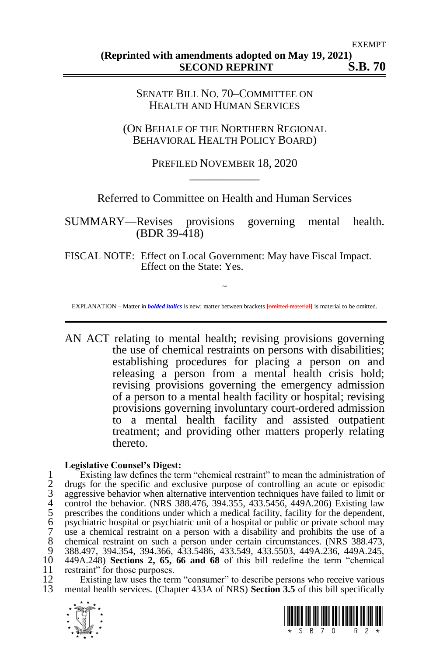### SENATE BILL NO. 70–COMMITTEE ON HEALTH AND HUMAN SERVICES

(ON BEHALF OF THE NORTHERN REGIONAL BEHAVIORAL HEALTH POLICY BOARD)

## PREFILED NOVEMBER 18, 2020 \_\_\_\_\_\_\_\_\_\_\_\_

Referred to Committee on Health and Human Services

SUMMARY—Revises provisions governing mental health. (BDR 39-418)

FISCAL NOTE: Effect on Local Government: May have Fiscal Impact. Effect on the State: Yes.

~ EXPLANATION – Matter in *bolded italics* is new; matter between brackets **[**omitted material**]** is material to be omitted.

AN ACT relating to mental health; revising provisions governing the use of chemical restraints on persons with disabilities; establishing procedures for placing a person on and releasing a person from a mental health crisis hold; revising provisions governing the emergency admission of a person to a mental health facility or hospital; revising provisions governing involuntary court-ordered admission to a mental health facility and assisted outpatient treatment; and providing other matters properly relating thereto.

### **Legislative Counsel's Digest:**

1 Existing law defines the term "chemical restraint" to mean the administration of<br>2 drugs for the specific and exclusive purpose of controlling an acute or episodic<br>3 aggressive behavior when alternative intervention tech 2 drugs for the specific and exclusive purpose of controlling an acute or episodic aggressive behavior when alternative intervention techniques have failed to limit or 4 control the behavior. (NRS 388.476, 394.355, 433.5456, 449A.206) Existing law prescribes the conditions under which a medical facility, facility for the dependent, 6 psychiatric hospital or psychiatric unit of a hospital or public or private school may 7 use a chemical restraint on a person with a disability and prohibits the use of a 8 chemical restraint on such a person under certain circumstances. (NRS 388.473, 9 388.473, 9 388.497 394 354 394 366 433 5486 433 549 433 5503 449 423 449 424 245 9 388.497, 394.354, 394.366, 433.5486, 433.549, 433.5503, 449A.236, 449A.245, 10 449A.248) **Sections 2, 65, 66 and 68** of this bill redefine the term "chemical 11 restraint" for those purposes.<br>12 Existing law uses the term

12 Existing law uses the term "consumer" to describe persons who receive various<br>13 mental health services (Chapter 433A of NRS) **Section 3.5** of this bill specifically 13 mental health services. (Chapter 433A of NRS) **Section 3.5** of this bill specifically



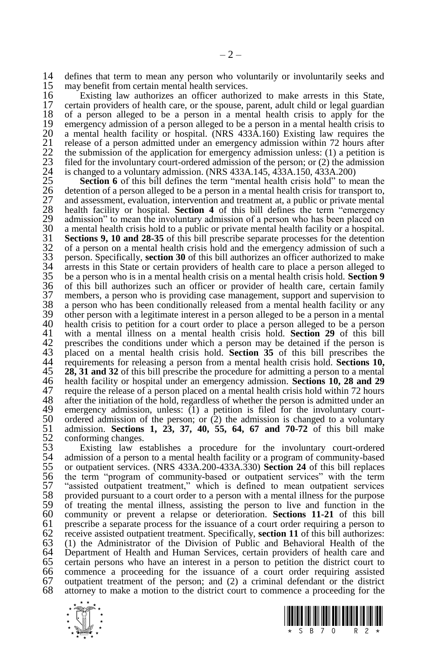14 defines that term to mean any person who voluntarily or involuntarily seeks and 15 may benefit from certain mental health services. 15 may benefit from certain mental health services.<br>16 Existing law authorizes an officer authori

16 Existing law authorizes an officer authorized to make arrests in this State, 17 certain providers of health care, or the spouse, parent, adult child or legal guardian 18 of a person alleged to be a person in a mental health crisis to apply for the 18 of a person alleged to be a person in a mental health crisis to apply for the 19 emergency admission of a person alleged to be a person in a mental health crisis to 20 a mental health facility or hospital. (NRS 433A.160) Existing law requires the 20 a mental health facility or hospital. (NRS 433A.160) Existing law requires the release of a person admitted under an emergency admission within 72 hours after 21 release of a person admitted under an emergency admission within 72 hours after<br>22 the submission of the application for emergency admission unless: (1) a petition is<br>23 filed for the involuntary court-ordered admission the submission of the application for emergency admission unless:  $(1)$  a petition is filed for the involuntary court-ordered admission of the person; or  $(2)$  the admission 24 is changed to a voluntary admission. (NRS 433A.145, 433A.150, 433A.200)<br>25 **Section 6** of this bill defines the term "mental health crisis hold" to m

**Section 6** of this bill defines the term "mental health crisis hold" to mean the detention of a person alleged to be a person in a mental health crisis for transport to, and assessment, evaluation, intervention and treatm 26 detention of a person alleged to be a person in a mental health crisis for transport to, and assessment, evaluation, intervention and treatment at, a public or private mental health facility or hospital. **Section 4** of this bill defines the term "emergency" 29 admission" to mean the involuntary admission of a person who has been placed on a mental health crisis hold to a public or private mental health facility or a hospital. 30 a mental health crisis hold to a public or private mental health facility or a hospital.<br>31 **Sections 9. 10 and 28-35** of this bill prescribe separate processes for the detention 31 **Sections 9, 10 and 28-35** of this bill prescribe separate processes for the detention of a person on a mental health crisis hold and the emergency admission of such a person. Specifically, **section 30** of this bill aut 32 of a person on a mental health crisis hold and the emergency admission of such a 33 person. Specifically, **section 30** of this bill authorizes an officer authorized to make  $34$  arrests in this State or certain providers of health care to place a person alleged to  $35$  be a person who is in a mental health crisis on a mental health crisis hold. Section 9 35 be a person who is in a mental health crisis on a mental health crisis hold. **Section 9** 36 of this bill authorizes such an officer or provider of health care, certain family 37 members, a person who is providing case management, support and supervision to 38 a person who has been conditionally released from a mental health facility or any 39 other person with a legitimate interest in a person alleged to be a person in a mental 39 other person with a legitimate interest in a person alleged to be a person in a mental 40 health crisis to petition for a court order to place a person alleged to be a person 40 health crisis to petition for a court order to place a person alleged to be a person 41 with a mental illness on a mental health crisis hold. **Section 29** of this bill 41 with a mental illness on a mental health crisis hold. **Section 29** of this bill 42 prescribes the conditions under which a person may be detained if the person is<br>43 placed on a mental health crisis hold. **Section 35** of this bill prescribes the 43 placed on a mental health crisis hold. **Section 35** of this bill prescribes the 44 requirements for releasing a person from a mental health crisis hold. **Sections 10,**  $\overline{45}$  **28. 31 and 32** of this bill prescribe the procedure for admitting a person to a mental 45 **28, 31 and 32** of this bill prescribe the procedure for admitting a person to a mental 46 health facility or hospital under an emergency admission. **Sections 10, 28 and 29** 47 require the release of a person placed on a mental health crisis hold within 72 hours 48 after the initiation of the hold, regardless of whether the person is admitted under an 48 after the initiation of the hold, regardless of whether the person is admitted under an 49 emergency admission, unless: (1) a petition is filed for the involuntary court-49 emergency admission, unless:  $(1)$  a petition is filed for the involuntary court-<br>50 ordered admission of the person; or  $(2)$  the admission is changed to a voluntary 50 ordered admission of the person; or  $(2)$  the admission is changed to a voluntary  $51$  admission. **Sections 1, 23, 37, 40, 55, 64, 67 and 70-72** of this bill make 51 admission. **Sections 1, 23, 37, 40, 55, 64, 67 and 70-72** of this bill make 52 conforming changes.<br>53 Existing law es

53 Existing law establishes a procedure for the involuntary court-ordered 54 admission of a person to a mental health facility or a program of community-based 54 admission of a person to a mental health facility or a program of community-based<br>55 or outpatient services. (NRS 433A.200-433A.330) Section 24 of this bill replaces 55 or outpatient services. (NRS 433A.200-433A.330) **Section 24** of this bill replaces 56 the term "program of community-based or outpatient services" with the term 57 "assisted outpatient treatment," which is defined to mean outpatient services provided pursuant to a court order to a person with a mental illness for the purpose 58 provided pursuant to a court order to a person with a mental illness for the purpose 59 of treating the mental illness, assisting the person to live and function in the 59 of treating the mental illness, assisting the person to live and function in the 60 community or prevent a relapse or deterioration. Sections 11-21 of this bill 60 community or prevent a relapse or deterioration. **Sections 11-21** of this bill 61 prescribe a separate process for the issuance of a court order requiring a person to  $62$  receive assisted outpatient treatment. Specifically, **section 11** of this bill authorizes: 62 receive assisted outpatient treatment. Specifically, **section 11** of this bill authorizes: 63 (1) the Administrator of the Division of Public and Behavioral Health of the 64 Department of Health and Human Services, certain providers of health care and 65 certain persons who have an interest in a person to petition the district court to 65 certain persons who have an interest in a person to petition the district court to  $66$  commence a proceeding for the issuance of a court order requiring assisted 66 commence a proceeding for the issuance of a court order requiring assisted 67 outpatient treatment of the person; and  $(2)$  a criminal defendant or the district 68 attorney to make a motion to the district court to commence a proceeding for the attorney to make a motion to the district court to commence a proceeding for the



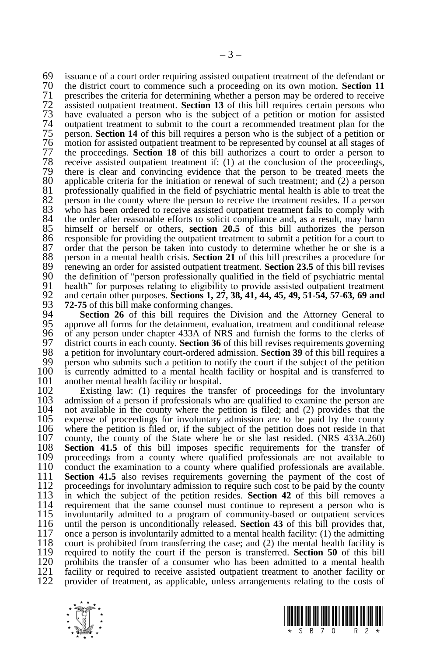69 issuance of a court order requiring assisted outpatient treatment of the defendant or<br>70 the district court to commence such a proceeding on its own motion **Section 11** 70 the district court to commence such a proceeding on its own motion. **Section 11** 71 prescribes the criteria for determining whether a person may be ordered to receive assisted outpatient treatment. **Section 13** of this bill requires certain persons who 72 assisted outpatient treatment. **Section 13** of this bill requires certain persons who 73 have evaluated a person who is the subject of a petition or motion for assisted 74 outpatient treatment to submit to the court a recommended treatment plan for the person. **Section 14** of this bill requires a person who is the subject of a petition or 75 person. **Section 14** of this bill requires a person who is the subject of a petition or 76 motion for assisted outpatient treatment to be represented by counsel at all stages of 77 the proceedings. **Section 18** of this bill authorizes a court to order a person to 77 the proceedings. **Section 18** of this bill authorizes a court to order a person to 78 receive assisted outpatient treatment if: (1) at the conclusion of the proceedings, 79 there is clear and convincing evidence that the person to be treated meets the 30 applicable criteria for the initiation or renewal of such treatment: and (2) a person 80 applicable criteria for the initiation or renewal of such treatment; and (2) a person 81 professionally qualified in the field of psychiatric mental health is able to treat the 82 person in the county where the person to receive the treatment resides. If a person 82 person in the county where the person to receive the treatment resides. If a person who has been ordered to receive assisted outpatient treatment fails to comply with 83 who has been ordered to receive assisted outpatient treatment fails to comply with 84 the order after reasonable efforts to solicit compliance and, as a result, may harm 84 the order after reasonable efforts to solicit compliance and, as a result, may harm  $85$  himself or herself or others, **section 20.5** of this bill authorizes the person 85 himself or herself or others, **section 20.5** of this bill authorizes the person responsible for providing the outpatient treatment to submit a petition for a court to 86 responsible for providing the outpatient treatment to submit a petition for a court to 87 order that the person be taken into custody to determine whether he or she is a 87 order that the person be taken into custody to determine whether he or she is a 88 person in a mental health crisis. **Section 21** of this bill prescribes a procedure for 88 person in a mental health crisis. **Section 21** of this bill prescribes a procedure for 89 renewing an order for assisted outpatient treatment. **Section 23.5** of this bill revises 89 renewing an order for assisted outpatient treatment. **Section 23.5** of this bill revises 90 the definition of "person professionally qualified in the field of psychiatric mental 90 the definition of "person professionally qualified in the field of psychiatric mental<br>91 health" for purposes relating to eligibility to provide assisted outpatient treatment 91 health" for purposes relating to eligibility to provide assisted outpatient treatment<br>92 and certain other purposes. Sections 1, 27, 38, 41, 44, 45, 49, 51-54, 57-63, 69 and 92 and certain other purposes. **Sections 1, 27, 38, 41, 44, 45, 49, 51-54, 57-63, 69 and**  93 **72-75** of this bill make conforming changes.<br>94 **Section 26** of this bill requires the I

94 **Section 26** of this bill requires the Division and the Attorney General to 95 approve all forms for the detainment, evaluation, treatment and conditional release 95 approve all forms for the detainment, evaluation, treatment and conditional release 96 of any person under chapter 433A of NRS and furnish the forms to the clerks of 97 district courts in each county. **Section 36** of this bill revises requirements governing 97 district courts in each county. **Section 36** of this bill revises requirements governing 98 a petition for involuntary court-ordered admission. **Section 39** of this bill requires a 98 a petition for involuntary court-ordered admission. **Section 39** of this bill requires a 99 person who submits such a petition to notify the court if the subject of the petition 100 is currently admitted to a mental health facility or hospital and is transferred to  $100$  is currently admitted to a mental health facility or hospital and is transferred to  $101$  another mental health facility or hospital. 101 another mental health facility or hospital.<br>102 Existing law: (1) requires the tran

102 Existing law: (1) requires the transfer of proceedings for the involuntary 103 admission of a person if professionals who are qualified to examine the person are 103 admission of a person if professionals who are qualified to examine the person are 104 not available in the county where the petition is filed: and (2) provides that the  $104$  not available in the county where the petition is filed; and (2) provides that the expense of proceedings for involuntary admission are to be paid by the county 105 expense of proceedings for involuntary admission are to be paid by the county 106 where the petition is filed or, if the subject of the petition does not reside in that 106 where the petition is filed or, if the subject of the petition does not reside in that 107 county, the county of the State where he or she last resided. (NRS 433A.260) 107 county, the county of the State where he or she last resided. (NRS 433A.260) 108 Section 41.5 of this bill imposes specific requirements for the transfer of 108 **Section 41.5** of this bill imposes specific requirements for the transfer of 109 proceedings from a county where qualified professionals are not available to 109 proceedings from a county where qualified professionals are not available to 110 conduct the examination to a county where qualified professionals are available. 110 conduct the examination to a county where qualified professionals are available.<br>111 **Section 41.5** also revises requirements governing the payment of the cost of 111 **Section 41.5** also revises requirements governing the payment of the cost of 112 proceedings for involuntary admission to require such cost to be paid by the county 112 proceedings for involuntary admission to require such cost to be paid by the county<br>113 in which the subject of the petition resides **Section 42** of this bill removes a 113 in which the subject of the petition resides. **Section 42** of this bill removes a 114 requirement that the same counsel must continue to represent a person who is 115 involuntarily admitted to a program of community-based or outpatient services 115 involuntarily admitted to a program of community-based or outpatient services 116 until the person is unconditionally released. Section 43 of this bill provides that. 116 until the person is unconditionally released. **Section 43** of this bill provides that, 117 once a person is involuntarily admitted to a mental health facility: (1) the admitting court is prohibited from transferring the case: and (2) the mental health facility is 118 court is prohibited from transferring the case; and  $(2)$  the mental health facility is required to notify the court if the person is transferred. **Section 50** of this bill 119 required to notify the court if the person is transferred. **Section 50** of this bill 120 prohibits the transfer of a consumer who has been admitted to a mental health 121 facility or required to receive assisted outpatient treatment to another facility or 121 facility or required to receive assisted outpatient treatment to another facility or provider of treatment, as applicable, unless arrangements relating to the costs of provider of treatment, as applicable, unless arrangements relating to the costs of



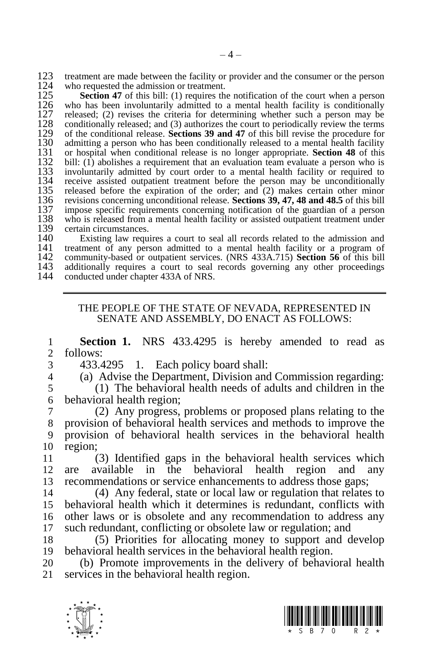123 treatment are made between the facility or provider and the consumer or the person who requested the admission or treatment. 124 who requested the admission or treatment.<br>125 Section 47 of this bill: (1) requires the

125 **Section 47** of this bill: (1) requires the notification of the court when a person 126 who has been involuntarily admitted to a mental health facility is conditionally 126 who has been involuntarily admitted to a mental health facility is conditionally released; (2) revises the criteria for determining whether such a person may be 127 released; (2) revises the criteria for determining whether such a person may be conditionally released; and (3) authorizes the court to periodically review the terms 128 conditionally released; and (3) authorizes the court to periodically review the terms 129 of the conditional release. **Sections 39 and 47** of this bill revise the procedure for 129 of the conditional release. **Sections 39 and 47** of this bill revise the procedure for 130 admitting a person who has been conditionally released to a mental health facility 131 or hospital when conditional release is no longer appropriate. **Section 48** of this 131 or hospital when conditional release is no longer appropriate. **Section 48** of this 132 bill: (1) abolishes a requirement that an evaluation team evaluate a person who is 132 bill: (1) abolishes a requirement that an evaluation team evaluate a person who is 133 involuntarily admitted by court order to a mental health facility or required to 133 involuntarily admitted by court order to a mental health facility or required to 134 receive assisted outpatient treatment before the person may be unconditionally 134 receive assisted outpatient treatment before the person may be unconditionally 135 released before the expiration of the order: and (2) makes certain other minor 135 released before the expiration of the order; and  $(2)$  makes certain other minor revisions concerning unconditional release. **Sections 39, 47, 48 and 48.5** of this bill 136 revisions concerning unconditional release. **Sections 39, 47, 48 and 48.5** of this bill 137 impose specific requirements concerning notification of the guardian of a person 138 who is released from a mental health facility or assisted outpatient treatment under 138 who is released from a mental health facility or assisted outpatient treatment under certain circumstances. 139 certain circumstances.<br>140 Existing law requ

140 Existing law requires a court to seal all records related to the admission and 141 treatment of any person admitted to a mental health facility or a program of 141 treatment of any person admitted to a mental health facility or a program of 142 community-based or outpatient services. (NRS 433A.715) Section 56 of this bill 142 community-based or outpatient services. (NRS 433A.715) **Section 56** of this bill 143 additionally requires a court to seal records governing any other proceedings 143 additionally requires a court to seal records governing any other proceedings 144 conducted under chapter 433A of NRS conducted under chapter 433A of NRS.

#### THE PEOPLE OF THE STATE OF NEVADA, REPRESENTED IN SENATE AND ASSEMBLY, DO ENACT AS FOLLOWS:

1 **Section 1.** NRS 433.4295 is hereby amended to read as 2 follows:

- 3 433.4295 1. Each policy board shall:
- 4 (a) Advise the Department, Division and Commission regarding:

5 (1) The behavioral health needs of adults and children in the 6 behavioral health region;<br> $\frac{7}{2}$  (2) Any progress

 (2) Any progress, problems or proposed plans relating to the provision of behavioral health services and methods to improve the provision of behavioral health services in the behavioral health 10 region;

11 (3) Identified gaps in the behavioral health services which 12 are available in the behavioral health region and any 13 recommendations or service enhancements to address those gaps;

 (4) Any federal, state or local law or regulation that relates to behavioral health which it determines is redundant, conflicts with other laws or is obsolete and any recommendation to address any such redundant, conflicting or obsolete law or regulation; and

18 (5) Priorities for allocating money to support and develop 19 behavioral health services in the behavioral health region.

20 (b) Promote improvements in the delivery of behavioral health 21 services in the behavioral health region.



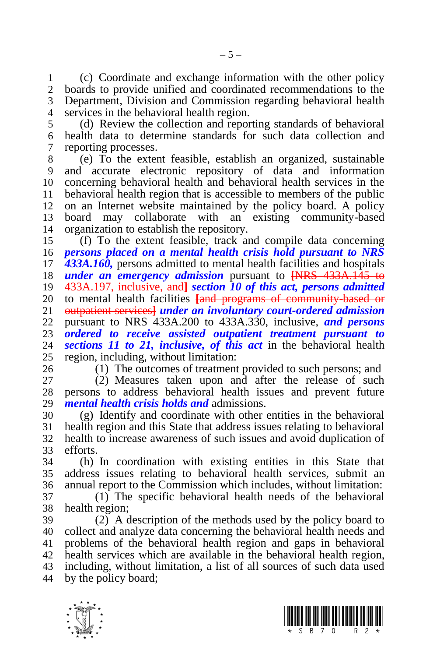(c) Coordinate and exchange information with the other policy boards to provide unified and coordinated recommendations to the Department, Division and Commission regarding behavioral health services in the behavioral health region.

 (d) Review the collection and reporting standards of behavioral health data to determine standards for such data collection and reporting processes.

 (e) To the extent feasible, establish an organized, sustainable and accurate electronic repository of data and information concerning behavioral health and behavioral health services in the behavioral health region that is accessible to members of the public on an Internet website maintained by the policy board. A policy board may collaborate with an existing community-based organization to establish the repository.

 (f) To the extent feasible, track and compile data concerning *persons placed on a mental health crisis hold pursuant to NRS 433A.160,* persons admitted to mental health facilities and hospitals *under an emergency admission* pursuant to **[**NRS 433A.145 to 433A.197, inclusive, and**]** *section 10 of this act, persons admitted*  20 to mental health facilities **[and programs of community based or** 21 **outpatient services]** *under an involuntary court-ordered admission*  outpatient services**]** *under an involuntary court-ordered admission*  pursuant to NRS 433A.200 to 433A.330, inclusive, *and persons ordered to receive assisted outpatient treatment pursuant to*  sections 11 to 21, *inclusive*, of this act in the behavioral health 25 region, including, without limitation:<br>26 (1) The outcomes of treatment

(1) The outcomes of treatment provided to such persons; and

 (2) Measures taken upon and after the release of such persons to address behavioral health issues and prevent future *mental health crisis holds and* admissions.

 (g) Identify and coordinate with other entities in the behavioral health region and this State that address issues relating to behavioral health to increase awareness of such issues and avoid duplication of efforts.

 (h) In coordination with existing entities in this State that address issues relating to behavioral health services, submit an annual report to the Commission which includes, without limitation:

 (1) The specific behavioral health needs of the behavioral health region;

 (2) A description of the methods used by the policy board to collect and analyze data concerning the behavioral health needs and problems of the behavioral health region and gaps in behavioral health services which are available in the behavioral health region, including, without limitation, a list of all sources of such data used by the policy board;



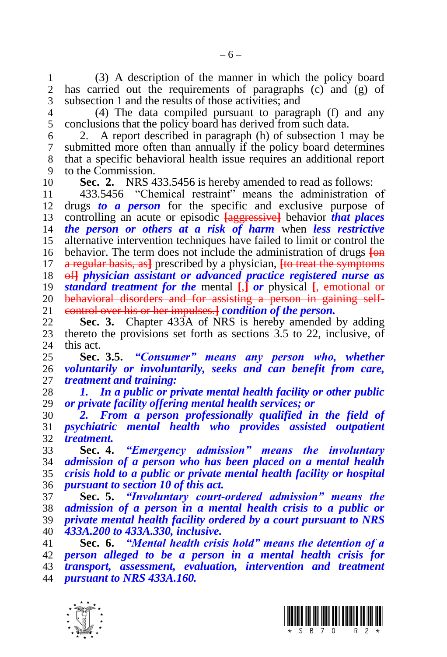1 (3) A description of the manner in which the policy board<br>2 has carried out the requirements of paragraphs (c) and (g) of has carried out the requirements of paragraphs  $(c)$  and  $(g)$  of subsection 1 and the results of those activities; and

 (4) The data compiled pursuant to paragraph (f) and any conclusions that the policy board has derived from such data.

 2. A report described in paragraph (h) of subsection 1 may be submitted more often than annually if the policy board determines that a specific behavioral health issue requires an additional report to the Commission.

**Sec. 2.** NRS 433.5456 is hereby amended to read as follows:

 433.5456 "Chemical restraint" means the administration of drugs *to a person* for the specific and exclusive purpose of controlling an acute or episodic **[**aggressive**]** behavior *that places the person or others at a risk of harm* when *less restrictive* alternative intervention techniques have failed to limit or control the behavior. The term does not include the administration of drugs **[**on a regular basis, as**]** prescribed by a physician, **[**to treat the symptoms of**]** *physician assistant or advanced practice registered nurse as standard treatment for the* mental **[**,**]** *or* physical **[**, emotional or 20 behavioral disorders and for assisting a person in gaining self-<br>21 control over his or her impulses. *I condition of the person*. control over his or her impulses.**]** *condition of the person.*

 **Sec. 3.** Chapter 433A of NRS is hereby amended by adding thereto the provisions set forth as sections 3.5 to 22, inclusive, of this act.

 **Sec. 3.5.** *"Consumer" means any person who, whether voluntarily or involuntarily, seeks and can benefit from care, treatment and training:*

 *1. In a public or private mental health facility or other public or private facility offering mental health services; or*

 *2. From a person professionally qualified in the field of psychiatric mental health who provides assisted outpatient treatment.*

 **Sec. 4.** *"Emergency admission" means the involuntary admission of a person who has been placed on a mental health crisis hold to a public or private mental health facility or hospital pursuant to section 10 of this act.*

 **Sec. 5.** *"Involuntary court-ordered admission" means the admission of a person in a mental health crisis to a public or private mental health facility ordered by a court pursuant to NRS 433A.200 to 433A.330, inclusive.*

 **Sec. 6.** *"Mental health crisis hold" means the detention of a person alleged to be a person in a mental health crisis for transport, assessment, evaluation, intervention and treatment pursuant to NRS 433A.160.*



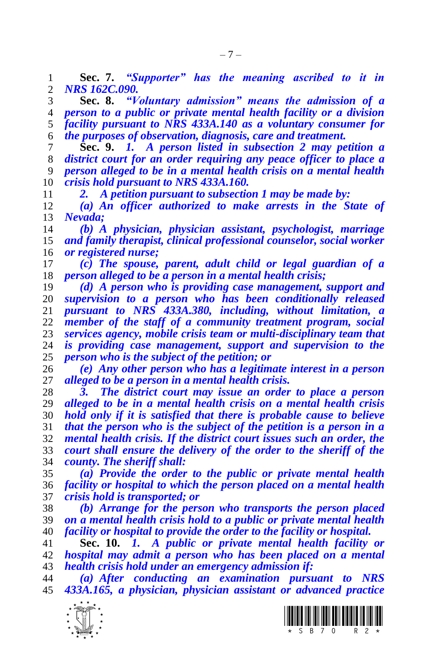**Sec. 7.** *"Supporter" has the meaning ascribed to it in NRS 162C.090.*

 **Sec. 8.** *"Voluntary admission" means the admission of a person to a public or private mental health facility or a division facility pursuant to NRS 433A.140 as a voluntary consumer for the purposes of observation, diagnosis, care and treatment.*

 **Sec. 9.** *1. A person listed in subsection 2 may petition a district court for an order requiring any peace officer to place a person alleged to be in a mental health crisis on a mental health crisis hold pursuant to NRS 433A.160.*

*2. A petition pursuant to subsection 1 may be made by:*

 *(a) An officer authorized to make arrests in the State of Nevada;*

 *(b) A physician, physician assistant, psychologist, marriage and family therapist, clinical professional counselor, social worker or registered nurse;*

 *(c) The spouse, parent, adult child or legal guardian of a person alleged to be a person in a mental health crisis;* 

 *(d) A person who is providing case management, support and supervision to a person who has been conditionally released pursuant to NRS 433A.380, including, without limitation, a member of the staff of a community treatment program, social services agency, mobile crisis team or multi-disciplinary team that is providing case management, support and supervision to the person who is the subject of the petition; or*

 *(e) Any other person who has a legitimate interest in a person alleged to be a person in a mental health crisis.* 

 *3. The district court may issue an order to place a person alleged to be in a mental health crisis on a mental health crisis hold only if it is satisfied that there is probable cause to believe that the person who is the subject of the petition is a person in a mental health crisis. If the district court issues such an order, the court shall ensure the delivery of the order to the sheriff of the county. The sheriff shall:*

 *(a) Provide the order to the public or private mental health facility or hospital to which the person placed on a mental health crisis hold is transported; or* 

 *(b) Arrange for the person who transports the person placed on a mental health crisis hold to a public or private mental health facility or hospital to provide the order to the facility or hospital.*

 **Sec. 10.** *1. A public or private mental health facility or hospital may admit a person who has been placed on a mental health crisis hold under an emergency admission if:*

 *(a) After conducting an examination pursuant to NRS 433A.165, a physician, physician assistant or advanced practice* 



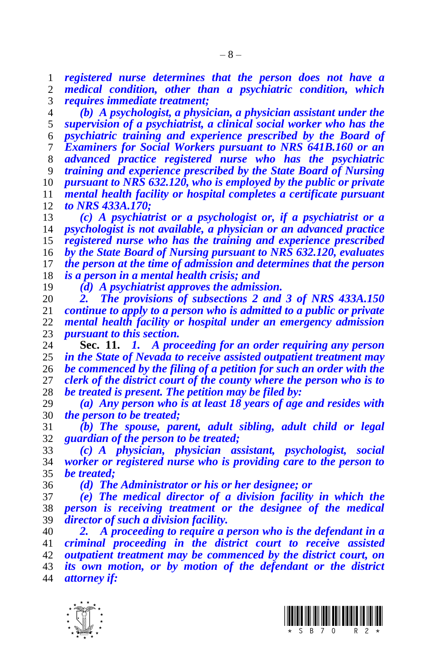*registered nurse determines that the person does not have a medical condition, other than a psychiatric condition, which requires immediate treatment;*

 *(b) A psychologist, a physician, a physician assistant under the supervision of a psychiatrist, a clinical social worker who has the psychiatric training and experience prescribed by the Board of Examiners for Social Workers pursuant to NRS 641B.160 or an advanced practice registered nurse who has the psychiatric training and experience prescribed by the State Board of Nursing pursuant to NRS 632.120, who is employed by the public or private mental health facility or hospital completes a certificate pursuant to NRS 433A.170;*

 *(c) A psychiatrist or a psychologist or, if a psychiatrist or a psychologist is not available, a physician or an advanced practice registered nurse who has the training and experience prescribed by the State Board of Nursing pursuant to NRS 632.120, evaluates the person at the time of admission and determines that the person is a person in a mental health crisis; and*

*(d) A psychiatrist approves the admission.*

 *2. The provisions of subsections 2 and 3 of NRS 433A.150 continue to apply to a person who is admitted to a public or private mental health facility or hospital under an emergency admission pursuant to this section.*

 **Sec. 11.** *1. A proceeding for an order requiring any person in the State of Nevada to receive assisted outpatient treatment may be commenced by the filing of a petition for such an order with the clerk of the district court of the county where the person who is to be treated is present. The petition may be filed by:*

 *(a) Any person who is at least 18 years of age and resides with the person to be treated;*

 *(b) The spouse, parent, adult sibling, adult child or legal guardian of the person to be treated;*

 *(c) A physician, physician assistant, psychologist, social worker or registered nurse who is providing care to the person to be treated;*

*(d) The Administrator or his or her designee; or*

 *(e) The medical director of a division facility in which the person is receiving treatment or the designee of the medical director of such a division facility.*

 *2. A proceeding to require a person who is the defendant in a criminal proceeding in the district court to receive assisted outpatient treatment may be commenced by the district court, on its own motion, or by motion of the defendant or the district attorney if:*



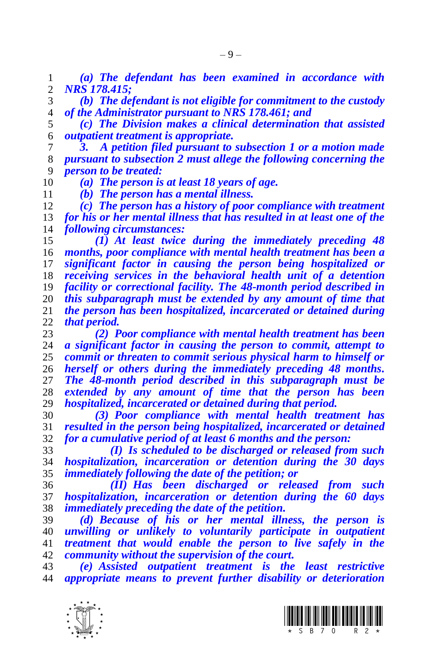*(a) The defendant has been examined in accordance with NRS 178.415;*

 *(b) The defendant is not eligible for commitment to the custody of the Administrator pursuant to NRS 178.461; and*

 *(c) The Division makes a clinical determination that assisted outpatient treatment is appropriate.*

 *3. A petition filed pursuant to subsection 1 or a motion made pursuant to subsection 2 must allege the following concerning the person to be treated:*

*(a) The person is at least 18 years of age.*

*(b) The person has a mental illness.*

 *(c) The person has a history of poor compliance with treatment for his or her mental illness that has resulted in at least one of the following circumstances:*

 *(1) At least twice during the immediately preceding 48 months, poor compliance with mental health treatment has been a significant factor in causing the person being hospitalized or receiving services in the behavioral health unit of a detention facility or correctional facility. The 48-month period described in this subparagraph must be extended by any amount of time that the person has been hospitalized, incarcerated or detained during that period.*

 *(2) Poor compliance with mental health treatment has been a significant factor in causing the person to commit, attempt to commit or threaten to commit serious physical harm to himself or herself or others during the immediately preceding 48 months. The 48-month period described in this subparagraph must be extended by any amount of time that the person has been hospitalized, incarcerated or detained during that period.*

 *(3) Poor compliance with mental health treatment has resulted in the person being hospitalized, incarcerated or detained for a cumulative period of at least 6 months and the person:*

 *(I) Is scheduled to be discharged or released from such hospitalization, incarceration or detention during the 30 days immediately following the date of the petition; or*

 *(II) Has been discharged or released from such hospitalization, incarceration or detention during the 60 days immediately preceding the date of the petition.* 

 *(d) Because of his or her mental illness, the person is unwilling or unlikely to voluntarily participate in outpatient treatment that would enable the person to live safely in the community without the supervision of the court.*

 *(e) Assisted outpatient treatment is the least restrictive appropriate means to prevent further disability or deterioration* 



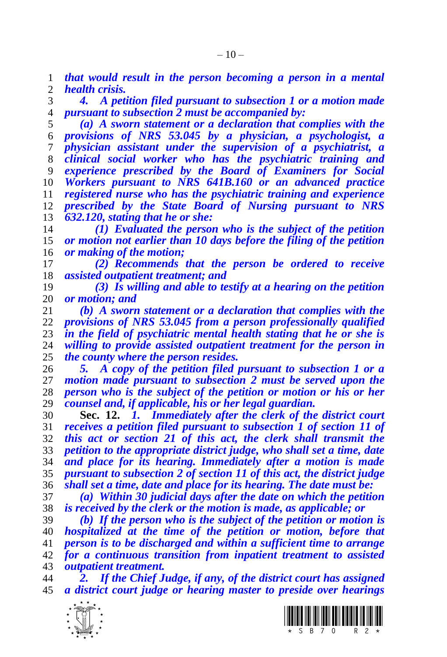*that would result in the person becoming a person in a mental health crisis.*

 *4. A petition filed pursuant to subsection 1 or a motion made pursuant to subsection 2 must be accompanied by:*

 *(a) A sworn statement or a declaration that complies with the provisions of NRS 53.045 by a physician, a psychologist, a physician assistant under the supervision of a psychiatrist, a clinical social worker who has the psychiatric training and experience prescribed by the Board of Examiners for Social Workers pursuant to NRS 641B.160 or an advanced practice registered nurse who has the psychiatric training and experience prescribed by the State Board of Nursing pursuant to NRS 632.120, stating that he or she:*

 *(1) Evaluated the person who is the subject of the petition or motion not earlier than 10 days before the filing of the petition or making of the motion;*

 *(2) Recommends that the person be ordered to receive assisted outpatient treatment; and*

 *(3) Is willing and able to testify at a hearing on the petition or motion; and*

 *(b) A sworn statement or a declaration that complies with the provisions of NRS 53.045 from a person professionally qualified in the field of psychiatric mental health stating that he or she is willing to provide assisted outpatient treatment for the person in the county where the person resides.*

 *5. A copy of the petition filed pursuant to subsection 1 or a motion made pursuant to subsection 2 must be served upon the person who is the subject of the petition or motion or his or her counsel and, if applicable, his or her legal guardian.*

 **Sec. 12.** *1. Immediately after the clerk of the district court receives a petition filed pursuant to subsection 1 of section 11 of this act or section 21 of this act, the clerk shall transmit the petition to the appropriate district judge, who shall set a time, date and place for its hearing. Immediately after a motion is made pursuant to subsection 2 of section 11 of this act, the district judge shall set a time, date and place for its hearing. The date must be:*

 *(a) Within 30 judicial days after the date on which the petition is received by the clerk or the motion is made, as applicable; or*

 *(b) If the person who is the subject of the petition or motion is hospitalized at the time of the petition or motion, before that person is to be discharged and within a sufficient time to arrange for a continuous transition from inpatient treatment to assisted outpatient treatment.*

 *2. If the Chief Judge, if any, of the district court has assigned a district court judge or hearing master to preside over hearings* 



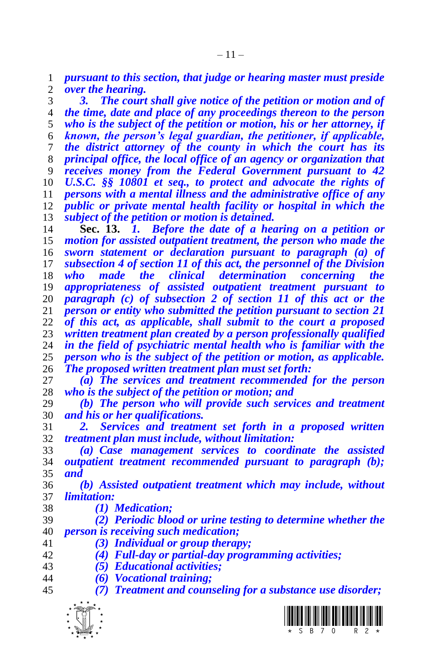*pursuant to this section, that judge or hearing master must preside over the hearing.*

 *3. The court shall give notice of the petition or motion and of the time, date and place of any proceedings thereon to the person who is the subject of the petition or motion, his or her attorney, if known, the person's legal guardian, the petitioner, if applicable, the district attorney of the county in which the court has its principal office, the local office of an agency or organization that receives money from the Federal Government pursuant to 42 U.S.C. §§ 10801 et seq., to protect and advocate the rights of persons with a mental illness and the administrative office of any public or private mental health facility or hospital in which the subject of the petition or motion is detained.*

 **Sec. 13.** *1. Before the date of a hearing on a petition or motion for assisted outpatient treatment, the person who made the sworn statement or declaration pursuant to paragraph (a) of subsection 4 of section 11 of this act, the personnel of the Division who made the clinical determination concerning the appropriateness of assisted outpatient treatment pursuant to paragraph (c) of subsection 2 of section 11 of this act or the person or entity who submitted the petition pursuant to section 21 of this act, as applicable, shall submit to the court a proposed written treatment plan created by a person professionally qualified in the field of psychiatric mental health who is familiar with the person who is the subject of the petition or motion, as applicable. The proposed written treatment plan must set forth:* 

 *(a) The services and treatment recommended for the person who is the subject of the petition or motion; and*

 *(b) The person who will provide such services and treatment and his or her qualifications.* 

 *2. Services and treatment set forth in a proposed written treatment plan must include, without limitation:*

 *(a) Case management services to coordinate the assisted outpatient treatment recommended pursuant to paragraph (b); and* 

 *(b) Assisted outpatient treatment which may include, without limitation:*

- *(1) Medication;*
- *(2) Periodic blood or urine testing to determine whether the person is receiving such medication;*
- *(3) Individual or group therapy;*
- *(4) Full-day or partial-day programming activities;*
- *(5) Educational activities;*
- *(6) Vocational training;*
- *(7) Treatment and counseling for a substance use disorder;*

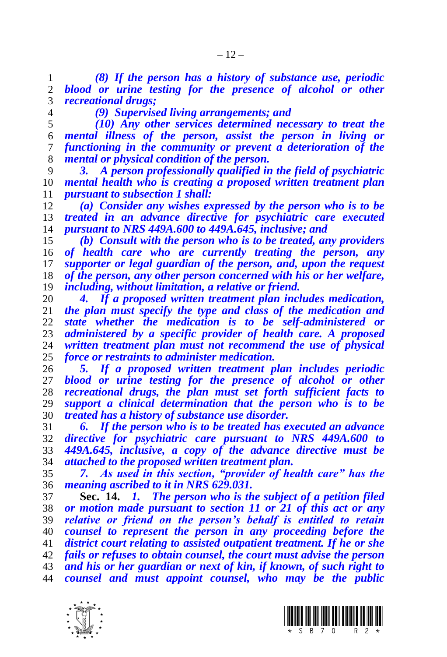*(8) If the person has a history of substance use, periodic blood or urine testing for the presence of alcohol or other recreational drugs;*

*(9) Supervised living arrangements; and*

 *(10) Any other services determined necessary to treat the mental illness of the person, assist the person in living or functioning in the community or prevent a deterioration of the mental or physical condition of the person.*

 *3. A person professionally qualified in the field of psychiatric mental health who is creating a proposed written treatment plan pursuant to subsection 1 shall:*

 *(a) Consider any wishes expressed by the person who is to be treated in an advance directive for psychiatric care executed pursuant to NRS 449A.600 to 449A.645, inclusive; and*

 *(b) Consult with the person who is to be treated, any providers of health care who are currently treating the person, any supporter or legal guardian of the person, and, upon the request of the person, any other person concerned with his or her welfare, including, without limitation, a relative or friend.*

 *4. If a proposed written treatment plan includes medication, the plan must specify the type and class of the medication and state whether the medication is to be self-administered or administered by a specific provider of health care. A proposed written treatment plan must not recommend the use of physical force or restraints to administer medication.*

 *5. If a proposed written treatment plan includes periodic blood or urine testing for the presence of alcohol or other recreational drugs, the plan must set forth sufficient facts to support a clinical determination that the person who is to be treated has a history of substance use disorder.*

 *6. If the person who is to be treated has executed an advance directive for psychiatric care pursuant to NRS 449A.600 to 449A.645, inclusive, a copy of the advance directive must be attached to the proposed written treatment plan.* 

 *7. As used in this section, "provider of health care" has the meaning ascribed to it in NRS 629.031.*

 **Sec. 14.** *1. The person who is the subject of a petition filed or motion made pursuant to section 11 or 21 of this act or any relative or friend on the person's behalf is entitled to retain counsel to represent the person in any proceeding before the district court relating to assisted outpatient treatment. If he or she fails or refuses to obtain counsel, the court must advise the person and his or her guardian or next of kin, if known, of such right to counsel and must appoint counsel, who may be the public* 



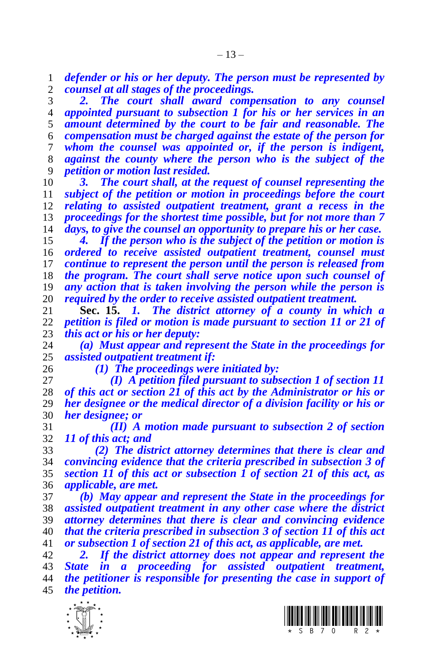*defender or his or her deputy. The person must be represented by counsel at all stages of the proceedings.*

 *2. The court shall award compensation to any counsel appointed pursuant to subsection 1 for his or her services in an amount determined by the court to be fair and reasonable. The compensation must be charged against the estate of the person for whom the counsel was appointed or, if the person is indigent, against the county where the person who is the subject of the petition or motion last resided.*

 *3. The court shall, at the request of counsel representing the subject of the petition or motion in proceedings before the court relating to assisted outpatient treatment, grant a recess in the proceedings for the shortest time possible, but for not more than 7 days, to give the counsel an opportunity to prepare his or her case.*

 *4. If the person who is the subject of the petition or motion is ordered to receive assisted outpatient treatment, counsel must continue to represent the person until the person is released from the program. The court shall serve notice upon such counsel of any action that is taken involving the person while the person is required by the order to receive assisted outpatient treatment.*

 **Sec. 15.** *1. The district attorney of a county in which a petition is filed or motion is made pursuant to section 11 or 21 of this act or his or her deputy:*

 *(a) Must appear and represent the State in the proceedings for assisted outpatient treatment if:*

*(1) The proceedings were initiated by:*

 *(I) A petition filed pursuant to subsection 1 of section 11 of this act or section 21 of this act by the Administrator or his or her designee or the medical director of a division facility or his or her designee; or*

 *(II) A motion made pursuant to subsection 2 of section 11 of this act; and*

 *(2) The district attorney determines that there is clear and convincing evidence that the criteria prescribed in subsection 3 of section 11 of this act or subsection 1 of section 21 of this act, as applicable, are met.*

 *(b) May appear and represent the State in the proceedings for assisted outpatient treatment in any other case where the district attorney determines that there is clear and convincing evidence that the criteria prescribed in subsection 3 of section 11 of this act or subsection 1 of section 21 of this act, as applicable, are met.*

 *2. If the district attorney does not appear and represent the State in a proceeding for assisted outpatient treatment, the petitioner is responsible for presenting the case in support of the petition.*



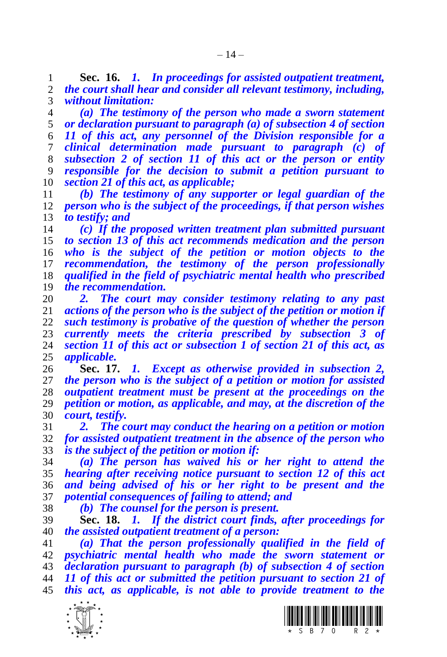**Sec. 16.** *1. In proceedings for assisted outpatient treatment, the court shall hear and consider all relevant testimony, including, without limitation:*

 *(a) The testimony of the person who made a sworn statement or declaration pursuant to paragraph (a) of subsection 4 of section 11 of this act, any personnel of the Division responsible for a clinical determination made pursuant to paragraph (c) of subsection 2 of section 11 of this act or the person or entity responsible for the decision to submit a petition pursuant to section 21 of this act, as applicable;*

 *(b) The testimony of any supporter or legal guardian of the person who is the subject of the proceedings, if that person wishes to testify; and*

 *(c) If the proposed written treatment plan submitted pursuant to section 13 of this act recommends medication and the person who is the subject of the petition or motion objects to the recommendation, the testimony of the person professionally qualified in the field of psychiatric mental health who prescribed the recommendation.*

 *2. The court may consider testimony relating to any past*  actions of the person who is the subject of the petition or motion if *such testimony is probative of the question of whether the person currently meets the criteria prescribed by subsection 3 of section 11 of this act or subsection 1 of section 21 of this act, as applicable.*

 **Sec. 17.** *1. Except as otherwise provided in subsection 2, the person who is the subject of a petition or motion for assisted outpatient treatment must be present at the proceedings on the petition or motion, as applicable, and may, at the discretion of the court, testify.*

 *2. The court may conduct the hearing on a petition or motion for assisted outpatient treatment in the absence of the person who is the subject of the petition or motion if:*

 *(a) The person has waived his or her right to attend the hearing after receiving notice pursuant to section 12 of this act and being advised of his or her right to be present and the potential consequences of failing to attend; and*

*(b) The counsel for the person is present.*

 **Sec. 18.** *1. If the district court finds, after proceedings for the assisted outpatient treatment of a person:*

 *(a) That the person professionally qualified in the field of psychiatric mental health who made the sworn statement or declaration pursuant to paragraph (b) of subsection 4 of section 11 of this act or submitted the petition pursuant to section 21 of this act, as applicable, is not able to provide treatment to the* 



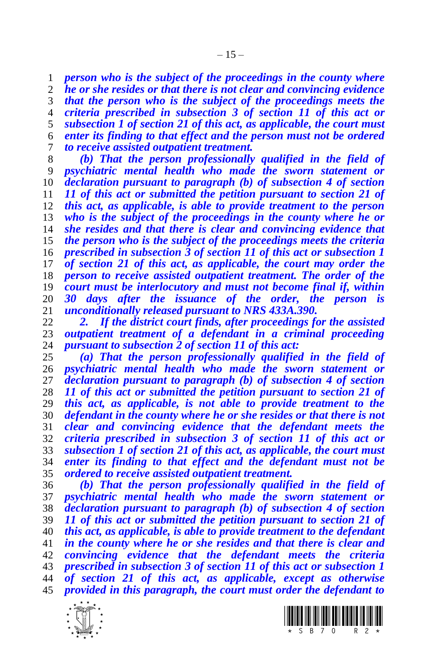*person who is the subject of the proceedings in the county where he or she resides or that there is not clear and convincing evidence that the person who is the subject of the proceedings meets the criteria prescribed in subsection 3 of section 11 of this act or subsection 1 of section 21 of this act, as applicable, the court must enter its finding to that effect and the person must not be ordered to receive assisted outpatient treatment.*

 *(b) That the person professionally qualified in the field of psychiatric mental health who made the sworn statement or declaration pursuant to paragraph (b) of subsection 4 of section 11 of this act or submitted the petition pursuant to section 21 of this act, as applicable, is able to provide treatment to the person who is the subject of the proceedings in the county where he or she resides and that there is clear and convincing evidence that the person who is the subject of the proceedings meets the criteria prescribed in subsection 3 of section 11 of this act or subsection 1 of section 21 of this act, as applicable, the court may order the person to receive assisted outpatient treatment. The order of the court must be interlocutory and must not become final if, within 30 days after the issuance of the order, the person is unconditionally released pursuant to NRS 433A.390.* 

 *2. If the district court finds, after proceedings for the assisted outpatient treatment of a defendant in a criminal proceeding pursuant to subsection 2 of section 11 of this act:*

 *(a) That the person professionally qualified in the field of psychiatric mental health who made the sworn statement or declaration pursuant to paragraph (b) of subsection 4 of section 11 of this act or submitted the petition pursuant to section 21 of this act, as applicable, is not able to provide treatment to the defendant in the county where he or she resides or that there is not clear and convincing evidence that the defendant meets the criteria prescribed in subsection 3 of section 11 of this act or subsection 1 of section 21 of this act, as applicable, the court must enter its finding to that effect and the defendant must not be ordered to receive assisted outpatient treatment.* 

 *(b) That the person professionally qualified in the field of psychiatric mental health who made the sworn statement or declaration pursuant to paragraph (b) of subsection 4 of section 11 of this act or submitted the petition pursuant to section 21 of this act, as applicable, is able to provide treatment to the defendant in the county where he or she resides and that there is clear and convincing evidence that the defendant meets the criteria prescribed in subsection 3 of section 11 of this act or subsection 1 of section 21 of this act, as applicable, except as otherwise provided in this paragraph, the court must order the defendant to* 



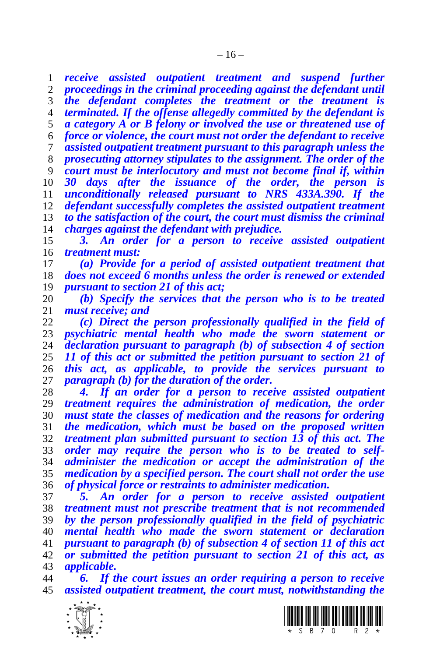*receive assisted outpatient treatment and suspend further proceedings in the criminal proceeding against the defendant until the defendant completes the treatment or the treatment is terminated. If the offense allegedly committed by the defendant is a category A or B felony or involved the use or threatened use of force or violence, the court must not order the defendant to receive assisted outpatient treatment pursuant to this paragraph unless the prosecuting attorney stipulates to the assignment. The order of the court must be interlocutory and must not become final if, within 30 days after the issuance of the order, the person is unconditionally released pursuant to NRS 433A.390. If the defendant successfully completes the assisted outpatient treatment to the satisfaction of the court, the court must dismiss the criminal charges against the defendant with prejudice.*

 *3. An order for a person to receive assisted outpatient treatment must:*

 *(a) Provide for a period of assisted outpatient treatment that does not exceed 6 months unless the order is renewed or extended pursuant to section 21 of this act;*

 *(b) Specify the services that the person who is to be treated must receive; and* 

 *(c) Direct the person professionally qualified in the field of psychiatric mental health who made the sworn statement or declaration pursuant to paragraph (b) of subsection 4 of section 11 of this act or submitted the petition pursuant to section 21 of this act, as applicable, to provide the services pursuant to paragraph (b) for the duration of the order.*

 *4. If an order for a person to receive assisted outpatient treatment requires the administration of medication, the order must state the classes of medication and the reasons for ordering the medication, which must be based on the proposed written treatment plan submitted pursuant to section 13 of this act. The order may require the person who is to be treated to self- administer the medication or accept the administration of the medication by a specified person. The court shall not order the use of physical force or restraints to administer medication.*

 *5. An order for a person to receive assisted outpatient treatment must not prescribe treatment that is not recommended by the person professionally qualified in the field of psychiatric mental health who made the sworn statement or declaration pursuant to paragraph (b) of subsection 4 of section 11 of this act or submitted the petition pursuant to section 21 of this act, as applicable.*

 *6. If the court issues an order requiring a person to receive assisted outpatient treatment, the court must, notwithstanding the* 



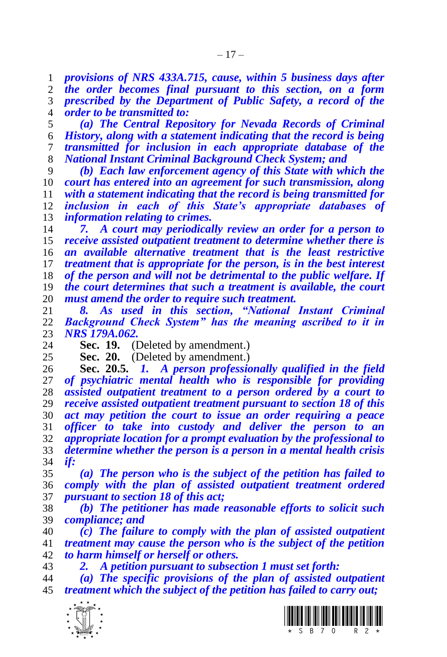*provisions of NRS 433A.715, cause, within 5 business days after the order becomes final pursuant to this section, on a form* 

 *prescribed by the Department of Public Safety, a record of the order to be transmitted to:*

 *(a) The Central Repository for Nevada Records of Criminal History, along with a statement indicating that the record is being transmitted for inclusion in each appropriate database of the National Instant Criminal Background Check System; and*

 *(b) Each law enforcement agency of this State with which the court has entered into an agreement for such transmission, along with a statement indicating that the record is being transmitted for inclusion in each of this State's appropriate databases of information relating to crimes.*

 *7. A court may periodically review an order for a person to receive assisted outpatient treatment to determine whether there is an available alternative treatment that is the least restrictive treatment that is appropriate for the person, is in the best interest of the person and will not be detrimental to the public welfare. If the court determines that such a treatment is available, the court must amend the order to require such treatment.*

 *8. As used in this section, "National Instant Criminal Background Check System" has the meaning ascribed to it in NRS 179A.062.*

**Sec. 19.** (Deleted by amendment.)

25 **Sec. 20.** (Deleted by amendment.)<br>26 **Sec. 20.5.** *I. A person professio* 

 **Sec. 20.5.** *1. A person professionally qualified in the field of psychiatric mental health who is responsible for providing assisted outpatient treatment to a person ordered by a court to receive assisted outpatient treatment pursuant to section 18 of this act may petition the court to issue an order requiring a peace officer to take into custody and deliver the person to an appropriate location for a prompt evaluation by the professional to determine whether the person is a person in a mental health crisis if:*

 *(a) The person who is the subject of the petition has failed to comply with the plan of assisted outpatient treatment ordered pursuant to section 18 of this act;* 

 *(b) The petitioner has made reasonable efforts to solicit such compliance; and*

 *(c) The failure to comply with the plan of assisted outpatient treatment may cause the person who is the subject of the petition to harm himself or herself or others.*

*2. A petition pursuant to subsection 1 must set forth:*

 *(a) The specific provisions of the plan of assisted outpatient treatment which the subject of the petition has failed to carry out;*



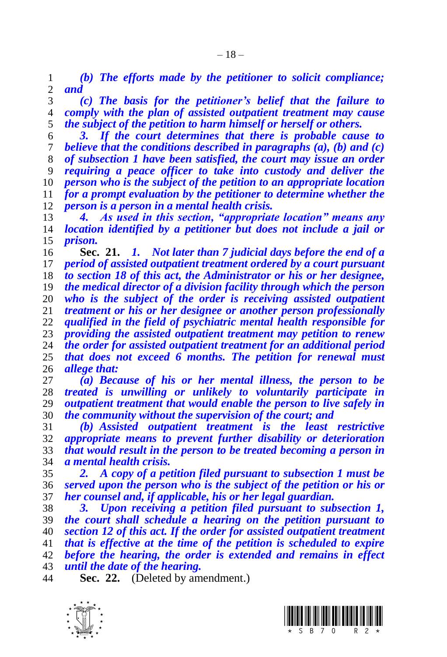*(b) The efforts made by the petitioner to solicit compliance; and*

 *(c) The basis for the petitioner's belief that the failure to comply with the plan of assisted outpatient treatment may cause the subject of the petition to harm himself or herself or others.*

 *3. If the court determines that there is probable cause to believe that the conditions described in paragraphs (a), (b) and (c) of subsection 1 have been satisfied, the court may issue an order requiring a peace officer to take into custody and deliver the person who is the subject of the petition to an appropriate location for a prompt evaluation by the petitioner to determine whether the person is a person in a mental health crisis.*

 *4. As used in this section, "appropriate location" means any location identified by a petitioner but does not include a jail or prison.*

 **Sec. 21.** *1. Not later than 7 judicial days before the end of a period of assisted outpatient treatment ordered by a court pursuant to section 18 of this act, the Administrator or his or her designee, the medical director of a division facility through which the person who is the subject of the order is receiving assisted outpatient treatment or his or her designee or another person professionally qualified in the field of psychiatric mental health responsible for providing the assisted outpatient treatment may petition to renew the order for assisted outpatient treatment for an additional period that does not exceed 6 months. The petition for renewal must allege that:* 

 *(a) Because of his or her mental illness, the person to be treated is unwilling or unlikely to voluntarily participate in outpatient treatment that would enable the person to live safely in the community without the supervision of the court; and*

 *(b) Assisted outpatient treatment is the least restrictive appropriate means to prevent further disability or deterioration that would result in the person to be treated becoming a person in a mental health crisis.*

 *2. A copy of a petition filed pursuant to subsection 1 must be served upon the person who is the subject of the petition or his or her counsel and, if applicable, his or her legal guardian.*

 *3. Upon receiving a petition filed pursuant to subsection 1, the court shall schedule a hearing on the petition pursuant to section 12 of this act. If the order for assisted outpatient treatment that is effective at the time of the petition is scheduled to expire before the hearing, the order is extended and remains in effect until the date of the hearing.*

**Sec. 22.** (Deleted by amendment.)



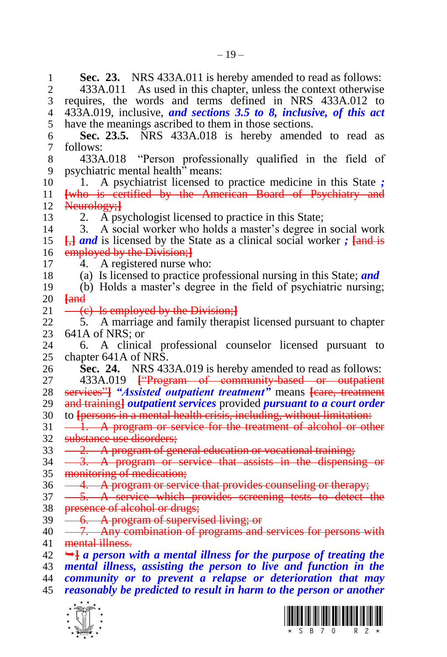**1 Sec. 23.** NRS 433A.011 is hereby amended to read as follows:<br>2 433A.011 As used in this chapter, unless the context otherwise 433A.011 As used in this chapter, unless the context otherwise requires, the words and terms defined in NRS 433A.012 to 433A.019, inclusive, *and sections 3.5 to 8, inclusive, of this act*  have the meanings ascribed to them in those sections. **Sec. 23.5.** NRS 433A.018 is hereby amended to read as follows: 433A.018 "Person professionally qualified in the field of psychiatric mental health" means: 1. A psychiatrist licensed to practice medicine in this State *;* **[**who is certified by the American Board of Psychiatry and Neurology;**]** 2. A psychologist licensed to practice in this State; 3. A social worker who holds a master's degree in social work **[**,**]** *and* is licensed by the State as a clinical social worker *;* **[**and is employed by the Division;**]** 4. A registered nurse who: (a) Is licensed to practice professional nursing in this State; *and* (b) Holds a master's degree in the field of psychiatric nursing;  $\begin{array}{r}\n 20 \ \hline\n 21 \ \hline\n \end{array}$   $\begin{array}{r}\n \overline{4} \\
\hline\n \end{array}$  (c) Is employed by the Division;**]** 5. A marriage and family therapist licensed pursuant to chapter 23 641A of NRS; or<br>24 6. A clinica 6. A clinical professional counselor licensed pursuant to chapter 641A of NRS. **Sec. 24.** NRS 433A.019 is hereby amended to read as follows: 433A.019 **[**"Program of community-based or outpatient services"**]** *"Assisted outpatient treatment"* means **[**care, treatment and training**]** *outpatient services* provided *pursuant to a court order* to **[**persons in a mental health crisis, including, without limitation:  $31 - \hat{1}$ . A program or service for the treatment of alcohol or other substance use disorders; 33 - 2. A program of general education or vocational training;  $34 \quad -3.$  A program or service that assists in the dispensing or monitoring of medication; 36 - 4. A program or service that provides counseling or therapy;  $37 - 5$ . A service which provides screening tests to detect the 38 presence of alcohol or drugs; 39 <del>- 6. A program of supervised living; or</del> 40 - 7. Any combination of programs and services for persons with mental illness.  $42 \rightarrow a$  person with a mental illness for the purpose of treating the *mental illness, assisting the person to live and function in the community or to prevent a relapse or deterioration that may reasonably be predicted to result in harm to the person or another* 



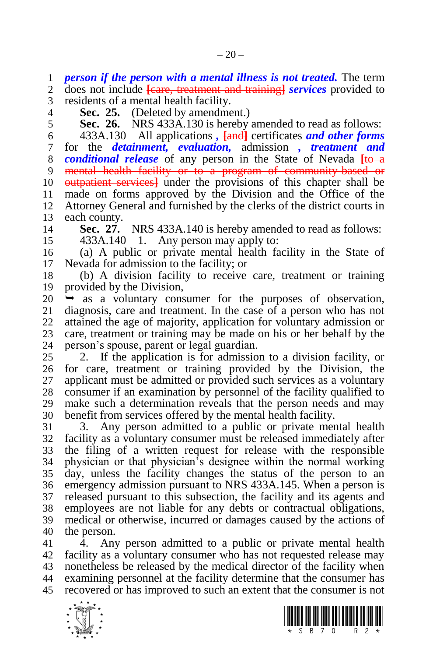*person if the person with a mental illness is not treated.* The term

 does not include **[**care, treatment and training**]** *services* provided to residents of a mental health facility.

**Sec. 25.** (Deleted by amendment.)

**Sec. 26.** NRS 433A.130 is hereby amended to read as follows:

 433A.130 All applications *,* **[**and**]** certificates *and other forms*  for the *detainment, evaluation,* admission *, treatment and conditional release* of any person in the State of Nevada **[**to a mental health facility or to a program of community-based or outpatient services**]** under the provisions of this chapter shall be made on forms approved by the Division and the Office of the Attorney General and furnished by the clerks of the district courts in each county.

**Sec. 27.** NRS 433A.140 is hereby amended to read as follows:

433A.140 1. Any person may apply to:

 (a) A public or private mental health facility in the State of Nevada for admission to the facility; or

 (b) A division facility to receive care, treatment or training provided by the Division,

20  $\rightarrow$  as a voluntary consumer for the purposes of observation, 21 diagnosis, care and treatment. In the case of a person who has not diagnosis, care and treatment. In the case of a person who has not attained the age of majority, application for voluntary admission or 23 care, treatment or training may be made on his or her behalf by the person's spouse, parent or legal guardian. person's spouse, parent or legal guardian.

 2. If the application is for admission to a division facility, or for care, treatment or training provided by the Division, the applicant must be admitted or provided such services as a voluntary consumer if an examination by personnel of the facility qualified to make such a determination reveals that the person needs and may benefit from services offered by the mental health facility.

 3. Any person admitted to a public or private mental health facility as a voluntary consumer must be released immediately after the filing of a written request for release with the responsible physician or that physician's designee within the normal working day, unless the facility changes the status of the person to an emergency admission pursuant to NRS 433A.145. When a person is released pursuant to this subsection, the facility and its agents and employees are not liable for any debts or contractual obligations, medical or otherwise, incurred or damages caused by the actions of the person.

 4. Any person admitted to a public or private mental health facility as a voluntary consumer who has not requested release may nonetheless be released by the medical director of the facility when examining personnel at the facility determine that the consumer has recovered or has improved to such an extent that the consumer is not



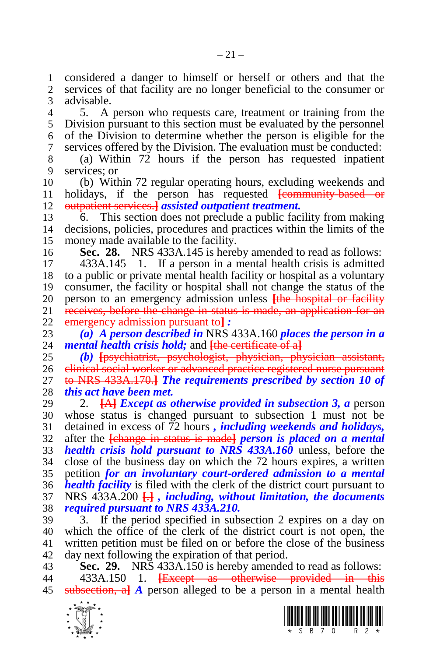considered a danger to himself or herself or others and that the services of that facility are no longer beneficial to the consumer or advisable.

 5. A person who requests care, treatment or training from the Division pursuant to this section must be evaluated by the personnel of the Division to determine whether the person is eligible for the services offered by the Division. The evaluation must be conducted:

 (a) Within 72 hours if the person has requested inpatient services; or

 (b) Within 72 regular operating hours, excluding weekends and holidays, if the person has requested **[**community-based or outpatient services.**]** *assisted outpatient treatment.*

 6. This section does not preclude a public facility from making decisions, policies, procedures and practices within the limits of the money made available to the facility.

**Sec. 28.** NRS 433A.145 is hereby amended to read as follows:

 433A.145 1. If a person in a mental health crisis is admitted to a public or private mental health facility or hospital as a voluntary consumer, the facility or hospital shall not change the status of the 20 person to an emergency admission unless <del>[the hospital or facility</del> 21 receives, before the change in status is made, an application for an receives, before the change in status is made, an application for an emergency admission pursuant to**]** *:*

 *(a) A person described in* NRS 433A.160 *places the person in a mental health crisis hold;* and **[**the certificate of a**]**

 *(b)* **[**psychiatrist, psychologist, physician, physician assistant, clinical social worker or advanced practice registered nurse pursuant to NRS 433A.170.**]** *The requirements prescribed by section 10 of this act have been met.*

 2. **[**A**]** *Except as otherwise provided in subsection 3, a* person whose status is changed pursuant to subsection 1 must not be detained in excess of 72 hours *, including weekends and holidays,* after the **[**change in status is made**]** *person is placed on a mental health crisis hold pursuant to NRS 433A.160* unless, before the close of the business day on which the 72 hours expires, a written petition *for an involuntary court-ordered admission to a mental health facility* is filed with the clerk of the district court pursuant to NRS 433A.200 **[**.**]** *, including, without limitation, the documents required pursuant to NRS 433A.210.*

 3. If the period specified in subsection 2 expires on a day on which the office of the clerk of the district court is not open, the written petition must be filed on or before the close of the business day next following the expiration of that period.

 **Sec. 29.** NRS 433A.150 is hereby amended to read as follows: 433A.150 1. **[**Except as otherwise provided in this subsection, a**]** *A* person alleged to be a person in a mental health



 $-21-$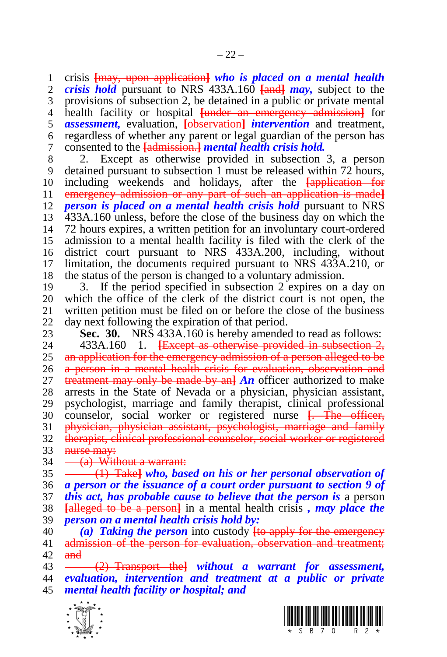crisis **[**may, upon application**]** *who is placed on a mental health crisis hold* pursuant to NRS 433A.160 **[**and**]** *may,* subject to the provisions of subsection 2, be detained in a public or private mental health facility or hospital **[**under an emergency admission**]** for *assessment,* evaluation, **[**observation**]** *intervention* and treatment, regardless of whether any parent or legal guardian of the person has consented to the **[**admission.**]** *mental health crisis hold.*

8 2. Except as otherwise provided in subsection 3, a person<br>9 detained pursuant to subsection 1 must be released within 72 hours. detained pursuant to subsection 1 must be released within 72 hours, including weekends and holidays, after the **[**application for emergency admission or any part of such an application is made**]** *person is placed on a mental health crisis hold* pursuant to NRS 433A.160 unless, before the close of the business day on which the 72 hours expires, a written petition for an involuntary court-ordered admission to a mental health facility is filed with the clerk of the district court pursuant to NRS 433A.200, including, without limitation, the documents required pursuant to NRS 433A.210, or the status of the person is changed to a voluntary admission.

 3. If the period specified in subsection 2 expires on a day on 20 which the office of the clerk of the district court is not open, the 21 written petition must be filed on or before the close of the business written petition must be filed on or before the close of the business day next following the expiration of that period.

**Sec. 30.** NRS 433A.160 is hereby amended to read as follows:<br>24 433A.160 1. <del>Fixed as otherwise provided in subsection 2.</del>

 433A.160 1. **[**Except as otherwise provided in subsection 2, 25 an application for the emergency admission of a person alleged to be 26 a person in a mental health crisis for evaluation, observation and treatment may only be made by an**]** *An* officer authorized to make arrests in the State of Nevada or a physician, physician assistant, psychologist, marriage and family therapist, clinical professional counselor, social worker or registered nurse **[**. The officer, 31 physician, physician assistant, psychologist, marriage and family therapist, clinical professional counselor, social worker or registered 33 <del>nurse may:</del>

 $34 - (a)$  Without a warrant:

 (1) Take**]** *who, based on his or her personal observation of a person or the issuance of a court order pursuant to section 9 of this act, has probable cause to believe that the person is* a person **[**alleged to be a person**]** in a mental health crisis *, may place the* 

- *person on a mental health crisis hold by:*
- *(a) Taking the person* into custody **[**to apply for the emergency 41 admission of the person for evaluation, observation and treatment; and

 (2) Transport the**]** *without a warrant for assessment, evaluation, intervention and treatment at a public or private mental health facility or hospital; and*



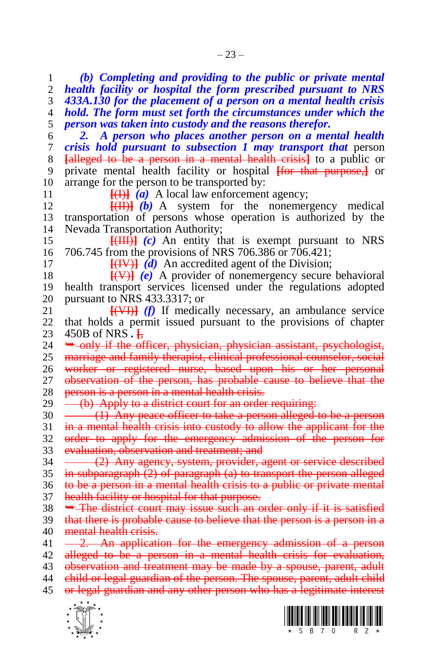$\frac{1}{\sqrt{2}}$  *2. A person who places another person on a mental health crisis hold pursuant to subsection 1 may transport that* person **[**alleged to be a person in a mental health crisis**]** to a public or private mental health facility or hospital **[**for that purpose,**]** or arrange for the person to be transported by:  $\frac{[H]}{(a)}$  A local law enforcement agency; **[**(II)**]** *(b)* A system for the nonemergency medical transportation of persons whose operation is authorized by the Nevada Transportation Authority; **[**(III)**]** *(c)* An entity that is exempt pursuant to NRS 706.745 from the provisions of NRS 706.386 or 706.421;  $\left\{\frac{f(W)}{g(x)}\right\}$  *(d)* An accredited agent of the Division; **[**(V)**]** *(e)* A provider of nonemergency secure behavioral health transport services licensed under the regulations adopted 20 pursuant to NRS 433.3317; or  $\frac{21}{(4 \times 11)}$  (f) If medical **[**(VI)**]** *(f)* If medically necessary, an ambulance service that holds a permit issued pursuant to the provisions of chapter 23 450B of NRS . <del>[,</del><br>24 <del>. only if the of</del> only if the officer, physician, physician assistant, psychologist, marriage and family therapist, clinical professional counselor, social worker or registered nurse, based upon his or her personal 27 observation of the person, has probable cause to believe that the 28 person is a person in a mental health crisis.  $29 \left( b \right)$  Apply to a district court for an order requiring: 30 (1) Any peace officer to take a person alleged to be a person 31 in a mental health crisis into custody to allow the applicant for the order to apply for the emergency admission of the person for evaluation, observation and treatment; and 34 (2) Any agency, system, provider, agent or service described in subparagraph (2) of paragraph (a) to transport the person alleged to be a person in a mental health crisis to a public or private mental health facility or hospital for that purpose.  $38 \rightarrow$  The district court may issue such an order only if it is satisfied 39 that there is probable cause to believe that the person is a person in a 40 mental health crisis.  $41 \quad -2.$  An application for the emergency admission of a person alleged to be a person in a mental health crisis for evaluation, 43 observation and treatment may be made by a spouse, parent, adult child or legal guardian of the person. The spouse, parent, adult child or legal guardian and any other person who has a legitimate interest

 *(b) Completing and providing to the public or private mental health facility or hospital the form prescribed pursuant to NRS 433A.130 for the placement of a person on a mental health crisis hold. The form must set forth the circumstances under which the* 

*person was taken into custody and the reasons therefor.*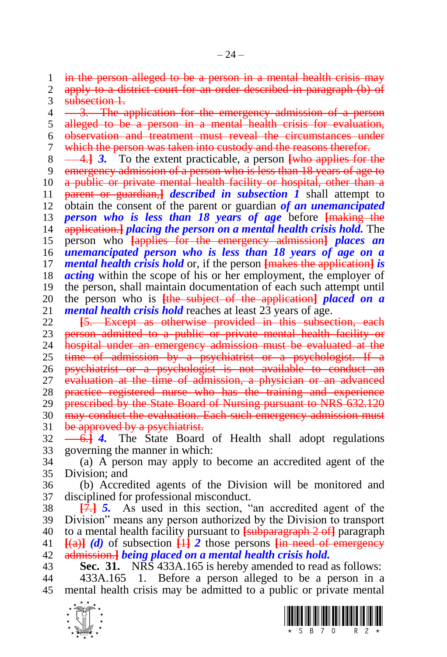$-24-$ 

in the person alleged to be a person in a mental health crisis may

2 apply to a district court for an order described in paragraph (b) of 3 subsection 1.

4 <del>3. The application for the emergency admission of a person</del>

 alleged to be a person in a mental health crisis for evaluation, observation and treatment must reveal the circumstances under

which the person was taken into custody and the reasons therefor.

4.**]** *3.* To the extent practicable, a person **[**who applies for the

emergency admission of a person who is less than 18 years of age to

a public or private mental health facility or hospital, other than a

parent or guardian,**]** *described in subsection 1* shall attempt to

 obtain the consent of the parent or guardian *of an unemancipated person who is less than 18 years of age* before **[**making the

application.**]** *placing the person on a mental health crisis hold.* The

 person who **[**applies for the emergency admission**]** *places an unemancipated person who is less than 18 years of age on a mental health crisis hold* or, if the person **[**makes the application**]** *is acting* within the scope of his or her employment, the employer of the person, shall maintain documentation of each such attempt until

 the person who is **[**the subject of the application**]** *placed on a mental health crisis hold* reaches at least 23 years of age.

 **[**5. Except as otherwise provided in this subsection, each 23 person admitted to a public or private mental health facility or<br>24 bospital under an emergency admission must be evaluated at the hospital under an emergency admission must be evaluated at the time of admission by a psychiatrist or a psychologist. If a psychiatrist or a psychologist is not available to conduct an evaluation at the time of admission, a physician or an advanced practice registered nurse who has the training and experience 29 prescribed by the State Board of Nursing pursuant to NRS 632.120 30 may conduct the evaluation. Each such emergency admission must 31 be approved by a psychiatrist.

 6.**]** *4.* The State Board of Health shall adopt regulations governing the manner in which:

 (a) A person may apply to become an accredited agent of the Division; and

 (b) Accredited agents of the Division will be monitored and disciplined for professional misconduct.

 **[**7.**]** *5.* As used in this section, "an accredited agent of the Division" means any person authorized by the Division to transport to a mental health facility pursuant to **[**subparagraph 2 of**]** paragraph  $\frac{[a]}{[a]}$  *(d)* of subsection  $\frac{[1]}{[1]}$  *2* those persons  $\frac{[a]}{[1]}$  meed of emergency admission.**]** *being placed on a mental health crisis hold.*

**Sec. 31.** NRS 433A.165 is hereby amended to read as follows:

 433A.165 1. Before a person alleged to be a person in a mental health crisis may be admitted to a public or private mental



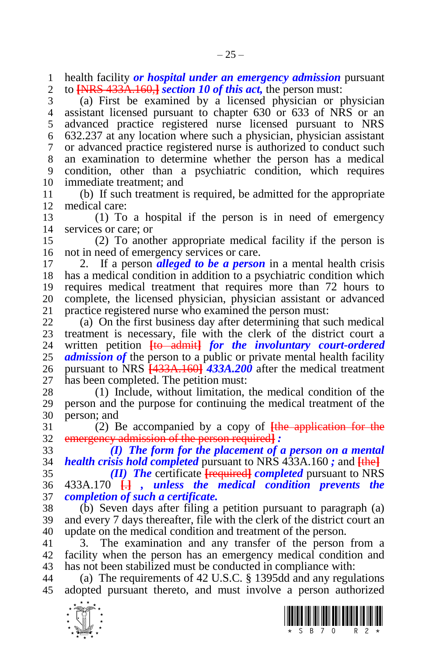health facility *or hospital under an emergency admission* pursuant to **[**NRS 433A.160,**]** *section 10 of this act,* the person must:

 (a) First be examined by a licensed physician or physician assistant licensed pursuant to chapter 630 or 633 of NRS or an advanced practice registered nurse licensed pursuant to NRS 632.237 at any location where such a physician, physician assistant or advanced practice registered nurse is authorized to conduct such an examination to determine whether the person has a medical condition, other than a psychiatric condition, which requires immediate treatment; and

 (b) If such treatment is required, be admitted for the appropriate medical care:

 (1) To a hospital if the person is in need of emergency services or care; or

 (2) To another appropriate medical facility if the person is not in need of emergency services or care.

 2. If a person *alleged to be a person* in a mental health crisis has a medical condition in addition to a psychiatric condition which requires medical treatment that requires more than 72 hours to 20 complete, the licensed physician, physician assistant or advanced practice registered nurse who examined the person must: practice registered nurse who examined the person must:

 (a) On the first business day after determining that such medical 23 treatment is necessary, file with the clerk of the district court a<br>24 written petition Hotel admited that in the *involuntary court-ordered*  written petition **[**to admit**]** *for the involuntary court-ordered admission of* the person to a public or private mental health facility pursuant to NRS **[**433A.160**]** *433A.200* after the medical treatment has been completed. The petition must:

 (1) Include, without limitation, the medical condition of the person and the purpose for continuing the medical treatment of the person; and

 (2) Be accompanied by a copy of **[**the application for the emergency admission of the person required**]** *:*

 *(I) The form for the placement of a person on a mental health crisis hold completed* pursuant to NRS 433A.160 *;* and **[**the**]**

 *(II) The* certificate **[**required**]** *completed* pursuant to NRS 433A.170 **[**.**]** *, unless the medical condition prevents the completion of such a certificate.*

 (b) Seven days after filing a petition pursuant to paragraph (a) and every 7 days thereafter, file with the clerk of the district court an update on the medical condition and treatment of the person.

 3. The examination and any transfer of the person from a facility when the person has an emergency medical condition and has not been stabilized must be conducted in compliance with:

 (a) The requirements of 42 U.S.C. § 1395dd and any regulations adopted pursuant thereto, and must involve a person authorized



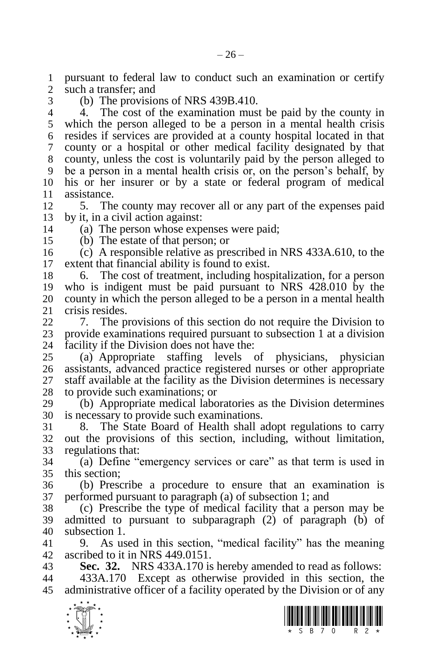pursuant to federal law to conduct such an examination or certify such a transfer; and

(b) The provisions of NRS 439B.410.

 4. The cost of the examination must be paid by the county in which the person alleged to be a person in a mental health crisis resides if services are provided at a county hospital located in that county or a hospital or other medical facility designated by that county, unless the cost is voluntarily paid by the person alleged to be a person in a mental health crisis or, on the person's behalf, by his or her insurer or by a state or federal program of medical assistance.

 5. The county may recover all or any part of the expenses paid by it, in a civil action against:

(a) The person whose expenses were paid;

(b) The estate of that person; or

 (c) A responsible relative as prescribed in NRS 433A.610, to the extent that financial ability is found to exist.

 6. The cost of treatment, including hospitalization, for a person who is indigent must be paid pursuant to NRS 428.010 by the 20 county in which the person alleged to be a person in a mental health crisis resides. crisis resides.

 7. The provisions of this section do not require the Division to 23 provide examinations required pursuant to subsection 1 at a division facility if the Division does not have the: facility if the Division does not have the:

 (a) Appropriate staffing levels of physicians, physician assistants, advanced practice registered nurses or other appropriate staff available at the facility as the Division determines is necessary to provide such examinations; or

 (b) Appropriate medical laboratories as the Division determines is necessary to provide such examinations.

 8. The State Board of Health shall adopt regulations to carry out the provisions of this section, including, without limitation, regulations that:

 (a) Define "emergency services or care" as that term is used in this section;

 (b) Prescribe a procedure to ensure that an examination is performed pursuant to paragraph (a) of subsection 1; and

 (c) Prescribe the type of medical facility that a person may be admitted to pursuant to subparagraph (2) of paragraph (b) of subsection 1.

 9. As used in this section, "medical facility" has the meaning ascribed to it in NRS 449.0151.

**Sec. 32.** NRS 433A.170 is hereby amended to read as follows:

 433A.170 Except as otherwise provided in this section, the administrative officer of a facility operated by the Division or of any



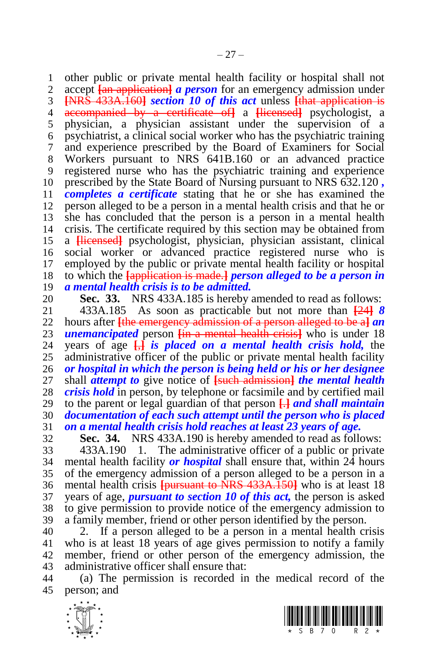1 other public or private mental health facility or hospital shall not 2 accent  $\frac{f_{an}}{f_{an}}$  and  $\frac{f_{an}}{f_{an}}$  and  $\frac{f_{an}}{f_{an}}$  and  $\frac{f_{an}}{f_{an}}$  are  $\frac{f_{an}}{f_{an}}$  and  $\frac{f_{an}}{f_{an}}$  and  $\frac{f_{an}}{f_{an}}$  and  $\frac{f_{an}}$  accept **[**an application**]** *a person* for an emergency admission under **[**NRS 433A.160**]** *section 10 of this act* unless **[**that application is accompanied by a certificate of**]** a **[**licensed**]** psychologist, a physician, a physician assistant under the supervision of a psychiatrist, a clinical social worker who has the psychiatric training and experience prescribed by the Board of Examiners for Social

 Workers pursuant to NRS 641B.160 or an advanced practice registered nurse who has the psychiatric training and experience prescribed by the State Board of Nursing pursuant to NRS 632.120 *, completes a certificate* stating that he or she has examined the person alleged to be a person in a mental health crisis and that he or she has concluded that the person is a person in a mental health crisis. The certificate required by this section may be obtained from a **[**licensed**]** psychologist, physician, physician assistant, clinical social worker or advanced practice registered nurse who is employed by the public or private mental health facility or hospital to which the **[**application is made.**]** *person alleged to be a person in a mental health crisis is to be admitted.*

**Sec. 33.** NRS 433A.185 is hereby amended to read as follows:<br>21 433A.185 As soon as practicable but not more than  $\frac{1241}{8}$  433A.185 As soon as practicable but not more than **[**24**]** *8*  hours after **[**the emergency admission of a person alleged to be a**]** *an*  **unemancipated** person <del>[in a mental health crisis]</del> who is under 18<br>24 vears of age **[interal is placed on a mental health crisis hold,** the years of age  $\overline{H}$  *is placed on a mental health crisis hold,* the administrative officer of the public or private mental health facility *or hospital in which the person is being held or his or her designee*  shall *attempt to* give notice of **[**such admission**]** *the mental health crisis hold* in person, by telephone or facsimile and by certified mail to the parent or legal guardian of that person **[**.**]** *and shall maintain documentation of each such attempt until the person who is placed on a mental health crisis hold reaches at least 23 years of age.*

**Sec. 34.** NRS 433A.190 is hereby amended to read as follows:

 433A.190 1. The administrative officer of a public or private mental health facility *or hospital* shall ensure that, within 24 hours of the emergency admission of a person alleged to be a person in a mental health crisis **[**pursuant to NRS 433A.150**]** who is at least 18 years of age, *pursuant to section 10 of this act,* the person is asked to give permission to provide notice of the emergency admission to a family member, friend or other person identified by the person.

 2. If a person alleged to be a person in a mental health crisis who is at least 18 years of age gives permission to notify a family member, friend or other person of the emergency admission, the administrative officer shall ensure that:

 (a) The permission is recorded in the medical record of the person; and

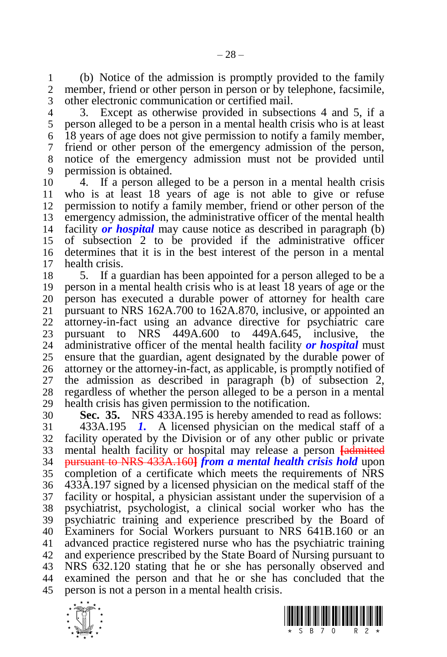(b) Notice of the admission is promptly provided to the family member, friend or other person in person or by telephone, facsimile, other electronic communication or certified mail.

 3. Except as otherwise provided in subsections 4 and 5, if a person alleged to be a person in a mental health crisis who is at least 18 years of age does not give permission to notify a family member, friend or other person of the emergency admission of the person, notice of the emergency admission must not be provided until permission is obtained.

 4. If a person alleged to be a person in a mental health crisis who is at least 18 years of age is not able to give or refuse permission to notify a family member, friend or other person of the emergency admission, the administrative officer of the mental health facility *or hospital* may cause notice as described in paragraph (b) of subsection 2 to be provided if the administrative officer determines that it is in the best interest of the person in a mental health crisis.

 5. If a guardian has been appointed for a person alleged to be a person in a mental health crisis who is at least 18 years of age or the 20 person has executed a durable power of attorney for health care<br>21 pursuant to NRS 162A.700 to 162A.870, inclusive, or appointed an pursuant to NRS 162A.700 to 162A.870, inclusive, or appointed an attorney-in-fact using an advance directive for psychiatric care 23 pursuant to NRS 449A.600 to 449A.645, inclusive, the administrative officer of the mental health facility **or hospital** must administrative officer of the mental health facility *or hospital* must ensure that the guardian, agent designated by the durable power of attorney or the attorney-in-fact, as applicable, is promptly notified of the admission as described in paragraph (b) of subsection 2, regardless of whether the person alleged to be a person in a mental health crisis has given permission to the notification.

 **Sec. 35.** NRS 433A.195 is hereby amended to read as follows: 433A.195 *1.* A licensed physician on the medical staff of a

 facility operated by the Division or of any other public or private mental health facility or hospital may release a person **[**admitted pursuant to NRS 433A.160**]** *from a mental health crisis hold* upon completion of a certificate which meets the requirements of NRS 433A.197 signed by a licensed physician on the medical staff of the facility or hospital, a physician assistant under the supervision of a psychiatrist, psychologist, a clinical social worker who has the psychiatric training and experience prescribed by the Board of Examiners for Social Workers pursuant to NRS 641B.160 or an advanced practice registered nurse who has the psychiatric training and experience prescribed by the State Board of Nursing pursuant to NRS 632.120 stating that he or she has personally observed and examined the person and that he or she has concluded that the person is not a person in a mental health crisis.



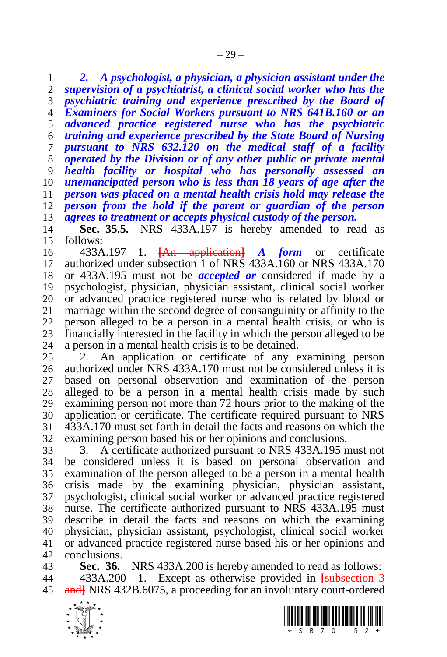*2. A psychologist, a physician, a physician assistant under the supervision of a psychiatrist, a clinical social worker who has the psychiatric training and experience prescribed by the Board of Examiners for Social Workers pursuant to NRS 641B.160 or an advanced practice registered nurse who has the psychiatric training and experience prescribed by the State Board of Nursing pursuant to NRS 632.120 on the medical staff of a facility operated by the Division or of any other public or private mental health facility or hospital who has personally assessed an unemancipated person who is less than 18 years of age after the person was placed on a mental health crisis hold may release the person from the hold if the parent or guardian of the person agrees to treatment or accepts physical custody of the person.* 

 **Sec. 35.5.** NRS 433A.197 is hereby amended to read as follows:

 433A.197 1. **[**An application**]** *A form* or certificate authorized under subsection 1 of NRS 433A.160 or NRS 433A.170 or 433A.195 must not be *accepted or* considered if made by a psychologist, physician, physician assistant, clinical social worker or advanced practice registered nurse who is related by blood or marriage within the second degree of consanguinity or affinity to the person alleged to be a person in a mental health crisis, or who is 23 financially interested in the facility in which the person alleged to be 24 a person in a mental health crisis is to be detained. a person in a mental health crisis is to be detained.

 2. An application or certificate of any examining person authorized under NRS 433A.170 must not be considered unless it is based on personal observation and examination of the person alleged to be a person in a mental health crisis made by such examining person not more than 72 hours prior to the making of the application or certificate. The certificate required pursuant to NRS 433A.170 must set forth in detail the facts and reasons on which the examining person based his or her opinions and conclusions.

 3. A certificate authorized pursuant to NRS 433A.195 must not be considered unless it is based on personal observation and examination of the person alleged to be a person in a mental health crisis made by the examining physician, physician assistant, psychologist, clinical social worker or advanced practice registered nurse. The certificate authorized pursuant to NRS 433A.195 must describe in detail the facts and reasons on which the examining physician, physician assistant, psychologist, clinical social worker or advanced practice registered nurse based his or her opinions and conclusions.

 **Sec. 36.** NRS 433A.200 is hereby amended to read as follows: 433A.200 1. Except as otherwise provided in **[**subsection 3 and**]** NRS 432B.6075, a proceeding for an involuntary court-ordered

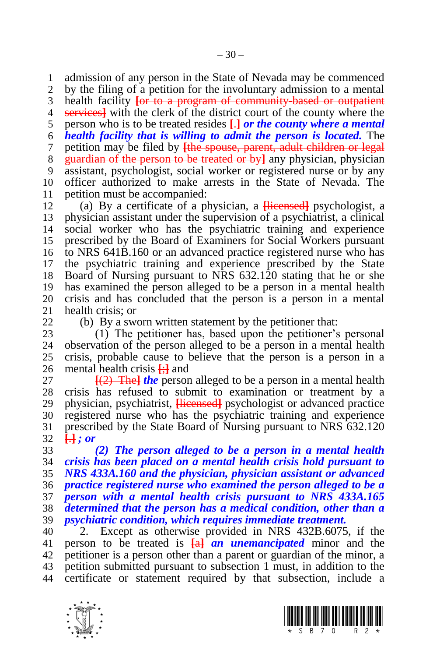admission of any person in the State of Nevada may be commenced by the filing of a petition for the involuntary admission to a mental health facility **[**or to a program of community-based or outpatient services**]** with the clerk of the district court of the county where the person who is to be treated resides **[**.**]** *or the county where a mental health facility that is willing to admit the person is located.* The petition may be filed by **[**the spouse, parent, adult children or legal guardian of the person to be treated or by**]** any physician, physician assistant, psychologist, social worker or registered nurse or by any officer authorized to make arrests in the State of Nevada. The

11 petition must be accompanied:<br>12 (a) By a certificate of a pl (a) By a certificate of a physician, a **[**licensed**]** psychologist, a physician assistant under the supervision of a psychiatrist, a clinical social worker who has the psychiatric training and experience prescribed by the Board of Examiners for Social Workers pursuant to NRS 641B.160 or an advanced practice registered nurse who has the psychiatric training and experience prescribed by the State Board of Nursing pursuant to NRS 632.120 stating that he or she has examined the person alleged to be a person in a mental health crisis and has concluded that the person is a person in a mental 21 health crisis; or<br>22 (b) By a sweet

 $(b)$  By a sworn written statement by the petitioner that:

 (1) The petitioner has, based upon the petitioner's personal observation of the person alleged to be a person in a mental health crisis, probable cause to believe that the person is a person in a mental health crisis **[**;**]** and

 $\frac{[2]}{[2]}$  The *i he* person alleged to be a person in a mental health crisis has refused to submit to examination or treatment by a physician, psychiatrist, **[**licensed**]** psychologist or advanced practice registered nurse who has the psychiatric training and experience prescribed by the State Board of Nursing pursuant to NRS 632.120 **[**.**]** *; or*

 *(2) The person alleged to be a person in a mental health crisis has been placed on a mental health crisis hold pursuant to NRS 433A.160 and the physician, physician assistant or advanced practice registered nurse who examined the person alleged to be a person with a mental health crisis pursuant to NRS 433A.165 determined that the person has a medical condition, other than a psychiatric condition, which requires immediate treatment.*

 2. Except as otherwise provided in NRS 432B.6075, if the person to be treated is **[**a**]** *an unemancipated* minor and the petitioner is a person other than a parent or guardian of the minor, a petition submitted pursuant to subsection 1 must, in addition to the certificate or statement required by that subsection, include a



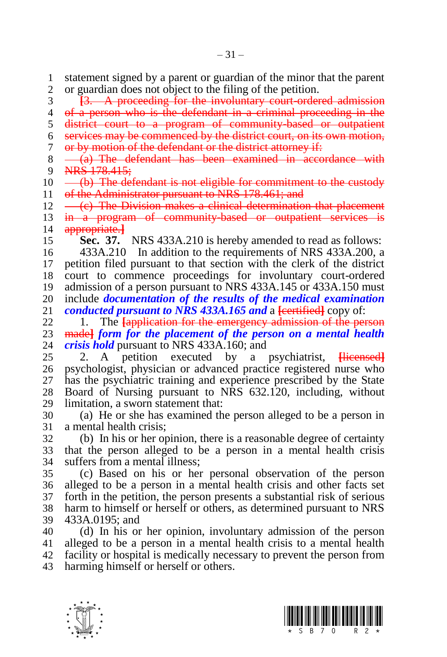statement signed by a parent or guardian of the minor that the parent or guardian does not object to the filing of the petition.

**[**3. A proceeding for the involuntary court-ordered admission

of a person who is the defendant in a criminal proceeding in the

district court to a program of community-based or outpatient

services may be commenced by the district court, on its own motion,

or by motion of the defendant or the district attorney if:

8  $-$  (a) The defendant has been examined in accordance with 9 NRS  $178.415$ : NRS 178.415;

 $10 \left( \frac{b}{b} \right)$  The defendant is not eligible for commitment to the custody 11 of the Administrator pursuant to NRS 178.461; and

 $12 \left( \left( \text{c} \right) \right)$  The Division makes a clinical determination that placement 13 in a program of community-based or outpatient services is appropriate.**]**

**Sec. 37.** NRS 433A.210 is hereby amended to read as follows:

 433A.210 In addition to the requirements of NRS 433A.200, a petition filed pursuant to that section with the clerk of the district court to commence proceedings for involuntary court-ordered admission of a person pursuant to NRS 433A.145 or 433A.150 must include *documentation of the results of the medical examination conducted pursuant to NRS 433A.165 and* a <del>[certified]</del> copy of:<br>22. 1 The <del>Lapplication for the emergency admission of the per</del>

1. The **Lapplication for the emergency admission of the person** 23 madel form for the placement of the person on a mental health 24 crisis hold pursuant to NRS 433A.160; and *crisis hold* pursuant to NRS 433A.160; and

 2. A petition executed by a psychiatrist, **[**licensed**]** psychologist, physician or advanced practice registered nurse who has the psychiatric training and experience prescribed by the State Board of Nursing pursuant to NRS 632.120, including, without limitation, a sworn statement that:

 (a) He or she has examined the person alleged to be a person in a mental health crisis;

 (b) In his or her opinion, there is a reasonable degree of certainty that the person alleged to be a person in a mental health crisis suffers from a mental illness;

 (c) Based on his or her personal observation of the person alleged to be a person in a mental health crisis and other facts set forth in the petition, the person presents a substantial risk of serious harm to himself or herself or others, as determined pursuant to NRS 433A.0195; and

 (d) In his or her opinion, involuntary admission of the person alleged to be a person in a mental health crisis to a mental health facility or hospital is medically necessary to prevent the person from harming himself or herself or others.



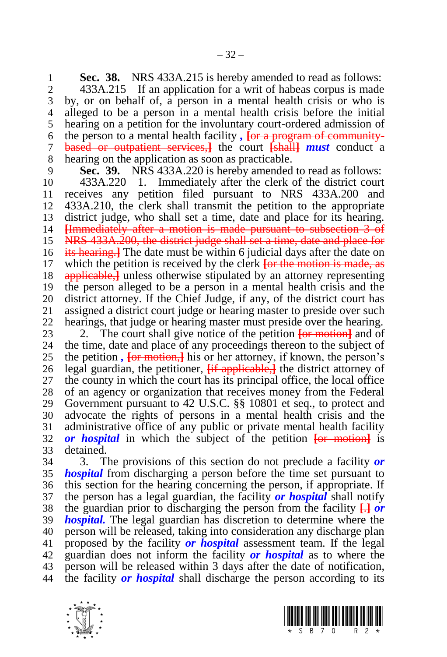**Sec. 38.** NRS 433A.215 is hereby amended to read as follows:<br>2. 433A.215 If an application for a writ of habeas corpus is made

 433A.215 If an application for a writ of habeas corpus is made by, or on behalf of, a person in a mental health crisis or who is alleged to be a person in a mental health crisis before the initial hearing on a petition for the involuntary court-ordered admission of the person to a mental health facility *,* **[**or a program of community- based or outpatient services,**]** the court **[**shall**]** *must* conduct a hearing on the application as soon as practicable.

**Sec. 39.** NRS 433A.220 is hereby amended to read as follows:

 433A.220 1. Immediately after the clerk of the district court receives any petition filed pursuant to NRS 433A.200 and 433A.210, the clerk shall transmit the petition to the appropriate district judge, who shall set a time, date and place for its hearing. **[**Immediately after a motion is made pursuant to subsection 3 of NRS 433A.200, the district judge shall set a time, date and place for its hearing.**]** The date must be within 6 judicial days after the date on which the petition is received by the clerk **[**or the motion is made, as applicable,**]** unless otherwise stipulated by an attorney representing the person alleged to be a person in a mental health crisis and the 20 district attorney. If the Chief Judge, if any, of the district court has 21 assigned a district court judge or hearing master to preside over such assigned a district court judge or hearing master to preside over such hearings, that judge or hearing master must preside over the hearing.

23 2. The court shall give notice of the petition  $\overline{\text{for motion}}$  and of 24 the time, date and place of any proceedings thereon to the subject of the time, date and place of any proceedings thereon to the subject of the petition *,* **[**or motion,**]** his or her attorney, if known, the person's legal guardian, the petitioner, **[**if applicable,**]** the district attorney of the county in which the court has its principal office, the local office of an agency or organization that receives money from the Federal Government pursuant to 42 U.S.C. §§ 10801 et seq., to protect and advocate the rights of persons in a mental health crisis and the administrative office of any public or private mental health facility *or hospital* in which the subject of the petition **[**or motion**]** is detained.

 3. The provisions of this section do not preclude a facility *or hospital* from discharging a person before the time set pursuant to this section for the hearing concerning the person, if appropriate. If the person has a legal guardian, the facility *or hospital* shall notify the guardian prior to discharging the person from the facility **[**.**]** *or hospital.* The legal guardian has discretion to determine where the person will be released, taking into consideration any discharge plan proposed by the facility *or hospital* assessment team. If the legal guardian does not inform the facility *or hospital* as to where the person will be released within 3 days after the date of notification, the facility *or hospital* shall discharge the person according to its



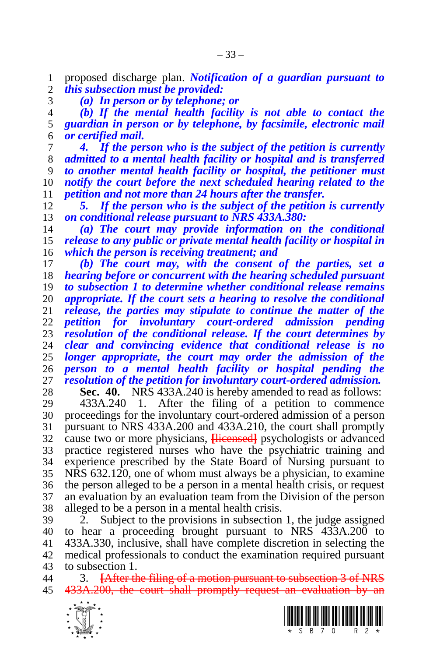proposed discharge plan. *Notification of a guardian pursuant to this subsection must be provided:*

*(a) In person or by telephone; or*

 *(b) If the mental health facility is not able to contact the guardian in person or by telephone, by facsimile, electronic mail or certified mail.*

 *4. If the person who is the subject of the petition is currently admitted to a mental health facility or hospital and is transferred to another mental health facility or hospital, the petitioner must notify the court before the next scheduled hearing related to the petition and not more than 24 hours after the transfer.*

 *5. If the person who is the subject of the petition is currently on conditional release pursuant to NRS 433A.380:*

 *(a) The court may provide information on the conditional release to any public or private mental health facility or hospital in which the person is receiving treatment; and*

 *(b) The court may, with the consent of the parties, set a hearing before or concurrent with the hearing scheduled pursuant to subsection 1 to determine whether conditional release remains appropriate. If the court sets a hearing to resolve the conditional release, the parties may stipulate to continue the matter of the petition for involuntary court-ordered admission pending resolution of the conditional release. If the court determines by clear and convincing evidence that conditional release is no longer appropriate, the court may order the admission of the person to a mental health facility or hospital pending the resolution of the petition for involuntary court-ordered admission.*

**Sec. 40.** NRS 433A.240 is hereby amended to read as follows:

 433A.240 1. After the filing of a petition to commence proceedings for the involuntary court-ordered admission of a person pursuant to NRS 433A.200 and 433A.210, the court shall promptly cause two or more physicians, **[**licensed**]** psychologists or advanced practice registered nurses who have the psychiatric training and experience prescribed by the State Board of Nursing pursuant to NRS 632.120, one of whom must always be a physician, to examine the person alleged to be a person in a mental health crisis, or request an evaluation by an evaluation team from the Division of the person alleged to be a person in a mental health crisis.

 2. Subject to the provisions in subsection 1, the judge assigned to hear a proceeding brought pursuant to NRS 433A.200 to 433A.330, inclusive, shall have complete discretion in selecting the medical professionals to conduct the examination required pursuant to subsection 1.

 3. **[**After the filing of a motion pursuant to subsection 3 of NRS 433A.200, the court shall promptly request an evaluation by an



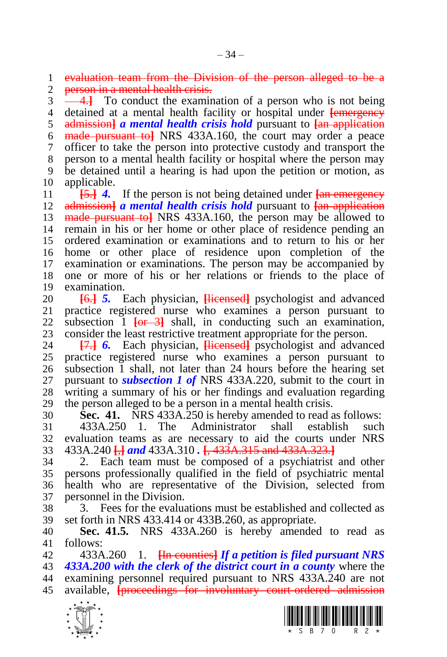evaluation team from the Division of the person alleged to be a 2 person in a mental health crisis.

**4.** To conduct the examination of a person who is not being detained at a mental health facility or hospital under **[**emergency admission**]** *a mental health crisis hold* pursuant to **[**an application made pursuant to**]** NRS 433A.160, the court may order a peace officer to take the person into protective custody and transport the person to a mental health facility or hospital where the person may be detained until a hearing is had upon the petition or motion, as applicable.

 **[**5.**]** *4.* If the person is not being detained under **[**an emergency admission**]** *a mental health crisis hold* pursuant to **[**an application made pursuant to**]** NRS 433A.160, the person may be allowed to remain in his or her home or other place of residence pending an ordered examination or examinations and to return to his or her home or other place of residence upon completion of the examination or examinations. The person may be accompanied by one or more of his or her relations or friends to the place of examination.

 **[**6.**]** *5.* Each physician, **[**licensed**]** psychologist and advanced practice registered nurse who examines a person pursuant to subsection 1 **[**or 3**]** shall, in conducting such an examination, 23 consider the least restrictive treatment appropriate for the person.<br>24  $\overline{17}$  6. Each physician. Hierogeth psychologist and advant

 **[**7.**]** *6.* Each physician, **[**licensed**]** psychologist and advanced practice registered nurse who examines a person pursuant to subsection 1 shall, not later than 24 hours before the hearing set pursuant to *subsection 1 of* NRS 433A.220, submit to the court in writing a summary of his or her findings and evaluation regarding the person alleged to be a person in a mental health crisis.

 **Sec. 41.** NRS 433A.250 is hereby amended to read as follows: 433A.250 1. The Administrator shall establish such evaluation teams as are necessary to aid the courts under NRS 433A.240 **[**,**]** *and* 433A.310 *.* **[**, 433A.315 and 433A.323.**]**

 2. Each team must be composed of a psychiatrist and other persons professionally qualified in the field of psychiatric mental health who are representative of the Division, selected from personnel in the Division.

 3. Fees for the evaluations must be established and collected as set forth in NRS 433.414 or 433B.260, as appropriate.

 **Sec. 41.5.** NRS 433A.260 is hereby amended to read as follows:

 433A.260 1. **[**In counties**]** *If a petition is filed pursuant NRS 433A.200 with the clerk of the district court in a county* where the examining personnel required pursuant to NRS 433A.240 are not available, **[**proceedings for involuntary court-ordered admission



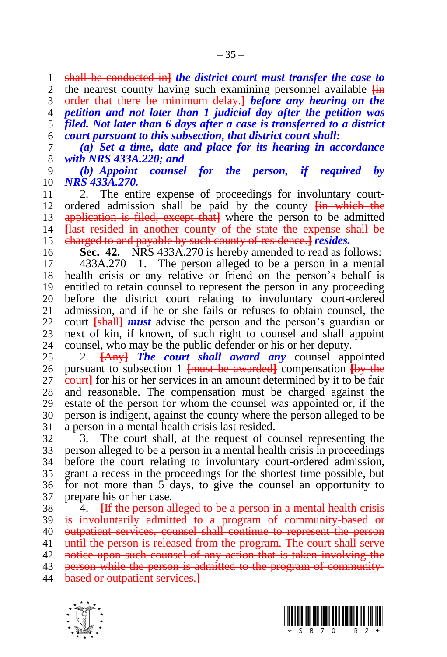shall be conducted in**]** *the district court must transfer the case to* 

 the nearest county having such examining personnel available **[**in order that there be minimum delay.**]** *before any hearing on the* 

 *petition and not later than 1 judicial day after the petition was filed. Not later than 6 days after a case is transferred to a district court pursuant to this subsection, that district court shall:*

 *(a) Set a time, date and place for its hearing in accordance with NRS 433A.220; and*

 *(b) Appoint counsel for the person, if required by NRS 433A.270.* 

 2. The entire expense of proceedings for involuntary court- ordered admission shall be paid by the county **[**in which the application is filed, except that**]** where the person to be admitted **[**last resided in another county of the state the expense shall be charged to and payable by such county of residence.**]** *resides.*

**Sec. 42.** NRS 433A.270 is hereby amended to read as follows:

 433A.270 1. The person alleged to be a person in a mental health crisis or any relative or friend on the person's behalf is entitled to retain counsel to represent the person in any proceeding before the district court relating to involuntary court-ordered admission, and if he or she fails or refuses to obtain counsel, the court **[**shall**]** *must* advise the person and the person's guardian or 23 next of kin, if known, of such right to counsel and shall appoint counsel, who may be the public defender or his or her deputy. counsel, who may be the public defender or his or her deputy.

 2. **[**Any**]** *The court shall award any* counsel appointed pursuant to subsection 1 **[**must be awarded**]** compensation **[**by the court**]** for his or her services in an amount determined by it to be fair and reasonable. The compensation must be charged against the estate of the person for whom the counsel was appointed or, if the person is indigent, against the county where the person alleged to be a person in a mental health crisis last resided.

 3. The court shall, at the request of counsel representing the person alleged to be a person in a mental health crisis in proceedings before the court relating to involuntary court-ordered admission, grant a recess in the proceedings for the shortest time possible, but for not more than 5 days, to give the counsel an opportunity to prepare his or her case.

 4. **[**If the person alleged to be a person in a mental health crisis is involuntarily admitted to a program of community-based or outpatient services, counsel shall continue to represent the person until the person is released from the program. The court shall serve notice upon such counsel of any action that is taken involving the 43 person while the person is admitted to the program of community-based or outpatient services.**]**



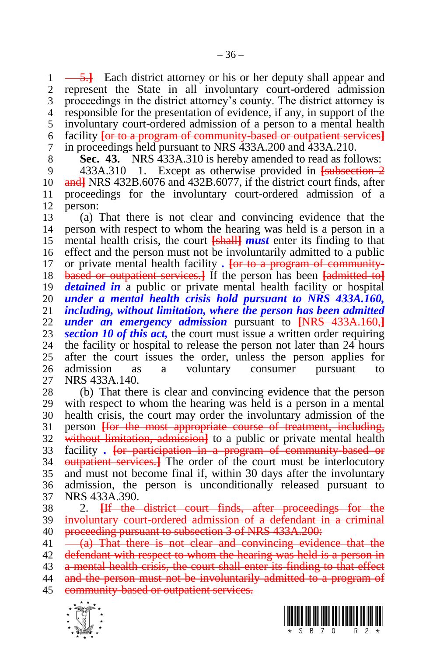$\rightarrow$  5.<sup>1</sup> Each district attorney or his or her deputy shall appear and represent the State in all involuntary court-ordered admission proceedings in the district attorney's county. The district attorney is responsible for the presentation of evidence, if any, in support of the involuntary court-ordered admission of a person to a mental health facility **[**or to a program of community-based or outpatient services**]** in proceedings held pursuant to NRS 433A.200 and 433A.210.

**Sec. 43.** NRS 433A.310 is hereby amended to read as follows:

 433A.310 1. Except as otherwise provided in **[**subsection 2 and**]** NRS 432B.6076 and 432B.6077, if the district court finds, after proceedings for the involuntary court-ordered admission of a person:

 (a) That there is not clear and convincing evidence that the person with respect to whom the hearing was held is a person in a mental health crisis, the court **[**shall**]** *must* enter its finding to that effect and the person must not be involuntarily admitted to a public or private mental health facility *.* **[**or to a program of community- based or outpatient services.**]** If the person has been **[**admitted to**]** *detained in* a public or private mental health facility or hospital *under a mental health crisis hold pursuant to NRS 433A.160,*  including, without limitation, where the person has been admitted *under an emergency admission* pursuant to **[**NRS 433A.160,**] section 10 of this act,** the court must issue a written order requiring the facility or hospital to release the person not later than 24 hours the facility or hospital to release the person not later than 24 hours after the court issues the order, unless the person applies for admission as a voluntary consumer pursuant to NRS 433A.140.

 (b) That there is clear and convincing evidence that the person with respect to whom the hearing was held is a person in a mental health crisis, the court may order the involuntary admission of the person **[**for the most appropriate course of treatment, including, without limitation, admission**]** to a public or private mental health facility *.* **[**or participation in a program of community-based or outpatient services.**]** The order of the court must be interlocutory and must not become final if, within 30 days after the involuntary admission, the person is unconditionally released pursuant to NRS 433A.390.

 2. **[**If the district court finds, after proceedings for the involuntary court-ordered admission of a defendant in a criminal 40 proceeding pursuant to subsection 3 of NRS 433A.200:

 $41 -\frac{a}{b}$  That there is not clear and convincing evidence that the 42 defendant with respect to whom the hearing was held is a person in 43 a mental health crisis, the court shall enter its finding to that effect

and the person must not be involuntarily admitted to a program of

45 community-based or outpatient services.



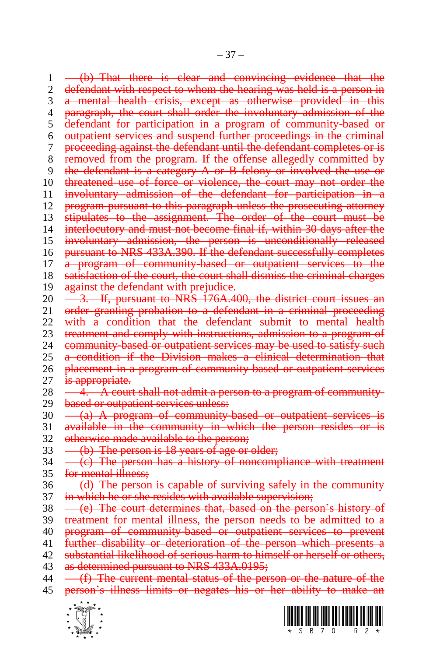1 (b) That there is clear and convincing evidence that the 2 defendant with respect to whom the hearing was held is a person in 3 a mental health crisis, except as otherwise provided in this 4 paragraph, the court shall order the involuntary admission of the 5 defendant for participation in a program of community-based or 6 outpatient services and suspend further proceedings in the criminal 7 proceeding against the defendant until the defendant completes or is 8 removed from the program. If the offense allegedly committed by 9 the defendant is a category A or B felony or involved the use or 10 threatened use of force or violence, the court may not order the 11 involuntary admission of the defendant for participation in a 12 program pursuant to this paragraph unless the prosecuting attorney 13 stipulates to the assignment. The order of the court must be 14 interlocutory and must not become final if, within 30 days after the 15 involuntary admission, the person is unconditionally released 16 pursuant to NRS 433A.390. If the defendant successfully completes 17 a program of community-based or outpatient services to the 18 satisfaction of the court, the court shall dismiss the criminal charges 19 against the defendant with prejudice. 20 <del>3. If, pursuant to NRS 176A.400, the district court issues an</del> 21 order granting probation to a defendant in a criminal proceeding 22 with a condition that the defendant submit to mental health 23 treatment and comply with instructions, admission to a program of 24 community based or outpations services may be used to satisfy such  $a_1$  community-based or outpatient services may be used to satisfy such 25 a condition if the Division makes a clinical determination that 26 placement in a program of community-based or outpatient services 27 is appropriate.  $28 \longrightarrow \frac{4}{1}$ . A court shall not admit a person to a program of community-29 based or outpatient services unless: 30 (a) A program of community-based or outpatient services is 31 available in the community in which the person resides or is 32 otherwise made available to the person;  $33 \left( b \right)$  The person is 18 years of age or older;  $34 \left($   $\left($   $\epsilon\right)$  The person has a history of noncompliance with treatment 35 for mental illness;  $36 \left( -\frac{d}{d} \right)$  The person is capable of surviving safely in the community 37 in which he or she resides with available supervision; 38 – (e) The court determines that, based on the person's history of 39 treatment for mental illness, the person needs to be admitted to a 40 program of community-based or outpatient services to prevent 41 further disability or deterioration of the person which presents a 42 substantial likelihood of serious harm to himself or herself or others, 43 as determined pursuant to NRS 433A.0195;  $44$  -  $(f)$  The current mental status of the person or the nature of the 45 person's illness limits or negates his or her ability to make an



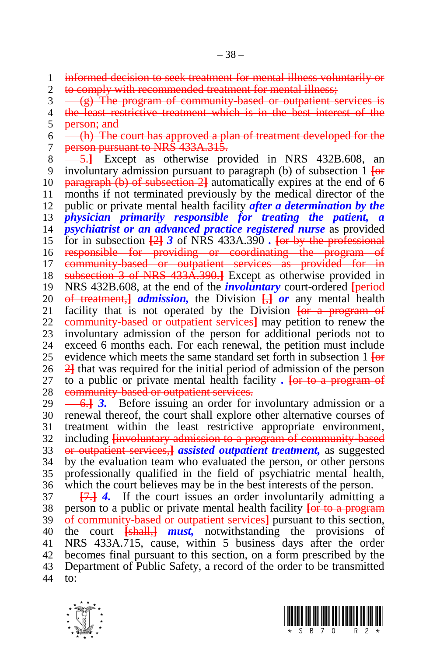informed decision to seek treatment for mental illness voluntarily or to comply with recommended treatment for mental illness;

 $3 \left( \frac{1}{2} \right)$  The program of community-based or outpatient services is

4 the least restrictive treatment which is in the best interest of the 5 person; and

 $6 \leftarrow$  (h) The court has approved a plan of treatment developed for the 7 person pursuant to NRS 433A.315.

8 - 5.<sup>1</sup> Except as otherwise provided in NRS 432B.608, an involuntary admission pursuant to paragraph (b) of subsection 1 **[**or paragraph (b) of subsection 2**]** automatically expires at the end of 6 months if not terminated previously by the medical director of the public or private mental health facility *after a determination by the physician primarily responsible for treating the patient, a psychiatrist or an advanced practice registered nurse* as provided for in subsection **[**2**]** *3* of NRS 433A.390 *.* **[**or by the professional responsible for providing or coordinating the program of 17 community-based or outpatient services as provided for in subsection 3 of NRS 433A.390.**]** Except as otherwise provided in NRS 432B.608, at the end of the *involuntary* court-ordered **[**period 20 <del>of treatment, *admission*, the Division  $\frac{1}{2}$  *or* any mental health 21 facility that is not operated by the Division  $\frac{1}{2}$  for a program of</del> facility that is not operated by the Division **[or a program of**  community-based or outpatient services**]** may petition to renew the 23 involuntary admission of the person for additional periods not to 24 exceed 6 months each. For each renewal, the pertition must include exceed 6 months each. For each renewal, the petition must include evidence which meets the same standard set forth in subsection 1 **[**or 2**]** that was required for the initial period of admission of the person to a public or private mental health facility *.* **[**or to a program of 28 community-based or outpatient services.

29 <del>6.1</del> 3. Before issuing an order for involuntary admission or a renewal thereof, the court shall explore other alternative courses of treatment within the least restrictive appropriate environment, including **[**involuntary admission to a program of community-based or outpatient services,**]** *assisted outpatient treatment,* as suggested by the evaluation team who evaluated the person, or other persons professionally qualified in the field of psychiatric mental health, which the court believes may be in the best interests of the person.

 **[**7.**]** *4.* If the court issues an order involuntarily admitting a person to a public or private mental health facility **[**or to a program of community-based or outpatient services**]** pursuant to this section, the court **[**shall,**]** *must,* notwithstanding the provisions of NRS 433A.715, cause, within 5 business days after the order becomes final pursuant to this section, on a form prescribed by the Department of Public Safety, a record of the order to be transmitted to:



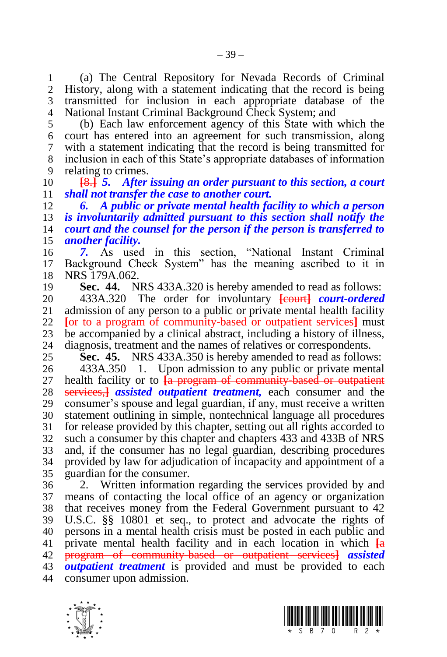(a) The Central Repository for Nevada Records of Criminal History, along with a statement indicating that the record is being transmitted for inclusion in each appropriate database of the National Instant Criminal Background Check System; and

 (b) Each law enforcement agency of this State with which the court has entered into an agreement for such transmission, along with a statement indicating that the record is being transmitted for inclusion in each of this State's appropriate databases of information relating to crimes.

 **[**8.**]** *5. After issuing an order pursuant to this section, a court shall not transfer the case to another court.*

 *6. A public or private mental health facility to which a person is involuntarily admitted pursuant to this section shall notify the court and the counsel for the person if the person is transferred to another facility.*

 *7.* As used in this section, "National Instant Criminal Background Check System" has the meaning ascribed to it in NRS 179A.062.

**Sec. 44.** NRS 433A.320 is hereby amended to read as follows:

20 433A.320 The order for involuntary **[court]** *court-ordered* 21 admission of any person to a public or private mental health facility admission of any person to a public or private mental health facility **[**or to a program of community-based or outpatient services**]** must 23 be accompanied by a clinical abstract, including a history of illness,<br>24 diagnosis, treatment and the names of relatives or correspondents. diagnosis, treatment and the names of relatives or correspondents.

**Sec. 45.** NRS 433A.350 is hereby amended to read as follows:

 433A.350 1. Upon admission to any public or private mental health facility or to **[**a program of community-based or outpatient services,**]** *assisted outpatient treatment,* each consumer and the consumer's spouse and legal guardian, if any, must receive a written statement outlining in simple, nontechnical language all procedures for release provided by this chapter, setting out all rights accorded to such a consumer by this chapter and chapters 433 and 433B of NRS and, if the consumer has no legal guardian, describing procedures provided by law for adjudication of incapacity and appointment of a guardian for the consumer.

 2. Written information regarding the services provided by and means of contacting the local office of an agency or organization that receives money from the Federal Government pursuant to 42 U.S.C. §§ 10801 et seq., to protect and advocate the rights of persons in a mental health crisis must be posted in each public and private mental health facility and in each location in which **[**a program of community-based or outpatient services**]** *assisted outpatient treatment* is provided and must be provided to each consumer upon admission.



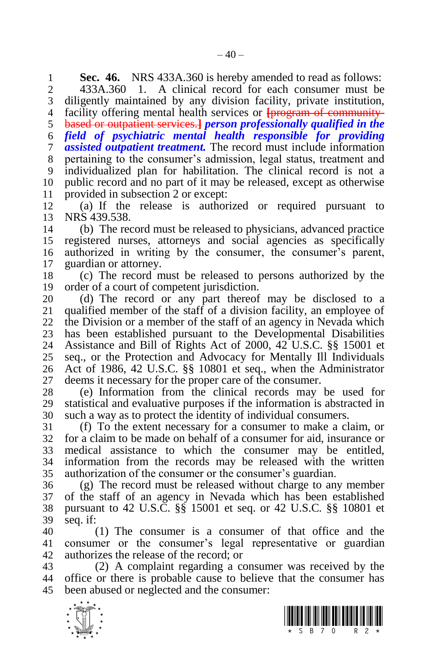**Sec. 46.** NRS 433A.360 is hereby amended to read as follows:<br>2 433A.360 1. A clinical record for each consumer must be

433A.360 1. A clinical record for each consumer must be

 diligently maintained by any division facility, private institution, facility offering mental health services or **[**program of community-

based or outpatient services.**]** *person professionally qualified in the* 

*field of psychiatric mental health responsible for providing*

*assisted outpatient treatment.* The record must include information

 pertaining to the consumer's admission, legal status, treatment and individualized plan for habilitation. The clinical record is not a

public record and no part of it may be released, except as otherwise

11 provided in subsection 2 or except:<br>12 (a) If the release is authori (a) If the release is authorized or required pursuant to NRS 439.538.

 (b) The record must be released to physicians, advanced practice registered nurses, attorneys and social agencies as specifically authorized in writing by the consumer, the consumer's parent, guardian or attorney.

 (c) The record must be released to persons authorized by the order of a court of competent jurisdiction.

20 (d) The record or any part thereof may be disclosed to a 21 qualified member of the staff of a division facility, an employee of qualified member of the staff of a division facility, an employee of the Division or a member of the staff of an agency in Nevada which 23 has been established pursuant to the Developmental Disabilities<br>24 Assistance and Bill of Rights Act of 2000, 42 U.S.C. 88 15001 et Assistance and Bill of Rights Act of 2000, 42 U.S.C. §§ 15001 et seq., or the Protection and Advocacy for Mentally Ill Individuals Act of 1986, 42 U.S.C. §§ 10801 et seq., when the Administrator deems it necessary for the proper care of the consumer.

 (e) Information from the clinical records may be used for statistical and evaluative purposes if the information is abstracted in such a way as to protect the identity of individual consumers.

 (f) To the extent necessary for a consumer to make a claim, or for a claim to be made on behalf of a consumer for aid, insurance or medical assistance to which the consumer may be entitled, information from the records may be released with the written authorization of the consumer or the consumer's guardian.

 (g) The record must be released without charge to any member of the staff of an agency in Nevada which has been established pursuant to 42 U.S.C. §§ 15001 et seq. or 42 U.S.C. §§ 10801 et seq. if:

 (1) The consumer is a consumer of that office and the consumer or the consumer's legal representative or guardian authorizes the release of the record; or

 (2) A complaint regarding a consumer was received by the office or there is probable cause to believe that the consumer has been abused or neglected and the consumer:



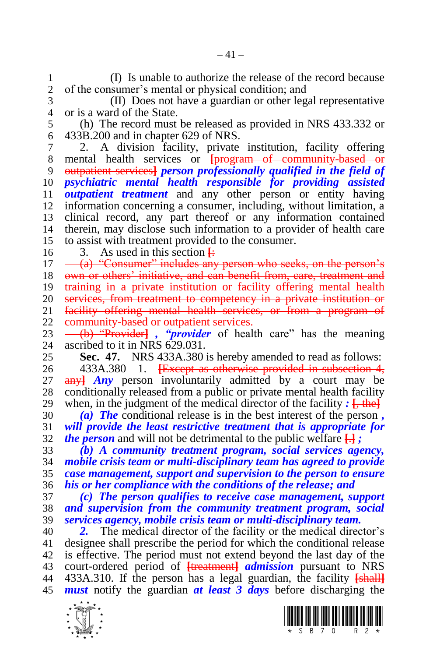(I) Is unable to authorize the release of the record because of the consumer's mental or physical condition; and

 (II) Does not have a guardian or other legal representative or is a ward of the State.

 (h) The record must be released as provided in NRS 433.332 or 433B.200 and in chapter 629 of NRS.

 2. A division facility, private institution, facility offering mental health services or **[**program of community-based or outpatient services**]** *person professionally qualified in the field of psychiatric mental health responsible for providing assisted outpatient treatment* and any other person or entity having information concerning a consumer, including, without limitation, a clinical record, any part thereof or any information contained therein, may disclose such information to a provider of health care to assist with treatment provided to the consumer.

16 3. As used in this section  $\frac{1}{2}$ 

 $17 \quad -\alpha$ ) "Consumer" includes any person who seeks, on the person's

18 own or others' initiative, and can benefit from, care, treatment and

training in a private institution or facility offering mental health

20 services, from treatment to competency in a private institution or<br>21 facility offering mental health services, or from a program of facility offering mental health services, or from a program of

22 community-based or outpatient services.

23 <del>(b) "Provider]</del>, "*provider* of health care" has the meaning <br>24 ascribed to it in NRS 629.031. ascribed to it in NRS 629.031.

**Sec. 47.** NRS 433A.380 is hereby amended to read as follows:

 433A.380 1. **[**Except as otherwise provided in subsection 4, any**]** *Any* person involuntarily admitted by a court may be conditionally released from a public or private mental health facility 29 when, in the judgment of the medical director of the facility  $: \left[ \frac{1}{2} \text{ the} \right]$ 

 *(a) The* conditional release is in the best interest of the person *, will provide the least restrictive treatment that is appropriate for the person* and will not be detrimental to the public welfare **[**.**]** *;*

 *(b) A community treatment program, social services agency, mobile crisis team or multi-disciplinary team has agreed to provide case management, support and supervision to the person to ensure his or her compliance with the conditions of the release; and*

 *(c) The person qualifies to receive case management, support and supervision from the community treatment program, social services agency, mobile crisis team or multi-disciplinary team.*

 *2.* The medical director of the facility or the medical director's designee shall prescribe the period for which the conditional release is effective. The period must not extend beyond the last day of the court-ordered period of **[**treatment**]** *admission* pursuant to NRS 433A.310. If the person has a legal guardian, the facility **[**shall**]** *must* notify the guardian *at least 3 days* before discharging the



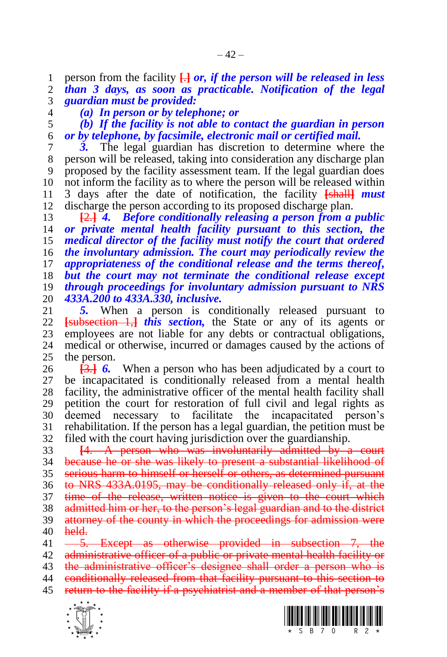1 person from the facility  $\frac{1}{2}$  *or, if the person will be released in less* 2 *than 3 days, as soon as practicable. Notification of the legal than 3 days, as soon as practicable. Notification of the legal guardian must be provided:*

*(a) In person or by telephone; or*

 *(b) If the facility is not able to contact the guardian in person or by telephone, by facsimile, electronic mail or certified mail.*

 *3.* The legal guardian has discretion to determine where the person will be released, taking into consideration any discharge plan proposed by the facility assessment team. If the legal guardian does not inform the facility as to where the person will be released within 3 days after the date of notification, the facility **[**shall**]** *must*  discharge the person according to its proposed discharge plan.

 **[**2.**]** *4. Before conditionally releasing a person from a public or private mental health facility pursuant to this section, the medical director of the facility must notify the court that ordered the involuntary admission. The court may periodically review the appropriateness of the conditional release and the terms thereof, but the court may not terminate the conditional release except through proceedings for involuntary admission pursuant to NRS 433A.200 to 433A.330, inclusive.* 

5. When a person is conditionally released pursuant to **[**subsection 1,**]** *this section,* the State or any of its agents or 23 employees are not liable for any debts or contractual obligations,<br>24 medical or otherwise, incurred or damages caused by the actions of medical or otherwise, incurred or damages caused by the actions of the person.

 **[**3.**]** *6.* When a person who has been adjudicated by a court to be incapacitated is conditionally released from a mental health facility, the administrative officer of the mental health facility shall petition the court for restoration of full civil and legal rights as deemed necessary to facilitate the incapacitated person's rehabilitation. If the person has a legal guardian, the petition must be filed with the court having jurisdiction over the guardianship.

 **[**4. A person who was involuntarily admitted by a court because he or she was likely to present a substantial likelihood of serious harm to himself or herself or others, as determined pursuant to NRS 433A.0195, may be conditionally released only if, at the time of the release, written notice is given to the court which 38 admitted him or her, to the person's legal guardian and to the district attorney of the county in which the proceedings for admission were held. 41 -5. Except as otherwise provided in subsection 7, the

42 administrative officer of a public or private mental health facility or

43 the administrative officer's designee shall order a person who is

44 conditionally released from that facility pursuant to this section to return to the facility if a psychiatrist and a member of that person's



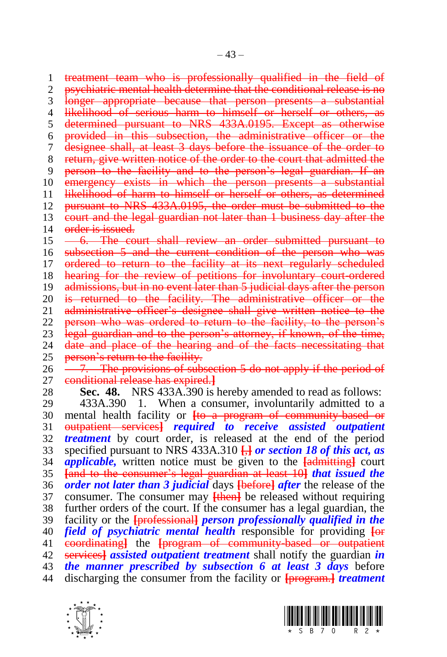treatment team who is professionally qualified in the field of psychiatric mental health determine that the conditional release is no longer appropriate because that person presents a substantial 4 likelihood of serious harm to himself or herself or others, as determined pursuant to NRS 433A.0195. Except as otherwise provided in this subsection, the administrative officer or the designee shall, at least 3 days before the issuance of the order to return, give written notice of the order to the court that admitted the person to the facility and to the person's legal guardian. If an 10 emergency exists in which the person presents a substantial likelihood of harm to himself or herself or others, as determined 12 pursuant to NRS 433A.0195, the order must be submitted to the court and the legal guardian not later than 1 business day after the 14 order is issued. 15 -6. The court shall review an order submitted pursuant to 16 subsection 5 and the current condition of the person who was 17 ordered to return to the facility at its next regularly scheduled 18 hearing for the review of petitions for involuntary court-ordered admissions, but in no event later than 5 judicial days after the person 20 <del>is returned to the facility. The administrative officer or the</del><br>21 <del>administrative officer's designee shall give written notice to the</del> administrative officer's designee shall give written notice to the person who was ordered to return to the facility, to the person's 23 legal guardian and to the person's attorney, if known, of the time,<br>24 date and place of the bearing and of the facts necessitating that date and place of the hearing and of the facts necessitating that 25 person's return to the facility.

 $26 \quad -7.$  The provisions of subsection 5 do not apply if the period of conditional release has expired.**]**

**Sec. 48.** NRS 433A.390 is hereby amended to read as follows:

 433A.390 1. When a consumer, involuntarily admitted to a mental health facility or **[**to a program of community-based or outpatient services**]** *required to receive assisted outpatient treatment* by court order, is released at the end of the period specified pursuant to NRS 433A.310 **[**,**]** *or section 18 of this act, as applicable,* written notice must be given to the **[**admitting**]** court **[**and to the consumer's legal guardian at least 10**]** *that issued the order not later than 3 judicial* days **[**before**]** *after* the release of the consumer. The consumer may **[**then**]** be released without requiring further orders of the court. If the consumer has a legal guardian, the facility or the **[**professional**]** *person professionally qualified in the field of psychiatric mental health* responsible for providing **[**or coordinating**]** the **[**program of community-based or outpatient services**]** *assisted outpatient treatment* shall notify the guardian *in the manner prescribed by subsection 6 at least 3 days* before discharging the consumer from the facility or **[**program.**]** *treatment*



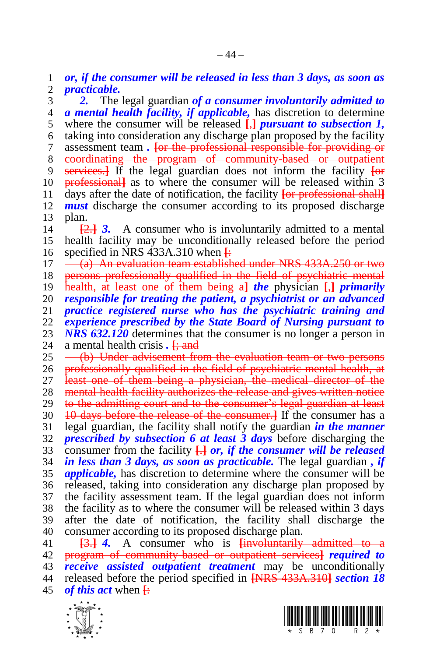*or, if the consumer will be released in less than 3 days, as soon as practicable.* 

 *2.* The legal guardian *of a consumer involuntarily admitted to a mental health facility, if applicable,* has discretion to determine where the consumer will be released **[**,**]** *pursuant to subsection 1,*  taking into consideration any discharge plan proposed by the facility assessment team *.* **[**or the professional responsible for providing or coordinating the program of community-based or outpatient services.**]** If the legal guardian does not inform the facility **[**or professional**]** as to where the consumer will be released within 3 days after the date of notification, the facility **[**or professional shall**]** *must* discharge the consumer according to its proposed discharge plan.

 **[**2.**]** *3.* A consumer who is involuntarily admitted to a mental health facility may be unconditionally released before the period specified in NRS 433A.310 when **[**:

 $17 \quad -$  (a) An evaluation team established under NRS 433A.250 or two

persons professionally qualified in the field of psychiatric mental

health, at least one of them being a**]** *the* physician **[**,**]** *primarily* 

*responsible for treating the patient, a psychiatrist or an advanced* 

*practice registered nurse who has the psychiatric training and* 

 *experience prescribed by the State Board of Nursing pursuant to*  23 *NRS 632.120* determines that the consumer is no longer a person in 24 a mental health crisis.  $\frac{120}{12}$ 

a mental health crisis *.* **[**; and

25 (b) Under advisement from the evaluation team or two persons

professionally qualified in the field of psychiatric mental health, at

 least one of them being a physician, the medical director of the 28 mental health facility authorizes the release and gives written notice

to the admitting court and to the consumer's legal guardian at least

10 days before the release of the consumer.**]** If the consumer has a

legal guardian, the facility shall notify the guardian *in the manner* 

 *prescribed by subsection 6 at least 3 days* before discharging the consumer from the facility **[**.**]** *or, if the consumer will be released* 

 *in less than 3 days, as soon as practicable.* The legal guardian *, if applicable,* has discretion to determine where the consumer will be released, taking into consideration any discharge plan proposed by the facility assessment team. If the legal guardian does not inform the facility as to where the consumer will be released within 3 days after the date of notification, the facility shall discharge the

 consumer according to its proposed discharge plan. **[**3.**]** *4.* A consumer who is **[**involuntarily admitted to a program of community-based or outpatient services**]** *required to receive assisted outpatient treatment* may be unconditionally

 released before the period specified in **[**NRS 433A.310**]** *section 18 of this act* when **[**:



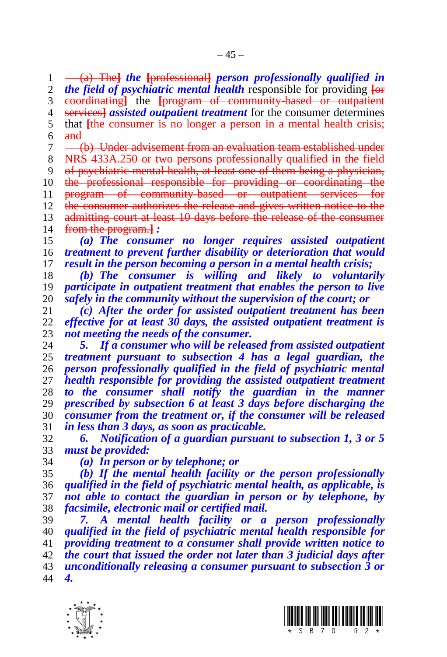(a) The**]** *the* **[**professional**]** *person professionally qualified in the field of psychiatric mental health* responsible for providing **[**or coordinating**]** the **[**program of community-based or outpatient services**]** *assisted outpatient treatment* for the consumer determines that **[**the consumer is no longer a person in a mental health crisis; and 7 (b) Under advisement from an evaluation team established under NRS 433A.250 or two persons professionally qualified in the field of psychiatric mental health, at least one of them being a physician, 10 the professional responsible for providing or coordinating the 11 program of community-based or outpatient services for<br>12 the consumer authorizes the release and gives written notice to the the consumer authorizes the release and gives written notice to the

13 admitting court at least 10 days before the release of the consumer from the program.**]** *:*

 *(a) The consumer no longer requires assisted outpatient treatment to prevent further disability or deterioration that would result in the person becoming a person in a mental health crisis;*

 *(b) The consumer is willing and likely to voluntarily participate in outpatient treatment that enables the person to live safely in the community without the supervision of the court; or*

 *(c) After the order for assisted outpatient treatment has been effective for at least 30 days, the assisted outpatient treatment is not meeting the needs of the consumer.*

 *5. If a consumer who will be released from assisted outpatient treatment pursuant to subsection 4 has a legal guardian, the person professionally qualified in the field of psychiatric mental health responsible for providing the assisted outpatient treatment to the consumer shall notify the guardian in the manner prescribed by subsection 6 at least 3 days before discharging the consumer from the treatment or, if the consumer will be released in less than 3 days, as soon as practicable.* 

 *6. Notification of a guardian pursuant to subsection 1, 3 or 5 must be provided:*

*(a) In person or by telephone; or*

 *(b) If the mental health facility or the person professionally qualified in the field of psychiatric mental health, as applicable, is not able to contact the guardian in person or by telephone, by facsimile, electronic mail or certified mail.*

 *7. A mental health facility or a person professionally qualified in the field of psychiatric mental health responsible for providing treatment to a consumer shall provide written notice to the court that issued the order not later than 3 judicial days after unconditionally releasing a consumer pursuant to subsection 3 or 4.*



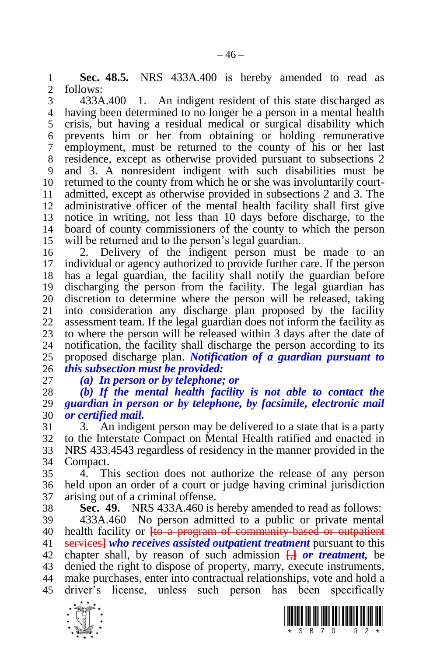**Sec. 48.5.** NRS 433A.400 is hereby amended to read as follows:

 433A.400 1. An indigent resident of this state discharged as having been determined to no longer be a person in a mental health crisis, but having a residual medical or surgical disability which prevents him or her from obtaining or holding remunerative employment, must be returned to the county of his or her last residence, except as otherwise provided pursuant to subsections 2 and 3. A nonresident indigent with such disabilities must be returned to the county from which he or she was involuntarily court- admitted, except as otherwise provided in subsections 2 and 3. The administrative officer of the mental health facility shall first give notice in writing, not less than 10 days before discharge, to the board of county commissioners of the county to which the person will be returned and to the person's legal guardian.

 2. Delivery of the indigent person must be made to an individual or agency authorized to provide further care. If the person has a legal guardian, the facility shall notify the guardian before discharging the person from the facility. The legal guardian has 20 discretion to determine where the person will be released, taking 21 into consideration any discharge plan proposed by the facility into consideration any discharge plan proposed by the facility assessment team. If the legal guardian does not inform the facility as 23 to where the person will be released within 3 days after the date of 24 notification, the facility shall discharge the person according to its notification, the facility shall discharge the person according to its proposed discharge plan. *Notification of a guardian pursuant to this subsection must be provided:*

*(a) In person or by telephone; or*

 *(b) If the mental health facility is not able to contact the guardian in person or by telephone, by facsimile, electronic mail or certified mail.*

 3. An indigent person may be delivered to a state that is a party to the Interstate Compact on Mental Health ratified and enacted in NRS 433.4543 regardless of residency in the manner provided in the Compact.

 4. This section does not authorize the release of any person held upon an order of a court or judge having criminal jurisdiction arising out of a criminal offense.

**Sec. 49.** NRS 433A.460 is hereby amended to read as follows:

 433A.460 No person admitted to a public or private mental health facility or **[**to a program of community-based or outpatient services**]** *who receives assisted outpatient treatment* pursuant to this chapter shall, by reason of such admission **[**,**]** *or treatment,* be denied the right to dispose of property, marry, execute instruments, make purchases, enter into contractual relationships, vote and hold a driver's license, unless such person has been specifically



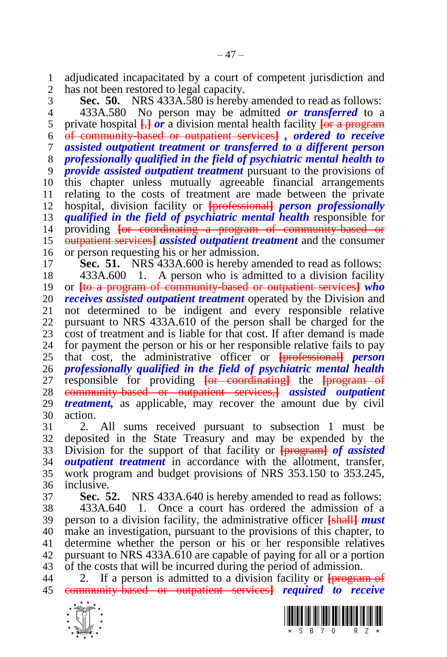adjudicated incapacitated by a court of competent jurisdiction and has not been restored to legal capacity.

 **Sec. 50.** NRS 433A.580 is hereby amended to read as follows: 433A.580 No person may be admitted *or transferred* to a private hospital **[**,**]** *or* a division mental health facility **[**or a program of community-based or outpatient services**]** *, ordered to receive assisted outpatient treatment or transferred to a different person professionally qualified in the field of psychiatric mental health to provide assisted outpatient treatment* pursuant to the provisions of this chapter unless mutually agreeable financial arrangements relating to the costs of treatment are made between the private hospital, division facility or **[**professional**]** *person professionally qualified in the field of psychiatric mental health* responsible for providing **[**or coordinating a program of community-based or outpatient services**]** *assisted outpatient treatment* and the consumer or person requesting his or her admission. **Sec. 51.** NRS 433A.600 is hereby amended to read as follows: 433A.600 1. A person who is admitted to a division facility or **[**to a program of community-based or outpatient services**]** *who receives assisted outpatient treatment* operated by the Division and not determined to be indigent and every responsible relative pursuant to NRS 433A.610 of the person shall be charged for the 23 cost of treatment and is liable for that cost. If after demand is made<br>24 for payment the person or his or her responsible relative fails to pay for payment the person or his or her responsible relative fails to pay

 that cost, the administrative officer or **[**professional**]** *person professionally qualified in the field of psychiatric mental health*  responsible for providing **[**or coordinating**]** the **[**program of community-based or outpatient services,**]** *assisted outpatient treatment,* as applicable, may recover the amount due by civil action.

 2. All sums received pursuant to subsection 1 must be deposited in the State Treasury and may be expended by the Division for the support of that facility or **[**program**]** *of assisted outpatient treatment* in accordance with the allotment, transfer, work program and budget provisions of NRS 353.150 to 353.245, inclusive.

**Sec. 52.** NRS 433A.640 is hereby amended to read as follows:

 433A.640 1. Once a court has ordered the admission of a person to a division facility, the administrative officer **[**shall**]** *must*  make an investigation, pursuant to the provisions of this chapter, to determine whether the person or his or her responsible relatives pursuant to NRS 433A.610 are capable of paying for all or a portion of the costs that will be incurred during the period of admission.

 2. If a person is admitted to a division facility or **[**program of community-based or outpatient services**]** *required to receive*

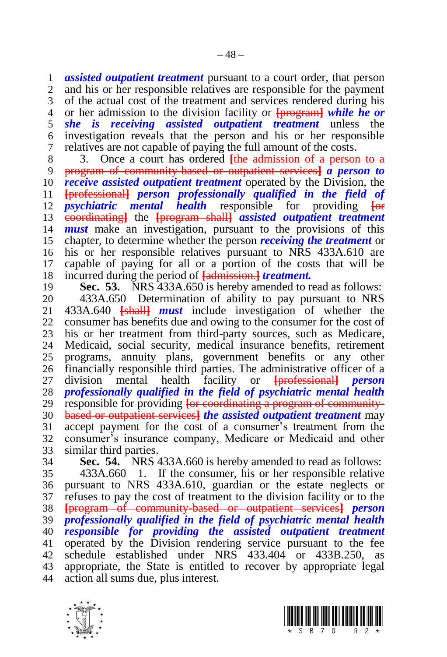*assisted outpatient treatment* pursuant to a court order, that person

 and his or her responsible relatives are responsible for the payment of the actual cost of the treatment and services rendered during his or her admission to the division facility or **[**program**]** *while he or she is receiving assisted outpatient treatment* unless the investigation reveals that the person and his or her responsible relatives are not capable of paying the full amount of the costs.

 3. Once a court has ordered **[**the admission of a person to a program of community-based or outpatient services**]** *a person to receive assisted outpatient treatment* operated by the Division, the **[**professional**]** *person professionally qualified in the field of psychiatric mental health* responsible for providing **[**or coordinating**]** the **[**program shall**]** *assisted outpatient treatment must* make an investigation, pursuant to the provisions of this chapter, to determine whether the person *receiving the treatment* or his or her responsible relatives pursuant to NRS 433A.610 are capable of paying for all or a portion of the costs that will be incurred during the period of **[**admission.**]** *treatment.*

**Sec. 53.** NRS 433A.650 is hereby amended to read as follows:

20 433A.650 Determination of ability to pay pursuant to NRS<br>21 433A.640 <del>[shall]</del> *must* include investigation of whether the 433A.640 **[**shall**]** *must* include investigation of whether the consumer has benefits due and owing to the consumer for the cost of 23 his or her treatment from third-party sources, such as Medicare,<br>24 Medicaid, social security, medical insurance benefits, retirement Medicaid, social security, medical insurance benefits, retirement programs, annuity plans, government benefits or any other financially responsible third parties. The administrative officer of a division mental health facility or **[**professional**]** *person professionally qualified in the field of psychiatric mental health*  responsible for providing **[**or coordinating a program of community- based or outpatient services**]** *the assisted outpatient treatment* may accept payment for the cost of a consumer's treatment from the consumer's insurance company, Medicare or Medicaid and other similar third parties.

 **Sec. 54.** NRS 433A.660 is hereby amended to read as follows: 433A.660 1. If the consumer, his or her responsible relative pursuant to NRS 433A.610, guardian or the estate neglects or refuses to pay the cost of treatment to the division facility or to the **[**program of community-based or outpatient services**]** *person professionally qualified in the field of psychiatric mental health responsible for providing the assisted outpatient treatment*  operated by the Division rendering service pursuant to the fee 42 schedule established under NRS 433.404 or 433B.250, appropriate, the State is entitled to recover by appropriate legal action all sums due, plus interest.



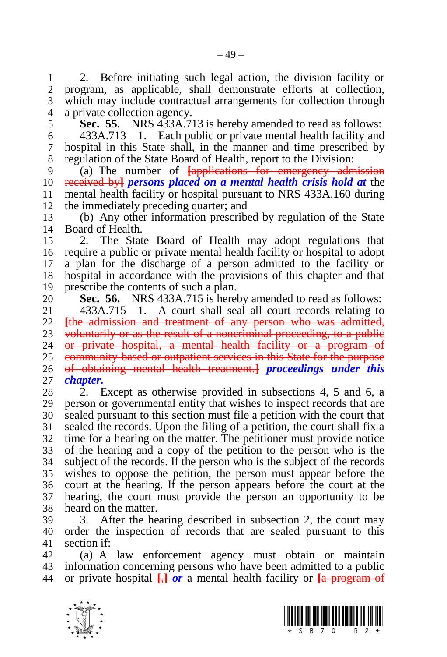2. Before initiating such legal action, the division facility or program, as applicable, shall demonstrate efforts at collection, which may include contractual arrangements for collection through a private collection agency.

**Sec. 55.** NRS 433A.713 is hereby amended to read as follows:

 433A.713 1. Each public or private mental health facility and hospital in this State shall, in the manner and time prescribed by regulation of the State Board of Health, report to the Division:

 (a) The number of **[**applications for emergency admission received by**]** *persons placed on a mental health crisis hold at* the mental health facility or hospital pursuant to NRS 433A.160 during the immediately preceding quarter; and

 (b) Any other information prescribed by regulation of the State Board of Health.

 2. The State Board of Health may adopt regulations that require a public or private mental health facility or hospital to adopt a plan for the discharge of a person admitted to the facility or hospital in accordance with the provisions of this chapter and that prescribe the contents of such a plan.

20 **Sec. 56.** NRS 433A.715 is hereby amended to read as follows:<br>21 433A.715 1. A court shall seal all court records relating to

 433A.715 1. A court shall seal all court records relating to **[**the admission and treatment of any person who was admitted, 23 voluntarily or as the result of a noncriminal proceeding, to a public<br>24 **or private hospital** a mental health facility or a program of or private hospital, a mental health facility or a program of community-based or outpatient services in this State for the purpose of obtaining mental health treatment.**]** *proceedings under this chapter.*

 2. Except as otherwise provided in subsections 4, 5 and 6, a person or governmental entity that wishes to inspect records that are sealed pursuant to this section must file a petition with the court that sealed the records. Upon the filing of a petition, the court shall fix a time for a hearing on the matter. The petitioner must provide notice of the hearing and a copy of the petition to the person who is the subject of the records. If the person who is the subject of the records wishes to oppose the petition, the person must appear before the court at the hearing. If the person appears before the court at the hearing, the court must provide the person an opportunity to be heard on the matter.

 3. After the hearing described in subsection 2, the court may order the inspection of records that are sealed pursuant to this section if:

 (a) A law enforcement agency must obtain or maintain information concerning persons who have been admitted to a public or private hospital **[**,**]** *or* a mental health facility or **[**a program of



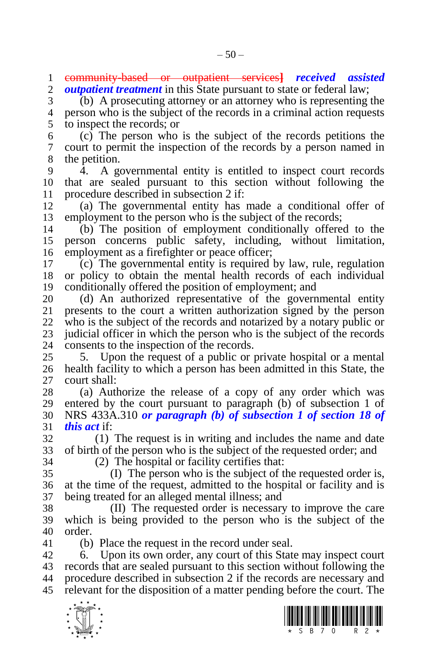community-based or outpatient services**]** *received assisted outpatient treatment* in this State pursuant to state or federal law;

 (b) A prosecuting attorney or an attorney who is representing the person who is the subject of the records in a criminal action requests to inspect the records; or

 (c) The person who is the subject of the records petitions the court to permit the inspection of the records by a person named in the petition.

 4. A governmental entity is entitled to inspect court records that are sealed pursuant to this section without following the 11 procedure described in subsection 2 if:<br>12 (a) The governmental entity has

 (a) The governmental entity has made a conditional offer of employment to the person who is the subject of the records;

 (b) The position of employment conditionally offered to the person concerns public safety, including, without limitation, employment as a firefighter or peace officer;

 (c) The governmental entity is required by law, rule, regulation or policy to obtain the mental health records of each individual conditionally offered the position of employment; and

20 (d) An authorized representative of the governmental entity 21 presents to the court a written authorization signed by the person presents to the court a written authorization signed by the person who is the subject of the records and notarized by a notary public or 23 judicial officer in which the person who is the subject of the records<br>24 consents to the inspection of the records. consents to the inspection of the records.

 5. Upon the request of a public or private hospital or a mental health facility to which a person has been admitted in this State, the court shall:

 (a) Authorize the release of a copy of any order which was entered by the court pursuant to paragraph (b) of subsection 1 of NRS 433A.310 *or paragraph (b) of subsection 1 of section 18 of this act* if:

 (1) The request is in writing and includes the name and date of birth of the person who is the subject of the requested order; and

(2) The hospital or facility certifies that:

 (I) The person who is the subject of the requested order is, at the time of the request, admitted to the hospital or facility and is being treated for an alleged mental illness; and

 (II) The requested order is necessary to improve the care which is being provided to the person who is the subject of the order.

(b) Place the request in the record under seal.

 6. Upon its own order, any court of this State may inspect court records that are sealed pursuant to this section without following the procedure described in subsection 2 if the records are necessary and relevant for the disposition of a matter pending before the court. The



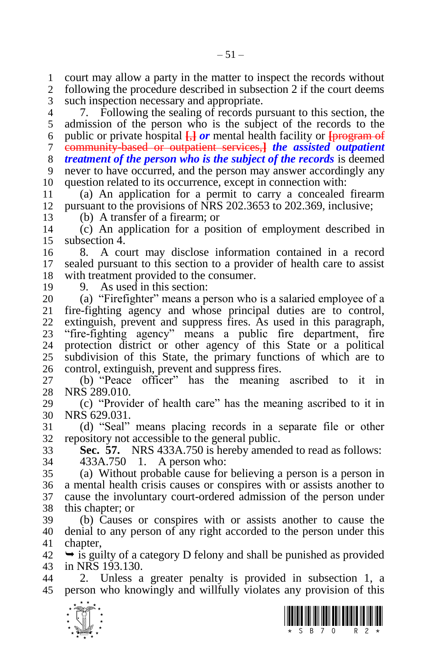court may allow a party in the matter to inspect the records without following the procedure described in subsection 2 if the court deems

such inspection necessary and appropriate.

 7. Following the sealing of records pursuant to this section, the admission of the person who is the subject of the records to the public or private hospital **[**,**]** *or* mental health facility or **[**program of community-based or outpatient services,**]** *the assisted outpatient treatment of the person who is the subject of the records* is deemed never to have occurred, and the person may answer accordingly any question related to its occurrence, except in connection with:

 (a) An application for a permit to carry a concealed firearm pursuant to the provisions of NRS 202.3653 to 202.369, inclusive;

(b) A transfer of a firearm; or

 (c) An application for a position of employment described in subsection 4.

 8. A court may disclose information contained in a record sealed pursuant to this section to a provider of health care to assist with treatment provided to the consumer.

9. As used in this section:

 (a) "Firefighter" means a person who is a salaried employee of a fire-fighting agency and whose principal duties are to control, extinguish, prevent and suppress fires. As used in this paragraph, "fire-fighting agency" means a public fire department, fire protection district or other agency of this State or a political subdivision of this State, the primary functions of which are to control, extinguish, prevent and suppress fires.

 (b) "Peace officer" has the meaning ascribed to it in NRS 289.010.

 (c) "Provider of health care" has the meaning ascribed to it in NRS 629.031.

 (d) "Seal" means placing records in a separate file or other repository not accessible to the general public.

 **Sec. 57.** NRS 433A.750 is hereby amended to read as follows: 433A.750 1. A person who:

 (a) Without probable cause for believing a person is a person in a mental health crisis causes or conspires with or assists another to cause the involuntary court-ordered admission of the person under this chapter; or

 (b) Causes or conspires with or assists another to cause the denial to any person of any right accorded to the person under this chapter,

 $42 \rightarrow$  is guilty of a category D felony and shall be punished as provided in NRS 193.130.

 2. Unless a greater penalty is provided in subsection 1, a person who knowingly and willfully violates any provision of this



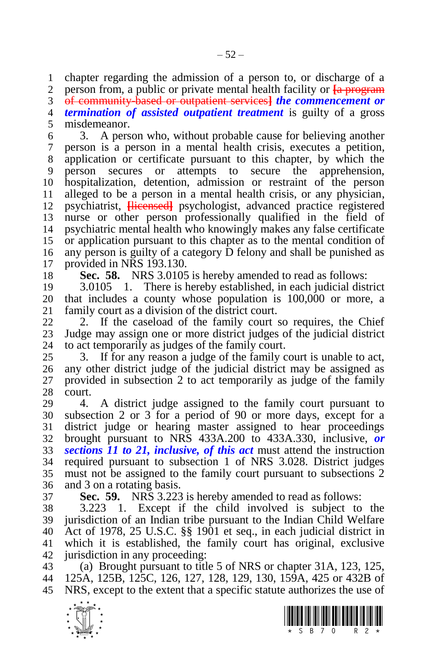chapter regarding the admission of a person to, or discharge of a

person from, a public or private mental health facility or **[**a program

of community-based or outpatient services**]** *the commencement or* 

 *termination of assisted outpatient treatment* is guilty of a gross misdemeanor.

 3. A person who, without probable cause for believing another person is a person in a mental health crisis, executes a petition, application or certificate pursuant to this chapter, by which the person secures or attempts to secure the apprehension, hospitalization, detention, admission or restraint of the person alleged to be a person in a mental health crisis, or any physician, psychiatrist, **[**licensed**]** psychologist, advanced practice registered nurse or other person professionally qualified in the field of psychiatric mental health who knowingly makes any false certificate or application pursuant to this chapter as to the mental condition of any person is guilty of a category D felony and shall be punished as provided in NRS 193.130.

**Sec. 58.** NRS 3.0105 is hereby amended to read as follows:

 3.0105 1. There is hereby established, in each judicial district 20 that includes a county whose population is 100,000 or more, a 21 family court as a division of the district court. family court as a division of the district court.

 2. If the caseload of the family court so requires, the Chief Judge may assign one or more district judges of the judicial district to act temporarily as judges of the family court.

 3. If for any reason a judge of the family court is unable to act, any other district judge of the judicial district may be assigned as provided in subsection 2 to act temporarily as judge of the family court.

 4. A district judge assigned to the family court pursuant to subsection 2 or 3 for a period of 90 or more days, except for a district judge or hearing master assigned to hear proceedings brought pursuant to NRS 433A.200 to 433A.330, inclusive, *or sections 11 to 21, inclusive, of this act* must attend the instruction required pursuant to subsection 1 of NRS 3.028. District judges must not be assigned to the family court pursuant to subsections 2 and 3 on a rotating basis.

**Sec. 59.** NRS 3.223 is hereby amended to read as follows:

 3.223 1. Except if the child involved is subject to the jurisdiction of an Indian tribe pursuant to the Indian Child Welfare Act of 1978, 25 U.S.C. §§ 1901 et seq., in each judicial district in which it is established, the family court has original, exclusive jurisdiction in any proceeding:

 (a) Brought pursuant to title 5 of NRS or chapter 31A, 123, 125, 125A, 125B, 125C, 126, 127, 128, 129, 130, 159A, 425 or 432B of NRS, except to the extent that a specific statute authorizes the use of



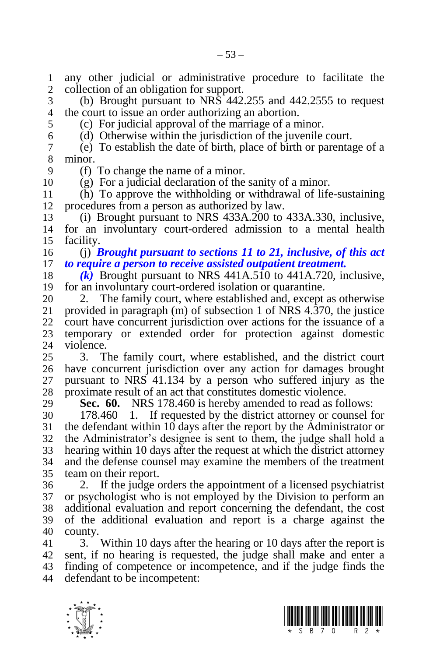1 any other judicial or administrative procedure to facilitate the<br>2 collection of an obligation for support. collection of an obligation for support.

 (b) Brought pursuant to NRS 442.255 and 442.2555 to request the court to issue an order authorizing an abortion.

(c) For judicial approval of the marriage of a minor.

(d) Otherwise within the jurisdiction of the juvenile court.

 (e) To establish the date of birth, place of birth or parentage of a minor.

(f) To change the name of a minor.

(g) For a judicial declaration of the sanity of a minor.

 (h) To approve the withholding or withdrawal of life-sustaining procedures from a person as authorized by law.

 (i) Brought pursuant to NRS 433A.200 to 433A.330, inclusive, for an involuntary court-ordered admission to a mental health facility.

 (j) *Brought pursuant to sections 11 to 21, inclusive, of this act to require a person to receive assisted outpatient treatment.*

 *(k)* Brought pursuant to NRS 441A.510 to 441A.720, inclusive, for an involuntary court-ordered isolation or quarantine.

20 2. The family court, where established and, except as otherwise<br>21 provided in paragraph (m) of subsection 1 of NRS 4.370, the justice provided in paragraph  $(m)$  of subsection 1 of NRS 4.370, the justice court have concurrent jurisdiction over actions for the issuance of a temporary or extended order for protection against domestic violence.

 3. The family court, where established, and the district court have concurrent jurisdiction over any action for damages brought pursuant to NRS 41.134 by a person who suffered injury as the proximate result of an act that constitutes domestic violence.

**Sec. 60.** NRS 178.460 is hereby amended to read as follows:

 178.460 1. If requested by the district attorney or counsel for the defendant within 10 days after the report by the Administrator or the Administrator's designee is sent to them, the judge shall hold a hearing within 10 days after the request at which the district attorney and the defense counsel may examine the members of the treatment team on their report.

 2. If the judge orders the appointment of a licensed psychiatrist or psychologist who is not employed by the Division to perform an additional evaluation and report concerning the defendant, the cost of the additional evaluation and report is a charge against the county.

 3. Within 10 days after the hearing or 10 days after the report is sent, if no hearing is requested, the judge shall make and enter a finding of competence or incompetence, and if the judge finds the defendant to be incompetent:



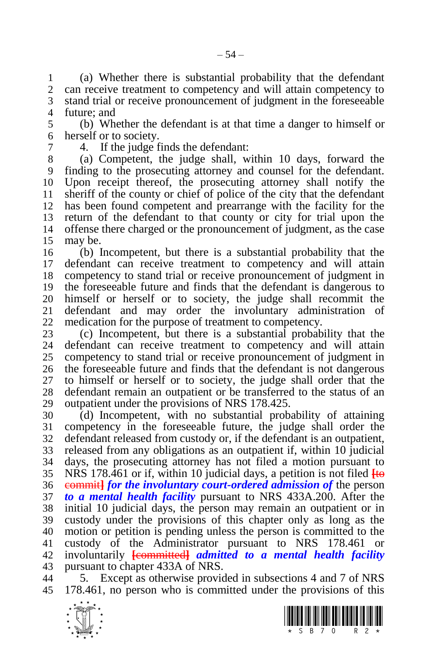(a) Whether there is substantial probability that the defendant can receive treatment to competency and will attain competency to stand trial or receive pronouncement of judgment in the foreseeable future; and

 (b) Whether the defendant is at that time a danger to himself or herself or to society.

4. If the judge finds the defendant:

 (a) Competent, the judge shall, within 10 days, forward the finding to the prosecuting attorney and counsel for the defendant. Upon receipt thereof, the prosecuting attorney shall notify the sheriff of the county or chief of police of the city that the defendant has been found competent and prearrange with the facility for the return of the defendant to that county or city for trial upon the offense there charged or the pronouncement of judgment, as the case may be.

 (b) Incompetent, but there is a substantial probability that the defendant can receive treatment to competency and will attain competency to stand trial or receive pronouncement of judgment in the foreseeable future and finds that the defendant is dangerous to himself or herself or to society, the judge shall recommit the defendant and may order the involuntary administration of medication for the purpose of treatment to competency.

 (c) Incompetent, but there is a substantial probability that the defendant can receive treatment to competency and will attain competency to stand trial or receive pronouncement of judgment in the foreseeable future and finds that the defendant is not dangerous to himself or herself or to society, the judge shall order that the defendant remain an outpatient or be transferred to the status of an outpatient under the provisions of NRS 178.425.

 (d) Incompetent, with no substantial probability of attaining competency in the foreseeable future, the judge shall order the defendant released from custody or, if the defendant is an outpatient, released from any obligations as an outpatient if, within 10 judicial days, the prosecuting attorney has not filed a motion pursuant to NRS 178.461 or if, within 10 judicial days, a petition is not filed **[**to commit**]** *for the involuntary court-ordered admission of* the person *to a mental health facility* pursuant to NRS 433A.200. After the initial 10 judicial days, the person may remain an outpatient or in custody under the provisions of this chapter only as long as the motion or petition is pending unless the person is committed to the custody of the Administrator pursuant to NRS 178.461 or involuntarily **[**committed**]** *admitted to a mental health facility*  pursuant to chapter 433A of NRS.

 5. Except as otherwise provided in subsections 4 and 7 of NRS 178.461, no person who is committed under the provisions of this



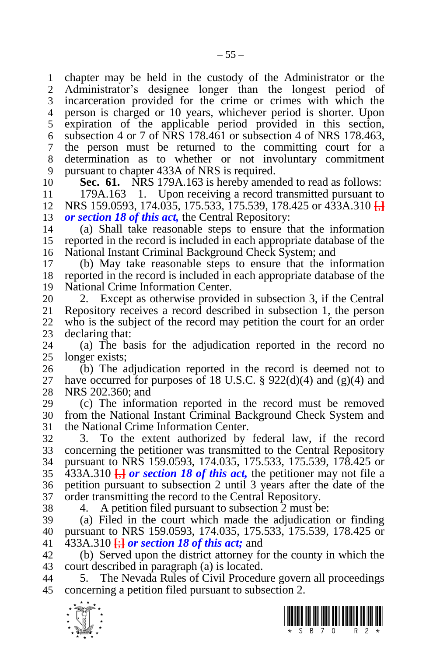chapter may be held in the custody of the Administrator or the Administrator's designee longer than the longest period of incarceration provided for the crime or crimes with which the person is charged or 10 years, whichever period is shorter. Upon expiration of the applicable period provided in this section, subsection 4 or 7 of NRS 178.461 or subsection 4 of NRS 178.463, the person must be returned to the committing court for a determination as to whether or not involuntary commitment pursuant to chapter 433A of NRS is required.

**Sec. 61.** NRS 179A.163 is hereby amended to read as follows:

 179A.163 1. Upon receiving a record transmitted pursuant to NRS 159.0593, 174.035, 175.533, 175.539, 178.425 or 433A.310 **[**,**]** *or section 18 of this act,* the Central Repository:

 (a) Shall take reasonable steps to ensure that the information reported in the record is included in each appropriate database of the National Instant Criminal Background Check System; and

 (b) May take reasonable steps to ensure that the information reported in the record is included in each appropriate database of the National Crime Information Center.

20 2. Except as otherwise provided in subsection 3, if the Central 21 Repository receives a record described in subsection 1, the person Repository receives a record described in subsection 1, the person who is the subject of the record may petition the court for an order 23 declaring that:<br>24 (a) The ba

(a) The basis for the adjudication reported in the record no longer exists;

 (b) The adjudication reported in the record is deemed not to 27 have occurred for purposes of 18 U.S.C.  $\S$  922(d)(4) and (g)(4) and NRS 202.360; and

 (c) The information reported in the record must be removed from the National Instant Criminal Background Check System and the National Crime Information Center.

 3. To the extent authorized by federal law, if the record concerning the petitioner was transmitted to the Central Repository pursuant to NRS 159.0593, 174.035, 175.533, 175.539, 178.425 or 433A.310 **[**,**]** *or section 18 of this act,* the petitioner may not file a petition pursuant to subsection 2 until 3 years after the date of the order transmitting the record to the Central Repository.

4. A petition filed pursuant to subsection 2 must be:

 (a) Filed in the court which made the adjudication or finding pursuant to NRS 159.0593, 174.035, 175.533, 175.539, 178.425 or 433A.310 **[**;**]** *or section 18 of this act;* and

 (b) Served upon the district attorney for the county in which the court described in paragraph (a) is located.

 5. The Nevada Rules of Civil Procedure govern all proceedings concerning a petition filed pursuant to subsection 2.



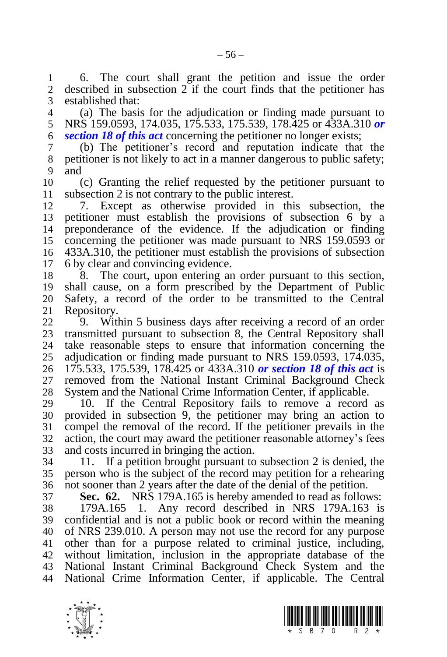6. The court shall grant the petition and issue the order described in subsection if the court finds that the petitioner has established that:

 (a) The basis for the adjudication or finding made pursuant to NRS 159.0593, 174.035, 175.533, 175.539, 178.425 or 433A.310 *or section 18 of this act* concerning the petitioner no longer exists;

 (b) The petitioner's record and reputation indicate that the petitioner is not likely to act in a manner dangerous to public safety; and

 (c) Granting the relief requested by the petitioner pursuant to subsection 2 is not contrary to the public interest.

 7. Except as otherwise provided in this subsection, the petitioner must establish the provisions of subsection 6 by a preponderance of the evidence. If the adjudication or finding concerning the petitioner was made pursuant to NRS 159.0593 or 433A.310, the petitioner must establish the provisions of subsection 6 by clear and convincing evidence.

 8. The court, upon entering an order pursuant to this section, shall cause, on a form prescribed by the Department of Public Safety, a record of the order to be transmitted to the Central Repository.

 9. Within 5 business days after receiving a record of an order 23 transmitted pursuant to subsection 8, the Central Repository shall<br>24 take reasonable steps to ensure that information concerning the take reasonable steps to ensure that information concerning the adjudication or finding made pursuant to NRS 159.0593, 174.035, 175.533, 175.539, 178.425 or 433A.310 *or section 18 of this act* is removed from the National Instant Criminal Background Check System and the National Crime Information Center, if applicable.

 10. If the Central Repository fails to remove a record as provided in subsection 9, the petitioner may bring an action to compel the removal of the record. If the petitioner prevails in the action, the court may award the petitioner reasonable attorney's fees and costs incurred in bringing the action.

 11. If a petition brought pursuant to subsection 2 is denied, the person who is the subject of the record may petition for a rehearing not sooner than 2 years after the date of the denial of the petition.

**Sec. 62.** NRS 179A.165 is hereby amended to read as follows:

 179A.165 1. Any record described in NRS 179A.163 is confidential and is not a public book or record within the meaning of NRS 239.010. A person may not use the record for any purpose other than for a purpose related to criminal justice, including, without limitation, inclusion in the appropriate database of the National Instant Criminal Background Check System and the National Crime Information Center, if applicable. The Central



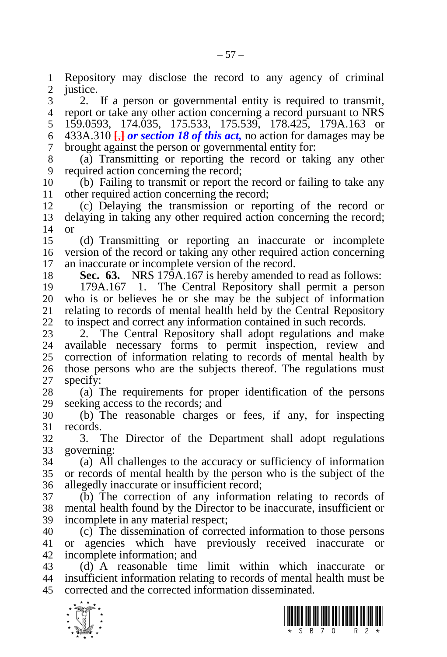Repository may disclose the record to any agency of criminal justice.

 2. If a person or governmental entity is required to transmit, report or take any other action concerning a record pursuant to NRS 159.0593, 174.035, 175.533, 175.539, 178.425, 179A.163 or 433A.310 **[**,**]** *or section 18 of this act,* no action for damages may be brought against the person or governmental entity for:

 (a) Transmitting or reporting the record or taking any other required action concerning the record:

 (b) Failing to transmit or report the record or failing to take any other required action concerning the record;

 (c) Delaying the transmission or reporting of the record or delaying in taking any other required action concerning the record; or

 (d) Transmitting or reporting an inaccurate or incomplete version of the record or taking any other required action concerning an inaccurate or incomplete version of the record.

**Sec. 63.** NRS 179A.167 is hereby amended to read as follows:

 179A.167 1. The Central Repository shall permit a person who is or believes he or she may be the subject of information relating to records of mental health held by the Central Repository to inspect and correct any information contained in such records.

23 2. The Central Repository shall adopt regulations and make<br>24 available necessary forms to permit inspection, review and available necessary forms to permit inspection, review and correction of information relating to records of mental health by those persons who are the subjects thereof. The regulations must specify:

 (a) The requirements for proper identification of the persons seeking access to the records; and

 (b) The reasonable charges or fees, if any, for inspecting records.

 3. The Director of the Department shall adopt regulations governing:

 (a) All challenges to the accuracy or sufficiency of information or records of mental health by the person who is the subject of the allegedly inaccurate or insufficient record;

 (b) The correction of any information relating to records of mental health found by the Director to be inaccurate, insufficient or incomplete in any material respect;

 (c) The dissemination of corrected information to those persons or agencies which have previously received inaccurate or incomplete information; and

 (d) A reasonable time limit within which inaccurate or insufficient information relating to records of mental health must be corrected and the corrected information disseminated.



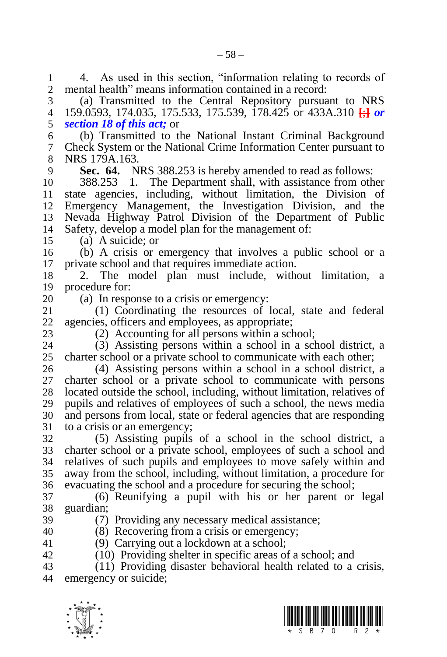1 4. As used in this section, "information relating to records of<br>2 mental health" means information contained in a record: mental health" means information contained in a record:

 (a) Transmitted to the Central Repository pursuant to NRS 159.0593, 174.035, 175.533, 175.539, 178.425 or 433A.310 **[**;**]** *or section 18 of this act;* or

 (b) Transmitted to the National Instant Criminal Background Check System or the National Crime Information Center pursuant to NRS 179A.163.

**Sec. 64.** NRS 388.253 is hereby amended to read as follows:

 388.253 1. The Department shall, with assistance from other state agencies, including, without limitation, the Division of Emergency Management, the Investigation Division, and the Nevada Highway Patrol Division of the Department of Public Safety, develop a model plan for the management of:

(a) A suicide; or

 (b) A crisis or emergency that involves a public school or a private school and that requires immediate action.

 2. The model plan must include, without limitation, a procedure for:

20 (a) In response to a crisis or emergency:<br>21 (1) Coordinating the resources of

 (1) Coordinating the resources of local, state and federal agencies, officers and employees, as appropriate;

23 (2) Accounting for all persons within a school;<br>24 (3) Assisting persons within a school in a school

(3) Assisting persons within a school in a school district, a charter school or a private school to communicate with each other;

 (4) Assisting persons within a school in a school district, a charter school or a private school to communicate with persons located outside the school, including, without limitation, relatives of pupils and relatives of employees of such a school, the news media and persons from local, state or federal agencies that are responding to a crisis or an emergency;

 (5) Assisting pupils of a school in the school district, a charter school or a private school, employees of such a school and relatives of such pupils and employees to move safely within and away from the school, including, without limitation, a procedure for evacuating the school and a procedure for securing the school;

 (6) Reunifying a pupil with his or her parent or legal guardian;

# (7) Providing any necessary medical assistance;

 (8) Recovering from a crisis or emergency; (9) Carrying out a lockdown at a school;

(10) Providing shelter in specific areas of a school; and

 (11) Providing disaster behavioral health related to a crisis, emergency or suicide;



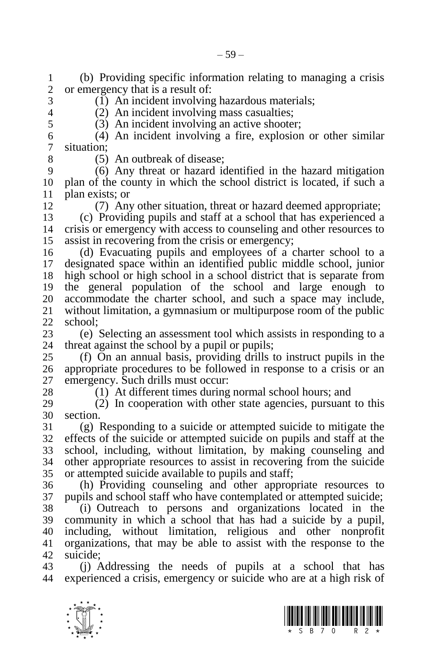(b) Providing specific information relating to managing a crisis or emergency that is a result of:

(1) An incident involving hazardous materials;

 (2) An incident involving mass casualties; (3) An incident involving an active shooter;

 (4) An incident involving a fire, explosion or other similar situation;

8 (5) An outbreak of disease;<br>9 (6) Any threat or hazard is (6) Any threat or hazard identified in the hazard mitigation plan of the county in which the school district is located, if such a 11 plan exists; or<br>12  $(7)$  Any

(7) Any other situation, threat or hazard deemed appropriate;

 (c) Providing pupils and staff at a school that has experienced a crisis or emergency with access to counseling and other resources to assist in recovering from the crisis or emergency;

 (d) Evacuating pupils and employees of a charter school to a designated space within an identified public middle school, junior high school or high school in a school district that is separate from the general population of the school and large enough to 20 accommodate the charter school, and such a space may include,<br>21 without limitation, a gymnasium or multipurpose room of the public without limitation, a gymnasium or multipurpose room of the public school;

23 (e) Selecting an assessment tool which assists in responding to a 24 threat against the school by a pupil or pupils: threat against the school by a pupil or pupils;

 (f) On an annual basis, providing drills to instruct pupils in the appropriate procedures to be followed in response to a crisis or an emergency. Such drills must occur:

(1) At different times during normal school hours; and

 (2) In cooperation with other state agencies, pursuant to this section.

 (g) Responding to a suicide or attempted suicide to mitigate the effects of the suicide or attempted suicide on pupils and staff at the school, including, without limitation, by making counseling and other appropriate resources to assist in recovering from the suicide or attempted suicide available to pupils and staff;

 (h) Providing counseling and other appropriate resources to pupils and school staff who have contemplated or attempted suicide; (i) Outreach to persons and organizations located in the

 community in which a school that has had a suicide by a pupil, including, without limitation, religious and other nonprofit organizations, that may be able to assist with the response to the suicide;

 (j) Addressing the needs of pupils at a school that has experienced a crisis, emergency or suicide who are at a high risk of



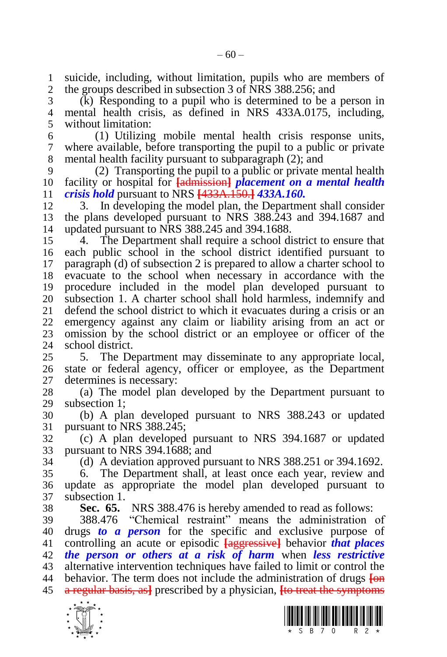suicide, including, without limitation, pupils who are members of the groups described in subsection 3 of NRS 388.256; and

 (k) Responding to a pupil who is determined to be a person in mental health crisis, as defined in NRS 433A.0175, including, without limitation:

 (1) Utilizing mobile mental health crisis response units, where available, before transporting the pupil to a public or private mental health facility pursuant to subparagraph (2); and

 (2) Transporting the pupil to a public or private mental health facility or hospital for **[**admission**]** *placement on a mental health crisis hold* pursuant to NRS **[**433A.150.**]** *433A.160.*

 3. In developing the model plan, the Department shall consider the plans developed pursuant to NRS 388.243 and 394.1687 and updated pursuant to NRS 388.245 and 394.1688.

 4. The Department shall require a school district to ensure that each public school in the school district identified pursuant to paragraph (d) of subsection 2 is prepared to allow a charter school to evacuate to the school when necessary in accordance with the procedure included in the model plan developed pursuant to 20 subsection 1. A charter school shall hold harmless, indemnify and 21 defend the school district to which it evacuates during a crisis or an defend the school district to which it evacuates during a crisis or an emergency against any claim or liability arising from an act or omission by the school district or an employee or officer of the school district.

 5. The Department may disseminate to any appropriate local, state or federal agency, officer or employee, as the Department determines is necessary:

 (a) The model plan developed by the Department pursuant to subsection 1;

 (b) A plan developed pursuant to NRS 388.243 or updated 31 pursuant to NRS 388.245:

 (c) A plan developed pursuant to NRS 394.1687 or updated pursuant to NRS 394.1688; and

(d) A deviation approved pursuant to NRS 388.251 or 394.1692.

 6. The Department shall, at least once each year, review and update as appropriate the model plan developed pursuant to subsection 1.

**Sec. 65.** NRS 388.476 is hereby amended to read as follows:

 388.476 "Chemical restraint" means the administration of drugs *to a person* for the specific and exclusive purpose of controlling an acute or episodic **[**aggressive**]** behavior *that places the person or others at a risk of harm* when *less restrictive*  alternative intervention techniques have failed to limit or control the behavior. The term does not include the administration of drugs **[**on a regular basis, as**]** prescribed by a physician, **[**to treat the symptoms



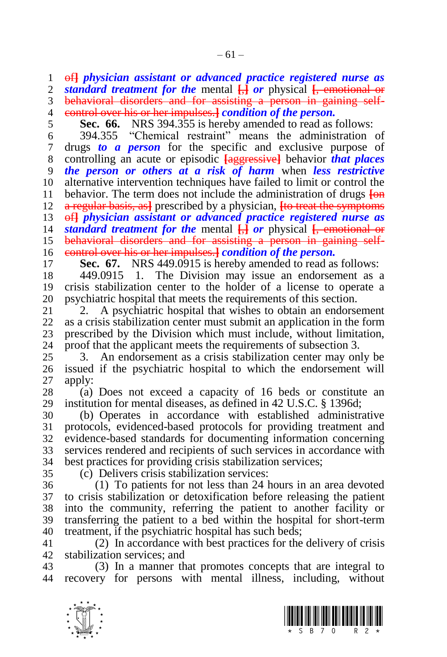of**]** *physician assistant or advanced practice registered nurse as standard treatment for the* mental **[**,**]** *or* physical **[**, emotional or behavioral disorders and for assisting a person in gaining self-

- control over his or her impulses.**]** *condition of the person.*
- 5 **Sec. 66.** NRS 394.355 is hereby amended to read as follows:<br>6 394.355 "Chemical restraint" means the administration

 394.355 "Chemical restraint" means the administration of drugs *to a person* for the specific and exclusive purpose of controlling an acute or episodic **[**aggressive**]** behavior *that places the person or others at a risk of harm* when *less restrictive*  alternative intervention techniques have failed to limit or control the behavior. The term does not include the administration of drugs **[**on a regular basis, as**]** prescribed by a physician, **[**to treat the symptoms of**]** *physician assistant or advanced practice registered nurse as standard treatment for the* mental **[**,**]** *or* physical **[**, emotional or behavioral disorders and for assisting a person in gaining self-

control over his or her impulses.**]** *condition of the person.*

17 **Sec. 67.** NRS 449.0915 is hereby amended to read as follows:<br>18 449.0915 1. The Division may issue an endorsement as a

 449.0915 1. The Division may issue an endorsement as a crisis stabilization center to the holder of a license to operate a 20 psychiatric hospital that meets the requirements of this section.<br>21 2. A psychiatric hospital that wishes to obtain an endorse

2. A psychiatric hospital that wishes to obtain an endorsement as a crisis stabilization center must submit an application in the form 23 prescribed by the Division which must include, without limitation,<br>24 proof that the applicant meets the requirements of subsection 3. proof that the applicant meets the requirements of subsection 3.

 3. An endorsement as a crisis stabilization center may only be issued if the psychiatric hospital to which the endorsement will apply:

 (a) Does not exceed a capacity of 16 beds or constitute an institution for mental diseases, as defined in 42 U.S.C. § 1396d;

 (b) Operates in accordance with established administrative protocols, evidenced-based protocols for providing treatment and evidence-based standards for documenting information concerning services rendered and recipients of such services in accordance with best practices for providing crisis stabilization services;

(c) Delivers crisis stabilization services:

 (1) To patients for not less than 24 hours in an area devoted to crisis stabilization or detoxification before releasing the patient into the community, referring the patient to another facility or transferring the patient to a bed within the hospital for short-term treatment, if the psychiatric hospital has such beds;

 (2) In accordance with best practices for the delivery of crisis stabilization services; and

 (3) In a manner that promotes concepts that are integral to recovery for persons with mental illness, including, without



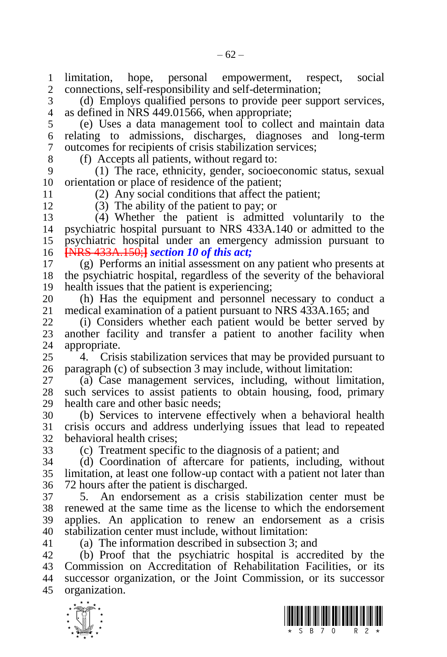limitation, hope, personal empowerment, respect, social connections, self-responsibility and self-determination;

 (d) Employs qualified persons to provide peer support services, as defined in NRS 449.01566, when appropriate;

 (e) Uses a data management tool to collect and maintain data relating to admissions, discharges, diagnoses and long-term outcomes for recipients of crisis stabilization services;

8 (f) Accepts all patients, without regard to:<br>9 (1) The race, ethnicity, gender, socioe

 (1) The race, ethnicity, gender, socioeconomic status, sexual orientation or place of residence of the patient;

 (2) Any social conditions that affect the patient; (3) The ability of the patient to pay; or

 (4) Whether the patient is admitted voluntarily to the psychiatric hospital pursuant to NRS 433A.140 or admitted to the psychiatric hospital under an emergency admission pursuant to

**[**NRS 433A.150;**]** *section 10 of this act;*

 (g) Performs an initial assessment on any patient who presents at the psychiatric hospital, regardless of the severity of the behavioral health issues that the patient is experiencing;

20 (h) Has the equipment and personnel necessary to conduct a medical examination of a patient pursuant to NRS 433A.165; and medical examination of a patient pursuant to NRS 433A.165; and

 (i) Considers whether each patient would be better served by 23 another facility and transfer a patient to another facility when<br>24 appropriate. appropriate.

 4. Crisis stabilization services that may be provided pursuant to paragraph (c) of subsection 3 may include, without limitation:

 (a) Case management services, including, without limitation, such services to assist patients to obtain housing, food, primary health care and other basic needs;

 (b) Services to intervene effectively when a behavioral health crisis occurs and address underlying issues that lead to repeated behavioral health crises;

(c) Treatment specific to the diagnosis of a patient; and

 (d) Coordination of aftercare for patients, including, without limitation, at least one follow-up contact with a patient not later than 72 hours after the patient is discharged.

 5. An endorsement as a crisis stabilization center must be renewed at the same time as the license to which the endorsement applies. An application to renew an endorsement as a crisis stabilization center must include, without limitation:

(a) The information described in subsection 3; and

 (b) Proof that the psychiatric hospital is accredited by the Commission on Accreditation of Rehabilitation Facilities, or its successor organization, or the Joint Commission, or its successor organization.



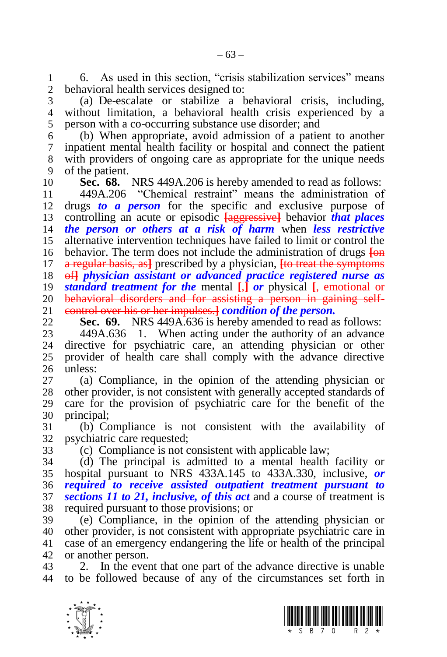1 6. As used in this section, "crisis stabilization services" means<br>2 behavioral health services designed to: behavioral health services designed to:

 (a) De-escalate or stabilize a behavioral crisis, including, without limitation, a behavioral health crisis experienced by a person with a co-occurring substance use disorder; and

 (b) When appropriate, avoid admission of a patient to another inpatient mental health facility or hospital and connect the patient with providers of ongoing care as appropriate for the unique needs of the patient.

**Sec. 68.** NRS 449A.206 is hereby amended to read as follows:

 449A.206 "Chemical restraint" means the administration of drugs *to a person* for the specific and exclusive purpose of controlling an acute or episodic **[**aggressive**]** behavior *that places the person or others at a risk of harm* when *less restrictive*  alternative intervention techniques have failed to limit or control the behavior. The term does not include the administration of drugs **[**on a regular basis, as**]** prescribed by a physician, **[**to treat the symptoms of**]** *physician assistant or advanced practice registered nurse as standard treatment for the* mental **[**,**]** *or* physical **[**, emotional or 20 behavioral disorders and for assisting a person in gaining self-<br>21 control over his or her impulses. *I condition of the person*. control over his or her impulses.**]** *condition of the person.*

**Sec. 69.** NRS 449A.636 is hereby amended to read as follows:<br>23 449A.636 1. When acting under the authority of an advance

23 449A.636 1. When acting under the authority of an advance<br>24 directive for psychiatric care, an attending physician or other directive for psychiatric care, an attending physician or other provider of health care shall comply with the advance directive unless:

 (a) Compliance, in the opinion of the attending physician or other provider, is not consistent with generally accepted standards of care for the provision of psychiatric care for the benefit of the principal;

 (b) Compliance is not consistent with the availability of psychiatric care requested;

(c) Compliance is not consistent with applicable law;

 (d) The principal is admitted to a mental health facility or hospital pursuant to NRS 433A.145 to 433A.330, inclusive, *or required to receive assisted outpatient treatment pursuant to sections 11 to 21, inclusive, of this act* and a course of treatment is required pursuant to those provisions; or

 (e) Compliance, in the opinion of the attending physician or other provider, is not consistent with appropriate psychiatric care in case of an emergency endangering the life or health of the principal or another person.

 2. In the event that one part of the advance directive is unable to be followed because of any of the circumstances set forth in



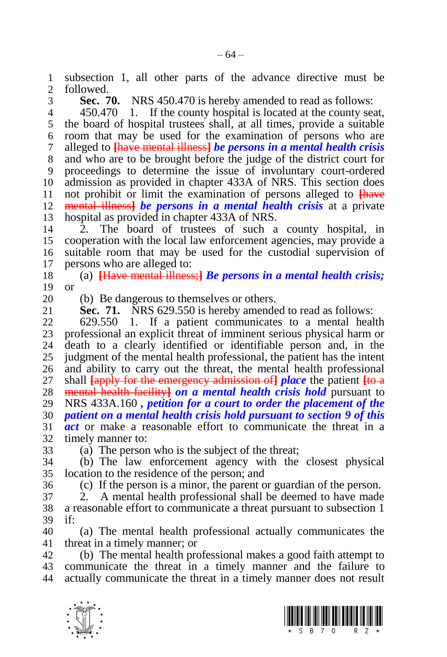subsection 1, all other parts of the advance directive must be followed.

**Sec. 70.** NRS 450.470 is hereby amended to read as follows:

 450.470 1. If the county hospital is located at the county seat, the board of hospital trustees shall, at all times, provide a suitable room that may be used for the examination of persons who are alleged to **[**have mental illness**]** *be persons in a mental health crisis*  and who are to be brought before the judge of the district court for proceedings to determine the issue of involuntary court-ordered admission as provided in chapter 433A of NRS. This section does 11 not prohibit or limit the examination of persons alleged to **[have** 12 mental liness] *he persons in a mental health crisis* at a private mental illness**]** *be persons in a mental health crisis* at a private hospital as provided in chapter 433A of NRS.

 2. The board of trustees of such a county hospital, in cooperation with the local law enforcement agencies, may provide a suitable room that may be used for the custodial supervision of persons who are alleged to:

 (a) **[**Have mental illness;**]** *Be persons in a mental health crisis;*  or

20 (b) Be dangerous to themselves or others.<br>21 **Sec. 71.** NRS 629.550 is hereby amende

NRS 629.550 is hereby amended to read as follows:

 629.550 1. If a patient communicates to a mental health 23 professional an explicit threat of imminent serious physical harm or<br>24 death to a clearly identified or identifiable person and in the death to a clearly identified or identifiable person and, in the judgment of the mental health professional, the patient has the intent and ability to carry out the threat, the mental health professional shall **[**apply for the emergency admission of**]** *place* the patient **[**to a mental health facility**]** *on a mental health crisis hold* pursuant to NRS 433A.160 *, petition for a court to order the placement of the patient on a mental health crisis hold pursuant to section 9 of this act* or make a reasonable effort to communicate the threat in a timely manner to:

(a) The person who is the subject of the threat;

 (b) The law enforcement agency with the closest physical location to the residence of the person; and

(c) If the person is a minor, the parent or guardian of the person.

 2. A mental health professional shall be deemed to have made a reasonable effort to communicate a threat pursuant to subsection 1 if:

 (a) The mental health professional actually communicates the threat in a timely manner; or

 (b) The mental health professional makes a good faith attempt to communicate the threat in a timely manner and the failure to actually communicate the threat in a timely manner does not result



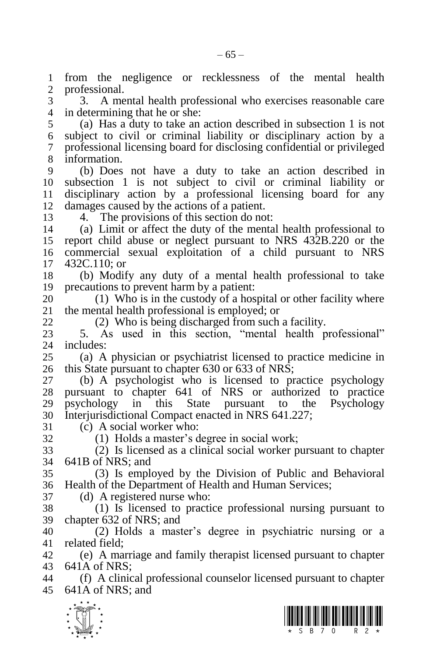from the negligence or recklessness of the mental health professional.

 3. A mental health professional who exercises reasonable care in determining that he or she:

 (a) Has a duty to take an action described in subsection 1 is not subject to civil or criminal liability or disciplinary action by a professional licensing board for disclosing confidential or privileged information.

 (b) Does not have a duty to take an action described in subsection 1 is not subject to civil or criminal liability or disciplinary action by a professional licensing board for any damages caused by the actions of a patient.

4. The provisions of this section do not:

 (a) Limit or affect the duty of the mental health professional to report child abuse or neglect pursuant to NRS 432B.220 or the commercial sexual exploitation of a child pursuant to NRS 432C.110; or

 (b) Modify any duty of a mental health professional to take precautions to prevent harm by a patient:

20 (1) Who is in the custody of a hospital or other facility where the mental health professional is employed; or the mental health professional is employed; or

(2) Who is being discharged from such a facility.

 5. As used in this section, "mental health professional" includes:

 (a) A physician or psychiatrist licensed to practice medicine in this State pursuant to chapter 630 or 633 of NRS;

 (b) A psychologist who is licensed to practice psychology pursuant to chapter 641 of NRS or authorized to practice psychology in this State pursuant to the Psychology Interjurisdictional Compact enacted in NRS 641.227;

31 (c) A social worker who:<br>32 (1) Holds a master's d

 $(1)$  Holds a master's degree in social work;

 (2) Is licensed as a clinical social worker pursuant to chapter 641B of NRS; and

 (3) Is employed by the Division of Public and Behavioral Health of the Department of Health and Human Services;

(d) A registered nurse who:

 (1) Is licensed to practice professional nursing pursuant to chapter 632 of NRS; and

 (2) Holds a master's degree in psychiatric nursing or a related field;

 (e) A marriage and family therapist licensed pursuant to chapter 641A of NRS;

 (f) A clinical professional counselor licensed pursuant to chapter 641A of NRS; and



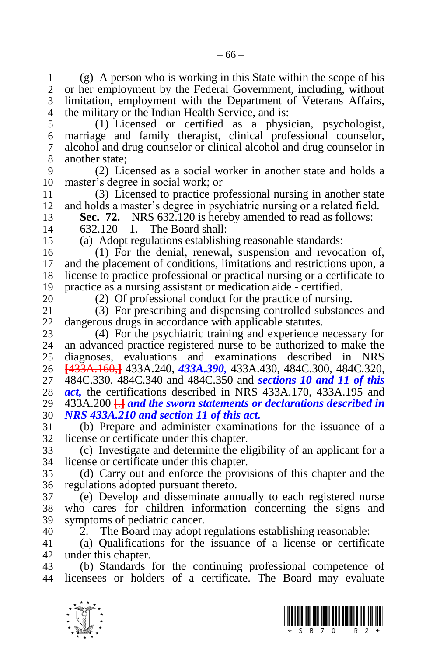(g) A person who is working in this State within the scope of his or her employment by the Federal Government, including, without limitation, employment with the Department of Veterans Affairs, the military or the Indian Health Service, and is:

 (1) Licensed or certified as a physician, psychologist, marriage and family therapist, clinical professional counselor, alcohol and drug counselor or clinical alcohol and drug counselor in 8 another state;<br>9  $(2)$  Lic

 (2) Licensed as a social worker in another state and holds a master's degree in social work; or

 (3) Licensed to practice professional nursing in another state and holds a master's degree in psychiatric nursing or a related field.

**Sec. 72.** NRS 632.120 is hereby amended to read as follows:

632.120 1. The Board shall:

(a) Adopt regulations establishing reasonable standards:

 (1) For the denial, renewal, suspension and revocation of, and the placement of conditions, limitations and restrictions upon, a license to practice professional or practical nursing or a certificate to practice as a nursing assistant or medication aide - certified.

20 (2) Of professional conduct for the practice of nursing.<br>21 (3) For prescribing and dispensing controlled substance (3) For prescribing and dispensing controlled substances and dangerous drugs in accordance with applicable statutes.

 (4) For the psychiatric training and experience necessary for an advanced practice registered nurse to be authorized to make the diagnoses, evaluations and examinations described in NRS **[**433A.160,**]** 433A.240, *433A.390,* 433A.430, 484C.300, 484C.320, 484C.330, 484C.340 and 484C.350 and *sections 10 and 11 of this act,* the certifications described in NRS 433A.170, 433A.195 and 433A.200 **[**.**]** *and the sworn statements or declarations described in NRS 433A.210 and section 11 of this act.*

 (b) Prepare and administer examinations for the issuance of a license or certificate under this chapter.

 (c) Investigate and determine the eligibility of an applicant for a license or certificate under this chapter.

 (d) Carry out and enforce the provisions of this chapter and the regulations adopted pursuant thereto.

 (e) Develop and disseminate annually to each registered nurse who cares for children information concerning the signs and symptoms of pediatric cancer.

2. The Board may adopt regulations establishing reasonable:

 (a) Qualifications for the issuance of a license or certificate under this chapter.

 (b) Standards for the continuing professional competence of licensees or holders of a certificate. The Board may evaluate



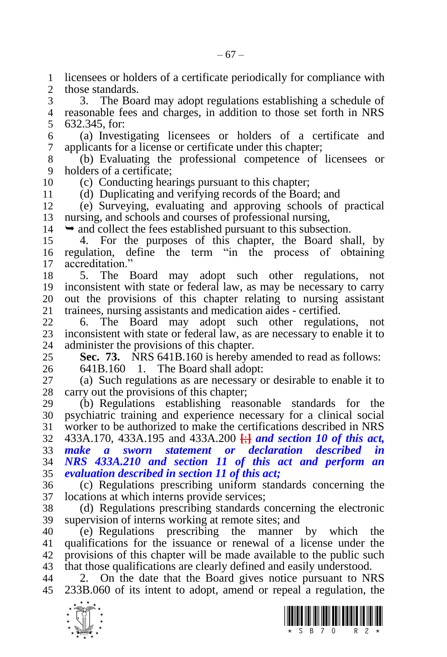licensees or holders of a certificate periodically for compliance with those standards.

 3. The Board may adopt regulations establishing a schedule of reasonable fees and charges, in addition to those set forth in NRS 632.345, for:

 (a) Investigating licensees or holders of a certificate and applicants for a license or certificate under this chapter;

 (b) Evaluating the professional competence of licensees or holders of a certificate:

(c) Conducting hearings pursuant to this chapter;

(d) Duplicating and verifying records of the Board; and

 (e) Surveying, evaluating and approving schools of practical nursing, and schools and courses of professional nursing,

 $14 \rightarrow$  and collect the fees established pursuant to this subsection.

 4. For the purposes of this chapter, the Board shall, by regulation, define the term "in the process of obtaining accreditation."

 5. The Board may adopt such other regulations, not inconsistent with state or federal law, as may be necessary to carry 20 out the provisions of this chapter relating to nursing assistant 21 trainees, nursing assistants and medication aides - certified. 21 trainees, nursing assistants and medication aides - certified.<br>22 6. The Board may adopt such other regulation

 6. The Board may adopt such other regulations, not 23 inconsistent with state or federal law, as are necessary to enable it to administer the provisions of this chapter. administer the provisions of this chapter.

**Sec. 73.** NRS 641B.160 is hereby amended to read as follows:

641B.160 1. The Board shall adopt:

 (a) Such regulations as are necessary or desirable to enable it to carry out the provisions of this chapter;

 (b) Regulations establishing reasonable standards for the psychiatric training and experience necessary for a clinical social worker to be authorized to make the certifications described in NRS 433A.170, 433A.195 and 433A.200 **[**;**]** *and section 10 of this act, make a sworn statement or declaration described in NRS 433A.210 and section 11 of this act and perform an* 

*evaluation described in section 11 of this act;*

 (c) Regulations prescribing uniform standards concerning the locations at which interns provide services;

 (d) Regulations prescribing standards concerning the electronic supervision of interns working at remote sites; and

 (e) Regulations prescribing the manner by which the qualifications for the issuance or renewal of a license under the provisions of this chapter will be made available to the public such that those qualifications are clearly defined and easily understood.

 2. On the date that the Board gives notice pursuant to NRS 233B.060 of its intent to adopt, amend or repeal a regulation, the

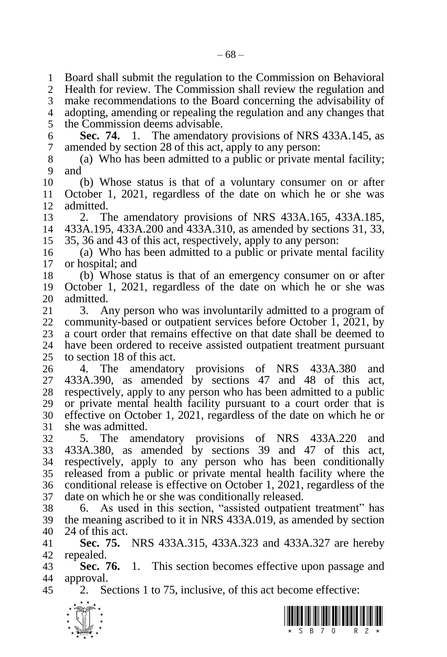Board shall submit the regulation to the Commission on Behavioral Health for review. The Commission shall review the regulation and make recommendations to the Board concerning the advisability of adopting, amending or repealing the regulation and any changes that the Commission deems advisable. **Sec. 74.** 1. The amendatory provisions of NRS 433A.145, as amended by section 28 of this act, apply to any person: (a) Who has been admitted to a public or private mental facility; and (b) Whose status is that of a voluntary consumer on or after October 1, 2021, regardless of the date on which he or she was admitted. 2. The amendatory provisions of NRS 433A.165, 433A.185, 433A.195, 433A.200 and 433A.310, as amended by sections 31, 33, 35, 36 and 43 of this act, respectively, apply to any person: (a) Who has been admitted to a public or private mental facility or hospital; and (b) Whose status is that of an emergency consumer on or after October 1, 2021, regardless of the date on which he or she was 20 admitted.<br>21 3. A 3. Any person who was involuntarily admitted to a program of community-based or outpatient services before October 1, 2021, by 23 a court order that remains effective on that date shall be deemed to 24 have been ordered to receive assisted outpatient treatment pursuant have been ordered to receive assisted outpatient treatment pursuant to section 18 of this act. 4. The amendatory provisions of NRS 433A.380 and 433A.390, as amended by sections 47 and 48 of this act, respectively, apply to any person who has been admitted to a public or private mental health facility pursuant to a court order that is effective on October 1, 2021, regardless of the date on which he or she was admitted. 5. The amendatory provisions of NRS 433A.220 and 433A.380, as amended by sections 39 and 47 of this act, respectively, apply to any person who has been conditionally released from a public or private mental health facility where the conditional release is effective on October 1, 2021, regardless of the date on which he or she was conditionally released. 6. As used in this section, "assisted outpatient treatment" has the meaning ascribed to it in NRS 433A.019, as amended by section 24 of this act. **Sec. 75.** NRS 433A.315, 433A.323 and 433A.327 are hereby repealed. **Sec. 76.** 1. This section becomes effective upon passage and approval. 2. Sections 1 to 75, inclusive, of this act become effective:



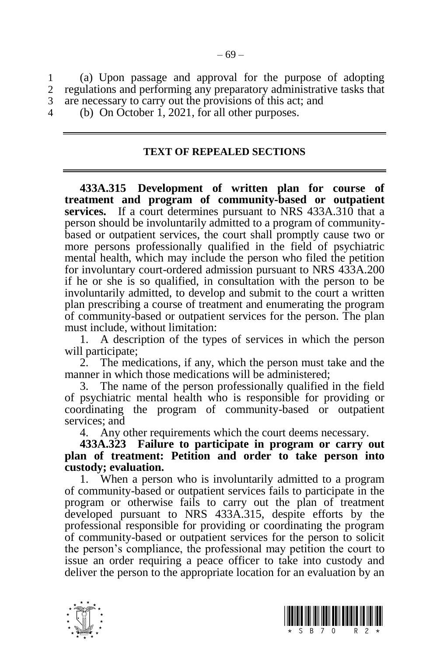1 (a) Upon passage and approval for the purpose of adopting regulations and performing any preparatory administrative tasks that 3 are necessary to carry out the provisions of this act; and

4 (b) On October 1, 2021, for all other purposes.

## **TEXT OF REPEALED SECTIONS**

**433A.315 Development of written plan for course of treatment and program of community-based or outpatient services.** If a court determines pursuant to NRS 433A.310 that a person should be involuntarily admitted to a program of communitybased or outpatient services, the court shall promptly cause two or more persons professionally qualified in the field of psychiatric mental health, which may include the person who filed the petition for involuntary court-ordered admission pursuant to NRS 433A.200 if he or she is so qualified, in consultation with the person to be involuntarily admitted, to develop and submit to the court a written plan prescribing a course of treatment and enumerating the program of community-based or outpatient services for the person. The plan must include, without limitation:

1. A description of the types of services in which the person will participate;

2. The medications, if any, which the person must take and the manner in which those medications will be administered;

3. The name of the person professionally qualified in the field of psychiatric mental health who is responsible for providing or coordinating the program of community-based or outpatient services; and

4. Any other requirements which the court deems necessary.

**433A.323 Failure to participate in program or carry out plan of treatment: Petition and order to take person into custody; evaluation.**

1. When a person who is involuntarily admitted to a program of community-based or outpatient services fails to participate in the program or otherwise fails to carry out the plan of treatment developed pursuant to NRS 433A.315, despite efforts by the professional responsible for providing or coordinating the program of community-based or outpatient services for the person to solicit the person's compliance, the professional may petition the court to issue an order requiring a peace officer to take into custody and deliver the person to the appropriate location for an evaluation by an

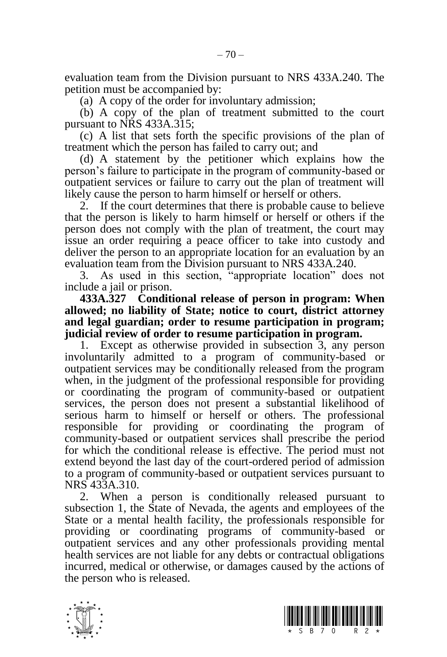evaluation team from the Division pursuant to NRS 433A.240. The petition must be accompanied by:

(a) A copy of the order for involuntary admission;

(b) A copy of the plan of treatment submitted to the court pursuant to NRS 433A.315;

(c) A list that sets forth the specific provisions of the plan of treatment which the person has failed to carry out; and

(d) A statement by the petitioner which explains how the person's failure to participate in the program of community-based or outpatient services or failure to carry out the plan of treatment will likely cause the person to harm himself or herself or others.

2. If the court determines that there is probable cause to believe that the person is likely to harm himself or herself or others if the person does not comply with the plan of treatment, the court may issue an order requiring a peace officer to take into custody and deliver the person to an appropriate location for an evaluation by an evaluation team from the Division pursuant to NRS 433A.240.

3. As used in this section, "appropriate location" does not include a jail or prison.

**433A.327 Conditional release of person in program: When allowed; no liability of State; notice to court, district attorney and legal guardian; order to resume participation in program; judicial review of order to resume participation in program.**

Except as otherwise provided in subsection 3, any person involuntarily admitted to a program of community-based or outpatient services may be conditionally released from the program when, in the judgment of the professional responsible for providing or coordinating the program of community-based or outpatient services, the person does not present a substantial likelihood of serious harm to himself or herself or others. The professional responsible for providing or coordinating the program of community-based or outpatient services shall prescribe the period for which the conditional release is effective. The period must not extend beyond the last day of the court-ordered period of admission to a program of community-based or outpatient services pursuant to NRS 433A.310.

2. When a person is conditionally released pursuant to subsection 1, the State of Nevada, the agents and employees of the State or a mental health facility, the professionals responsible for providing or coordinating programs of community-based or outpatient services and any other professionals providing mental health services are not liable for any debts or contractual obligations incurred, medical or otherwise, or damages caused by the actions of the person who is released.